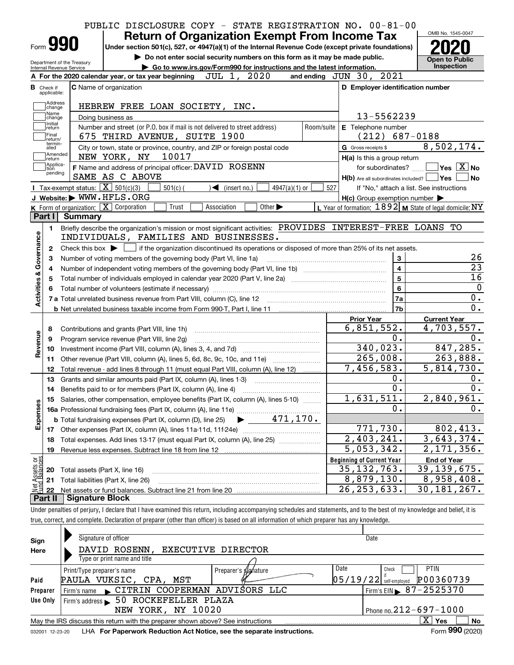| Form <b>990</b>                                        |                                                   |                 | <b>Return of Organization Exempt From Income Tax</b><br>Under section 501(c), 527, or 4947(a)(1) of the Internal Revenue Code (except private foundations) |             |                                   |                 |            |                     |                                                                       |                             |                                        |
|--------------------------------------------------------|---------------------------------------------------|-----------------|------------------------------------------------------------------------------------------------------------------------------------------------------------|-------------|-----------------------------------|-----------------|------------|---------------------|-----------------------------------------------------------------------|-----------------------------|----------------------------------------|
|                                                        |                                                   |                 | Do not enter social security numbers on this form as it may be made public.                                                                                |             |                                   |                 |            |                     |                                                                       |                             | <b>Open to Public</b>                  |
| Department of the Treasury<br>Internal Revenue Service |                                                   |                 | Go to www.irs.gov/Form990 for instructions and the latest information.                                                                                     |             |                                   |                 |            |                     |                                                                       |                             | <b>Inspection</b>                      |
|                                                        |                                                   |                 | A For the 2020 calendar year, or tax year beginning                                                                                                        |             | JUL 1, 2020                       |                 |            |                     | and ending JUN 30, 2021                                               |                             |                                        |
| <b>B</b> Check if<br>applicable:                       | <b>C</b> Name of organization                     |                 |                                                                                                                                                            |             |                                   |                 |            |                     | D Employer identification number                                      |                             |                                        |
| Address                                                |                                                   |                 |                                                                                                                                                            |             |                                   |                 |            |                     |                                                                       |                             |                                        |
| change<br>Name                                         |                                                   |                 | HEBREW FREE LOAN SOCIETY, INC.                                                                                                                             |             |                                   |                 |            |                     |                                                                       |                             |                                        |
| change<br>Initial                                      | Doing business as                                 |                 |                                                                                                                                                            |             |                                   |                 |            |                     | 13-5562239                                                            |                             |                                        |
| return<br>Final                                        |                                                   |                 | Number and street (or P.O. box if mail is not delivered to street address)                                                                                 |             |                                   |                 | Room/suite |                     | E Telephone number                                                    |                             |                                        |
| return/<br>termin-                                     |                                                   |                 | 675 THIRD AVENUE, SUITE 1900                                                                                                                               |             |                                   |                 |            |                     | $(212)$ 687-0188                                                      | 8,502,174.                  |                                        |
| ated<br> Amended                                       |                                                   | NEW YORK, NY    | City or town, state or province, country, and ZIP or foreign postal code<br>10017                                                                          |             |                                   |                 |            | G Gross receipts \$ |                                                                       |                             |                                        |
| ∣return<br> Applica-                                   |                                                   |                 | F Name and address of principal officer: DAVID ROSENN                                                                                                      |             |                                   |                 |            |                     | H(a) Is this a group return                                           |                             | $\sqrt{}$ Yes $\sqrt{}$ X $\sqrt{}$ No |
| tion<br>pending                                        |                                                   | SAME AS C ABOVE |                                                                                                                                                            |             |                                   |                 |            |                     | for subordinates?<br>$H(b)$ Are all subordinates included? $\Box$ Yes |                             |                                        |
|                                                        | Tax-exempt status: $\boxed{\mathbf{X}}$ 501(c)(3) |                 | $501(c)$ (                                                                                                                                                 |             | $\blacktriangleleft$ (insert no.) | $4947(a)(1)$ or | 527        |                     | If "No," attach a list. See instructions                              |                             |                                        |
|                                                        | J Website: WWW.HFLS.ORG                           |                 |                                                                                                                                                            |             |                                   |                 |            |                     | $H(c)$ Group exemption number $\blacktriangleright$                   |                             |                                        |
|                                                        | K Form of organization: $X$ Corporation           |                 | Trust                                                                                                                                                      | Association | Other $\blacktriangleright$       |                 |            |                     | L Year of formation: $1892$ M State of legal domicile: NY             |                             |                                        |
|                                                        | Part I Summary                                    |                 |                                                                                                                                                            |             |                                   |                 |            |                     |                                                                       |                             |                                        |
| 1.                                                     |                                                   |                 | Briefly describe the organization's mission or most significant activities: PROVIDES INTEREST-FREE LOANS TO                                                |             |                                   |                 |            |                     |                                                                       |                             |                                        |
|                                                        |                                                   |                 | INDIVIDUALS, FAMILIES AND BUSINESSES.                                                                                                                      |             |                                   |                 |            |                     |                                                                       |                             |                                        |
| 2                                                      |                                                   |                 | Check this box $\blacktriangleright$ $\Box$ if the organization discontinued its operations or disposed of more than 25% of its net assets.                |             |                                   |                 |            |                     |                                                                       |                             |                                        |
| З                                                      |                                                   |                 |                                                                                                                                                            |             |                                   |                 |            |                     |                                                                       |                             |                                        |
|                                                        |                                                   |                 |                                                                                                                                                            |             |                                   |                 |            |                     | 3                                                                     |                             |                                        |
| 4                                                      |                                                   |                 | Number of voting members of the governing body (Part VI, line 1a)                                                                                          |             |                                   |                 |            |                     | $\overline{\mathbf{4}}$                                               |                             |                                        |
| 5                                                      |                                                   |                 |                                                                                                                                                            |             |                                   |                 |            |                     | $5\phantom{a}$                                                        |                             |                                        |
|                                                        |                                                   |                 |                                                                                                                                                            |             |                                   |                 |            |                     | 6                                                                     |                             |                                        |
|                                                        |                                                   |                 |                                                                                                                                                            |             |                                   |                 |            |                     | 7a                                                                    |                             |                                        |
| Activities & Governance                                |                                                   |                 |                                                                                                                                                            |             |                                   |                 |            |                     | 7 <sub>b</sub>                                                        |                             |                                        |
|                                                        |                                                   |                 |                                                                                                                                                            |             |                                   |                 |            | <b>Prior Year</b>   |                                                                       | <b>Current Year</b>         |                                        |
| 8                                                      |                                                   |                 | Contributions and grants (Part VIII, line 1h)                                                                                                              |             |                                   |                 |            |                     | 6,851,552.                                                            | 4,703,557.                  |                                        |
| 9                                                      |                                                   |                 | Program service revenue (Part VIII, line 2g)                                                                                                               |             |                                   |                 |            |                     | 0.                                                                    |                             |                                        |
| 10                                                     |                                                   |                 |                                                                                                                                                            |             |                                   |                 |            |                     | 340,023.                                                              |                             |                                        |
| Revenue<br>11                                          |                                                   |                 | Other revenue (Part VIII, column (A), lines 5, 6d, 8c, 9c, 10c, and 11e)                                                                                   |             |                                   |                 |            |                     | $\overline{265,008}$ .                                                |                             |                                        |
| 12                                                     |                                                   |                 | Total revenue - add lines 8 through 11 (must equal Part VIII, column (A), line 12)                                                                         |             |                                   |                 |            |                     | 7,456,583.                                                            | 5,814,730.                  |                                        |
| 13                                                     |                                                   |                 | Grants and similar amounts paid (Part IX, column (A), lines 1-3)                                                                                           |             |                                   |                 |            |                     | 0.                                                                    |                             |                                        |
| 14                                                     |                                                   |                 |                                                                                                                                                            |             |                                   |                 |            |                     | 0.                                                                    |                             |                                        |
|                                                        |                                                   |                 | 15 Salaries, other compensation, employee benefits (Part IX, column (A), lines 5-10)                                                                       |             |                                   |                 |            |                     | 1,631,511.                                                            | 2,840,961.                  |                                        |
|                                                        |                                                   |                 |                                                                                                                                                            |             |                                   |                 |            |                     | 0.                                                                    |                             |                                        |
|                                                        |                                                   |                 | <b>b</b> Total fundraising expenses (Part IX, column (D), line 25)                                                                                         |             | 471, 170.                         |                 |            |                     |                                                                       |                             |                                        |
| Expenses<br>17                                         |                                                   |                 |                                                                                                                                                            |             |                                   |                 |            |                     | 771,730.                                                              |                             |                                        |
| 18                                                     |                                                   |                 | Total expenses. Add lines 13-17 (must equal Part IX, column (A), line 25)                                                                                  |             |                                   |                 |            |                     | $\overline{2,403},241.$                                               | 3,643,374.                  |                                        |
| 19                                                     |                                                   |                 | Revenue less expenses. Subtract line 18 from line 12                                                                                                       |             |                                   |                 |            |                     | $\overline{5,053,342}$ .                                              | 2, 171, 356.                |                                        |
|                                                        |                                                   |                 |                                                                                                                                                            |             |                                   |                 |            |                     | <b>Beginning of Current Year</b>                                      | <b>End of Year</b>          |                                        |
| 20                                                     | Total assets (Part X, line 16)                    |                 |                                                                                                                                                            |             |                                   |                 |            |                     | $\overline{35, 132, 763}$ .                                           | 39, 139, 675.               |                                        |
| t Assets or<br>d Balances<br>21<br>鲳                   | Total liabilities (Part X, line 26)               |                 |                                                                                                                                                            |             |                                   |                 |            |                     | 8,879,130.<br>26, 253, 633.                                           | 8,958,408.<br>30, 181, 267. | 847, 285.<br>263,888.<br>802,413.      |

| UNIQUE DENSIONS ON DENINY. I GEGIALE MALE HAVE EXAMINED MISTERMIN, INCRUMINATIONAL MINIQUE SCHEDULES AND STATEMENTS. AND TO THE DEST OF HIV KNOWIEQUE AND DENET, IT |  |
|---------------------------------------------------------------------------------------------------------------------------------------------------------------------|--|
| true, correct, and complete. Declaration of preparer (other than officer) is based on all information of which preparer has any knowledge.                          |  |
|                                                                                                                                                                     |  |

| Sign            | Signature of officer                                                            | Date                                   |
|-----------------|---------------------------------------------------------------------------------|----------------------------------------|
| Here            | DAVID ROSENN,<br>EXECUTIVE DIRECTOR                                             |                                        |
|                 | Type or print name and title                                                    |                                        |
|                 | Print/Type preparer's name<br>Preparer's <i><b>glg</b>hature</i>                | Date<br><b>PTIN</b><br>Check           |
| Paid            | PAULA VUKSIC, CPA, MST                                                          | P00360739<br>$05/19/22$ self-employed  |
| Preparer        | CITRIN COOPERMAN ADVISORS LLC<br>Firm's name                                    | Firm's EIN $\triangleright$ 87-2525370 |
| Use Only        | 50 ROCKEFELLER PLAZA<br>Firm's address                                          |                                        |
|                 | NEW YORK, NY 10020                                                              | Phone no. $212 - 697 - 1000$           |
|                 | May the IRS discuss this return with the preparer shown above? See instructions | X.<br>No<br>Yes                        |
| 032001 12-23-20 | LHA For Paperwork Reduction Act Notice, see the separate instructions.          | Form 990 (2020)                        |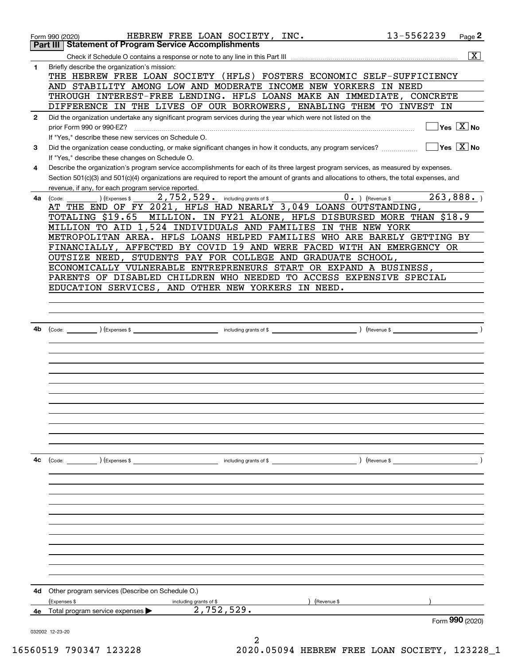|              | HEBREW FREE LOAN SOCIETY, INC.<br>Form 990 (2020)                                                                                            | 13-5562239 | Page 2                                 |
|--------------|----------------------------------------------------------------------------------------------------------------------------------------------|------------|----------------------------------------|
|              | <b>Statement of Program Service Accomplishments</b><br>Part III                                                                              |            |                                        |
|              |                                                                                                                                              |            | $\overline{\mathbf{X}}$                |
| 1            | Briefly describe the organization's mission:<br>THE HEBREW FREE LOAN SOCIETY (HFLS) FOSTERS ECONOMIC SELF-SUFFICIENCY                        |            |                                        |
|              | AND STABILITY AMONG LOW AND MODERATE INCOME NEW YORKERS                                                                                      | IN NEED    |                                        |
|              | THROUGH INTEREST-FREE LENDING. HFLS LOANS MAKE AN IMMEDIATE, CONCRETE                                                                        |            |                                        |
|              | DIFFERENCE IN THE LIVES OF OUR BORROWERS, ENABLING THEM TO INVEST IN                                                                         |            |                                        |
| $\mathbf{2}$ | Did the organization undertake any significant program services during the year which were not listed on the                                 |            |                                        |
|              | prior Form 990 or 990-EZ?                                                                                                                    |            | $Yes \ \boxed{X}$ No                   |
|              | If "Yes," describe these new services on Schedule O.                                                                                         |            |                                        |
| 3            | Did the organization cease conducting, or make significant changes in how it conducts, any program services?                                 |            | $\sqrt{}$ Yes $\sqrt{}$ X $\sqrt{}$ No |
|              | If "Yes," describe these changes on Schedule O.                                                                                              |            |                                        |
| 4            | Describe the organization's program service accomplishments for each of its three largest program services, as measured by expenses.         |            |                                        |
|              | Section 501(c)(3) and 501(c)(4) organizations are required to report the amount of grants and allocations to others, the total expenses, and |            |                                        |
|              | revenue, if any, for each program service reported.                                                                                          |            |                                        |
| 4a           | 2,752,529. including grants of \$<br>$0 \cdot$ ) (Revenue \$<br>(Expenses \$<br>(Code:                                                       |            | 263,888.                               |
|              | AT THE END OF FY 2021, HFLS HAD NEARLY 3,049 LOANS OUTSTANDING,                                                                              |            |                                        |
|              | MILLION. IN FY21 ALONE, HFLS DISBURSED MORE THAN \$18.9<br>TOTALING \$19.65                                                                  |            |                                        |
|              | MILLION TO AID 1,524 INDIVIDUALS AND FAMILIES IN THE NEW YORK                                                                                |            |                                        |
|              | METROPOLITAN AREA. HFLS LOANS HELPED FAMILIES WHO ARE BARELY GETTING BY                                                                      |            |                                        |
|              | FINANCIALLY, AFFECTED BY COVID 19 AND WERE FACED WITH AN EMERGENCY OR                                                                        |            |                                        |
|              | OUTSIZE NEED, STUDENTS PAY FOR COLLEGE AND GRADUATE SCHOOL,                                                                                  |            |                                        |
|              | ECONOMICALLY VULNERABLE ENTREPRENEURS START OR EXPAND A BUSINESS,                                                                            |            |                                        |
|              | PARENTS OF DISABLED CHILDREN WHO NEEDED TO ACCESS EXPENSIVE SPECIAL                                                                          |            |                                        |
|              | EDUCATION SERVICES, AND OTHER NEW YORKERS IN NEED.                                                                                           |            |                                        |
|              |                                                                                                                                              |            |                                        |
|              |                                                                                                                                              |            |                                        |
|              |                                                                                                                                              |            |                                        |
| 4b           | ) (Revenue \$                                                                                                                                |            |                                        |
|              |                                                                                                                                              |            |                                        |
|              |                                                                                                                                              |            |                                        |
|              |                                                                                                                                              |            |                                        |
|              |                                                                                                                                              |            |                                        |
|              |                                                                                                                                              |            |                                        |
|              |                                                                                                                                              |            |                                        |
|              |                                                                                                                                              |            |                                        |
|              |                                                                                                                                              |            |                                        |
|              |                                                                                                                                              |            |                                        |
|              |                                                                                                                                              |            |                                        |
|              |                                                                                                                                              |            |                                        |
|              |                                                                                                                                              |            |                                        |
| 4с           |                                                                                                                                              |            |                                        |
|              |                                                                                                                                              |            |                                        |
|              |                                                                                                                                              |            |                                        |
|              |                                                                                                                                              |            |                                        |
|              |                                                                                                                                              |            |                                        |
|              |                                                                                                                                              |            |                                        |
|              |                                                                                                                                              |            |                                        |
|              |                                                                                                                                              |            |                                        |
|              |                                                                                                                                              |            |                                        |
|              |                                                                                                                                              |            |                                        |
|              |                                                                                                                                              |            |                                        |
|              |                                                                                                                                              |            |                                        |
| 4d           | Other program services (Describe on Schedule O.)                                                                                             |            |                                        |
|              | (Expenses \$<br>(Revenue \$<br>including grants of \$                                                                                        |            |                                        |
| 4е           | 2, 752, 529.<br>Total program service expenses                                                                                               |            |                                        |
|              |                                                                                                                                              |            | Form 990 (2020)                        |
|              | 032002 12-23-20                                                                                                                              |            |                                        |
|              |                                                                                                                                              |            |                                        |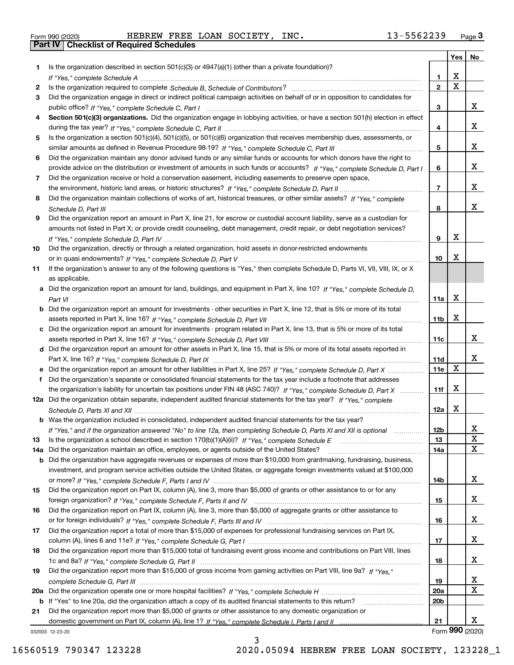|  | Form 990 (2020) |
|--|-----------------|

|     |                                                                                                                                                 |                         | Yes                     | No          |
|-----|-------------------------------------------------------------------------------------------------------------------------------------------------|-------------------------|-------------------------|-------------|
| 1   | Is the organization described in section $501(c)(3)$ or $4947(a)(1)$ (other than a private foundation)?                                         |                         |                         |             |
|     |                                                                                                                                                 | 1.                      | X                       |             |
| 2   |                                                                                                                                                 | $\overline{\mathbf{2}}$ | $\overline{\mathbf{x}}$ |             |
| 3   | Did the organization engage in direct or indirect political campaign activities on behalf of or in opposition to candidates for                 |                         |                         |             |
|     |                                                                                                                                                 | 3                       |                         | x           |
| 4   | Section 501(c)(3) organizations. Did the organization engage in lobbying activities, or have a section 501(h) election in effect                |                         |                         |             |
|     |                                                                                                                                                 | 4                       |                         | x           |
| 5   | Is the organization a section 501(c)(4), 501(c)(5), or 501(c)(6) organization that receives membership dues, assessments, or                    |                         |                         |             |
|     |                                                                                                                                                 | 5                       |                         | x           |
| 6   | Did the organization maintain any donor advised funds or any similar funds or accounts for which donors have the right to                       |                         |                         |             |
|     | provide advice on the distribution or investment of amounts in such funds or accounts? If "Yes," complete Schedule D, Part I                    | 6                       |                         | x           |
| 7   | Did the organization receive or hold a conservation easement, including easements to preserve open space,                                       |                         |                         |             |
|     |                                                                                                                                                 | $\overline{7}$          |                         | x           |
| 8   | Did the organization maintain collections of works of art, historical treasures, or other similar assets? If "Yes," complete                    |                         |                         |             |
|     |                                                                                                                                                 | 8                       |                         | X.          |
| 9   | Did the organization report an amount in Part X, line 21, for escrow or custodial account liability, serve as a custodian for                   |                         |                         |             |
|     | amounts not listed in Part X; or provide credit counseling, debt management, credit repair, or debt negotiation services?                       |                         | X                       |             |
|     |                                                                                                                                                 | 9                       |                         |             |
| 10  | Did the organization, directly or through a related organization, hold assets in donor-restricted endowments                                    |                         | Χ                       |             |
|     |                                                                                                                                                 | 10                      |                         |             |
| 11  | If the organization's answer to any of the following questions is "Yes," then complete Schedule D, Parts VI, VII, VIII, IX, or X                |                         |                         |             |
|     | as applicable.<br>a Did the organization report an amount for land, buildings, and equipment in Part X, line 10? If "Yes," complete Schedule D, |                         |                         |             |
|     |                                                                                                                                                 | 11a                     | X                       |             |
|     | <b>b</b> Did the organization report an amount for investments - other securities in Part X, line 12, that is 5% or more of its total           |                         |                         |             |
|     |                                                                                                                                                 | 11b                     | Χ                       |             |
| c   | Did the organization report an amount for investments - program related in Part X, line 13, that is 5% or more of its total                     |                         |                         |             |
|     |                                                                                                                                                 | 11c                     |                         | X.          |
|     | d Did the organization report an amount for other assets in Part X, line 15, that is 5% or more of its total assets reported in                 |                         |                         |             |
|     |                                                                                                                                                 | 11d                     |                         | X.          |
|     | e Did the organization report an amount for other liabilities in Part X, line 25? If "Yes," complete Schedule D, Part X                         | 11e                     | $\mathbf X$             |             |
| f   | Did the organization's separate or consolidated financial statements for the tax year include a footnote that addresses                         |                         |                         |             |
|     | the organization's liability for uncertain tax positions under FIN 48 (ASC 740)? If "Yes," complete Schedule D, Part X                          | 11f                     | X                       |             |
|     | 12a Did the organization obtain separate, independent audited financial statements for the tax year? If "Yes," complete                         |                         |                         |             |
|     |                                                                                                                                                 | 12a                     | X                       |             |
|     | <b>b</b> Was the organization included in consolidated, independent audited financial statements for the tax year?                              |                         |                         |             |
|     | If "Yes," and if the organization answered "No" to line 12a, then completing Schedule D, Parts XI and XII is optional                           | 12b                     |                         | A           |
| 13  |                                                                                                                                                 | 13                      |                         | X           |
| 14a | Did the organization maintain an office, employees, or agents outside of the United States?                                                     | <b>14a</b>              |                         | $\mathbf X$ |
| b   | Did the organization have aggregate revenues or expenses of more than \$10,000 from grantmaking, fundraising, business,                         |                         |                         |             |
|     | investment, and program service activities outside the United States, or aggregate foreign investments valued at \$100,000                      |                         |                         |             |
|     |                                                                                                                                                 | 14b                     |                         | x           |
| 15  | Did the organization report on Part IX, column (A), line 3, more than \$5,000 of grants or other assistance to or for any                       |                         |                         |             |
|     |                                                                                                                                                 | 15                      |                         | x           |
| 16  | Did the organization report on Part IX, column (A), line 3, more than \$5,000 of aggregate grants or other assistance to                        |                         |                         |             |
|     |                                                                                                                                                 | 16                      |                         | x           |
| 17  | Did the organization report a total of more than \$15,000 of expenses for professional fundraising services on Part IX,                         |                         |                         |             |
|     |                                                                                                                                                 | 17                      |                         | x           |
| 18  | Did the organization report more than \$15,000 total of fundraising event gross income and contributions on Part VIII, lines                    |                         |                         |             |
|     |                                                                                                                                                 | 18                      |                         | x           |
| 19  | Did the organization report more than \$15,000 of gross income from gaming activities on Part VIII, line 9a? If "Yes."                          |                         |                         |             |
|     |                                                                                                                                                 | 19                      |                         | X           |
| 20a |                                                                                                                                                 | 20a                     |                         | X           |
| b   | If "Yes" to line 20a, did the organization attach a copy of its audited financial statements to this return?                                    | 20 <sub>b</sub>         |                         |             |
| 21  | Did the organization report more than \$5,000 of grants or other assistance to any domestic organization or                                     |                         |                         |             |
|     |                                                                                                                                                 | 21                      |                         | X.          |
|     | 032003 12-23-20                                                                                                                                 |                         | Form 990 (2020)         |             |

032003 12-23-20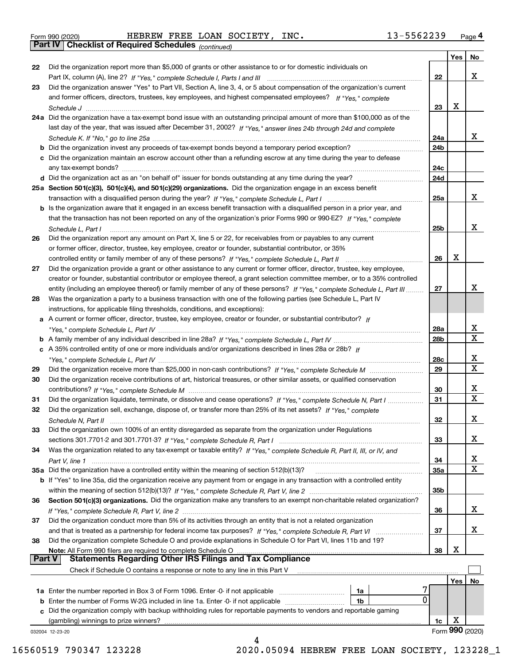|  | Form 990 (2020) |
|--|-----------------|
|  |                 |

*(continued)*

|               |                                                                                                                                   |            | Yes | No              |
|---------------|-----------------------------------------------------------------------------------------------------------------------------------|------------|-----|-----------------|
| 22            | Did the organization report more than \$5,000 of grants or other assistance to or for domestic individuals on                     |            |     |                 |
|               |                                                                                                                                   | 22         |     | x               |
| 23            | Did the organization answer "Yes" to Part VII, Section A, line 3, 4, or 5 about compensation of the organization's current        |            |     |                 |
|               | and former officers, directors, trustees, key employees, and highest compensated employees? If "Yes," complete                    |            |     |                 |
|               |                                                                                                                                   | 23         | X   |                 |
|               | 24a Did the organization have a tax-exempt bond issue with an outstanding principal amount of more than \$100,000 as of the       |            |     |                 |
|               | last day of the year, that was issued after December 31, 2002? If "Yes," answer lines 24b through 24d and complete                |            |     |                 |
|               |                                                                                                                                   | 24a        |     | x               |
|               |                                                                                                                                   | 24b        |     |                 |
|               | c Did the organization maintain an escrow account other than a refunding escrow at any time during the year to defease            |            |     |                 |
|               |                                                                                                                                   | 24с        |     |                 |
|               |                                                                                                                                   | 24d        |     |                 |
|               | 25a Section 501(c)(3), 501(c)(4), and 501(c)(29) organizations. Did the organization engage in an excess benefit                  |            |     |                 |
|               |                                                                                                                                   | 25a        |     | x               |
|               | b Is the organization aware that it engaged in an excess benefit transaction with a disqualified person in a prior year, and      |            |     |                 |
|               | that the transaction has not been reported on any of the organization's prior Forms 990 or 990-EZ? If "Yes," complete             |            |     |                 |
|               |                                                                                                                                   |            |     | x               |
|               | Schedule L. Part I                                                                                                                | 25b        |     |                 |
| 26            | Did the organization report any amount on Part X, line 5 or 22, for receivables from or payables to any current                   |            |     |                 |
|               | or former officer, director, trustee, key employee, creator or founder, substantial contributor, or 35%                           |            |     |                 |
|               | controlled entity or family member of any of these persons? If "Yes," complete Schedule L, Part II                                | 26         | X   |                 |
| 27            | Did the organization provide a grant or other assistance to any current or former officer, director, trustee, key employee,       |            |     |                 |
|               | creator or founder, substantial contributor or employee thereof, a grant selection committee member, or to a 35% controlled       |            |     |                 |
|               | entity (including an employee thereof) or family member of any of these persons? If "Yes," complete Schedule L, Part III          | 27         |     | x               |
| 28            | Was the organization a party to a business transaction with one of the following parties (see Schedule L, Part IV                 |            |     |                 |
|               | instructions, for applicable filing thresholds, conditions, and exceptions):                                                      |            |     |                 |
|               | a A current or former officer, director, trustee, key employee, creator or founder, or substantial contributor? If                |            |     |                 |
|               |                                                                                                                                   | 28a        |     | x               |
|               |                                                                                                                                   | 28b        |     | X               |
|               | c A 35% controlled entity of one or more individuals and/or organizations described in lines 28a or 28b? If                       |            |     |                 |
|               |                                                                                                                                   | 28c        |     | x               |
| 29            |                                                                                                                                   | 29         |     | $\mathbf X$     |
| 30            | Did the organization receive contributions of art, historical treasures, or other similar assets, or qualified conservation       |            |     |                 |
|               |                                                                                                                                   | 30         |     | x               |
| 31            | Did the organization liquidate, terminate, or dissolve and cease operations? If "Yes," complete Schedule N, Part I                | 31         |     | X               |
| 32            | Did the organization sell, exchange, dispose of, or transfer more than 25% of its net assets? If "Yes," complete                  |            |     |                 |
|               |                                                                                                                                   | 32         |     | x               |
|               | Did the organization own 100% of an entity disregarded as separate from the organization under Regulations                        |            |     |                 |
|               |                                                                                                                                   | 33         |     | x               |
| 34            | Was the organization related to any tax-exempt or taxable entity? If "Yes," complete Schedule R, Part II, III, or IV, and         |            |     |                 |
|               |                                                                                                                                   | 34         |     | x               |
|               | 35a Did the organization have a controlled entity within the meaning of section 512(b)(13)?                                       | <b>35a</b> |     | X               |
|               | b If "Yes" to line 35a, did the organization receive any payment from or engage in any transaction with a controlled entity       |            |     |                 |
|               |                                                                                                                                   | 35b        |     |                 |
| 36            | Section 501(c)(3) organizations. Did the organization make any transfers to an exempt non-charitable related organization?        |            |     |                 |
|               |                                                                                                                                   | 36         |     | x               |
| 37            | Did the organization conduct more than 5% of its activities through an entity that is not a related organization                  |            |     |                 |
|               |                                                                                                                                   |            |     | x               |
|               | and that is treated as a partnership for federal income tax purposes? If "Yes," complete Schedule R, Part VI                      | 37         |     |                 |
| 38            | Did the organization complete Schedule O and provide explanations in Schedule O for Part VI, lines 11b and 19?                    |            | х   |                 |
| <b>Part V</b> | Note: All Form 990 filers are required to complete Schedule O<br><b>Statements Regarding Other IRS Filings and Tax Compliance</b> | 38         |     |                 |
|               |                                                                                                                                   |            |     |                 |
|               | Check if Schedule O contains a response or note to any line in this Part V                                                        |            |     |                 |
|               |                                                                                                                                   |            | Yes | No              |
|               | 1a Enter the number reported in Box 3 of Form 1096. Enter -0- if not applicable<br>1a<br>0                                        |            |     |                 |
|               | <b>b</b> Enter the number of Forms W-2G included in line 1a. Enter -0- if not applicable<br>1b                                    |            |     |                 |
|               | c Did the organization comply with backup withholding rules for reportable payments to vendors and reportable gaming              |            |     |                 |
|               | (gambling) winnings to prize winners?                                                                                             | 1c         | х   |                 |
|               | 032004 12-23-20<br>4                                                                                                              |            |     | Form 990 (2020) |
|               |                                                                                                                                   |            |     |                 |

16560519 790347 123228 2020.05094 HEBREW FREE LOAN SOCIETY, 123228\_1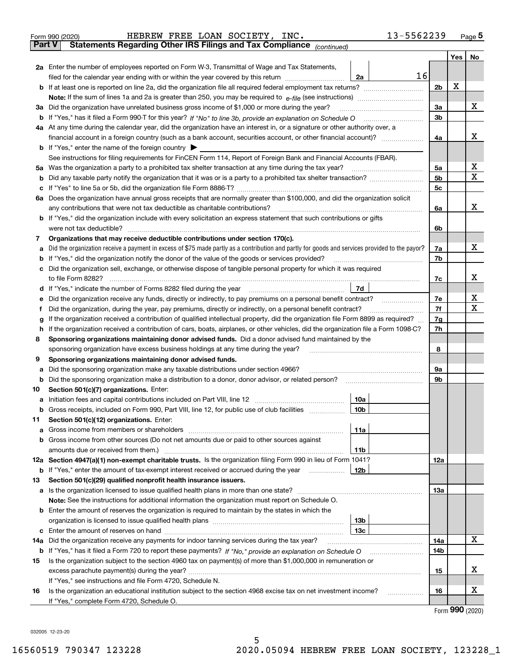| <b>Part V</b><br>Yes<br>No<br>2a Enter the number of employees reported on Form W-3, Transmittal of Wage and Tax Statements,<br>16<br>filed for the calendar year ending with or within the year covered by this return<br>2a<br>х<br>2b<br>х<br>3a<br>Did the organization have unrelated business gross income of \$1,000 or more during the year?<br>За<br>3b<br>4a At any time during the calendar year, did the organization have an interest in, or a signature or other authority over, a<br>х<br>4a<br><b>b</b> If "Yes," enter the name of the foreign country $\blacktriangleright$<br>See instructions for filing requirements for FinCEN Form 114, Report of Foreign Bank and Financial Accounts (FBAR).<br>х<br>Was the organization a party to a prohibited tax shelter transaction at any time during the tax year?<br>5a<br>5a<br>Χ<br>5b<br>b<br>5c<br>с<br>6a Does the organization have annual gross receipts that are normally greater than \$100,000, and did the organization solicit<br>x<br>any contributions that were not tax deductible as charitable contributions?<br>6a<br><b>b</b> If "Yes," did the organization include with every solicitation an express statement that such contributions or gifts<br>were not tax deductible?<br>6b<br>Organizations that may receive deductible contributions under section 170(c).<br>7<br>х<br>Did the organization receive a payment in excess of \$75 made partly as a contribution and partly for goods and services provided to the payor?<br>7a<br>а<br>If "Yes," did the organization notify the donor of the value of the goods or services provided?<br>7b<br>b<br>Did the organization sell, exchange, or otherwise dispose of tangible personal property for which it was required<br>с<br>х<br>7c<br>7d<br>d If "Yes," indicate the number of Forms 8282 filed during the year manufactured in the second of the way.<br>х<br>7e<br>е<br>Χ<br>7f<br>Did the organization, during the year, pay premiums, directly or indirectly, on a personal benefit contract?<br>f<br>If the organization received a contribution of qualified intellectual property, did the organization file Form 8899 as required?<br>7g<br>g<br>If the organization received a contribution of cars, boats, airplanes, or other vehicles, did the organization file a Form 1098-C?<br>7h<br>h<br>Sponsoring organizations maintaining donor advised funds. Did a donor advised fund maintained by the<br>8<br>8<br>sponsoring organization have excess business holdings at any time during the year?<br>Sponsoring organizations maintaining donor advised funds.<br>9<br>Did the sponsoring organization make any taxable distributions under section 4966?<br>9а<br>а<br>Did the sponsoring organization make a distribution to a donor, donor advisor, or related person?<br>9b<br>b<br>Section 501(c)(7) organizations. Enter:<br>10<br>10a<br>Initiation fees and capital contributions included on Part VIII, line 12 [111] [11] [11] [12] [11] [11] [12] [<br>а<br>10 <sub>b</sub><br>Gross receipts, included on Form 990, Part VIII, line 12, for public use of club facilities<br>Section 501(c)(12) organizations. Enter:<br>11<br>Gross income from members or shareholders<br>11a<br>a<br>Gross income from other sources (Do not net amounts due or paid to other sources against<br>b<br>11b<br>12a Section 4947(a)(1) non-exempt charitable trusts. Is the organization filing Form 990 in lieu of Form 1041?<br>12a<br>12 <sub>b</sub><br><b>b</b> If "Yes," enter the amount of tax-exempt interest received or accrued during the year<br>Section 501(c)(29) qualified nonprofit health insurance issuers.<br>13<br>13a<br>a Is the organization licensed to issue qualified health plans in more than one state?<br>Note: See the instructions for additional information the organization must report on Schedule O.<br>Enter the amount of reserves the organization is required to maintain by the states in which the<br>b<br>13b<br>13 <sub>c</sub><br>с<br>х<br>Did the organization receive any payments for indoor tanning services during the tax year?<br>14a<br>14a<br>14b<br><b>b</b> If "Yes," has it filed a Form 720 to report these payments? If "No," provide an explanation on Schedule O<br>Is the organization subject to the section 4960 tax on payment(s) of more than \$1,000,000 in remuneration or<br>15<br>х<br>15<br>If "Yes," see instructions and file Form 4720, Schedule N.<br>х<br>Is the organization an educational institution subject to the section 4968 excise tax on net investment income?<br>16<br>16<br>If "Yes," complete Form 4720, Schedule O.<br>$F_{\text{Orm}}$ 990 (2020) | HEBREW FREE LOAN SOCIETY, INC.<br>Form 990 (2020)                     | 13-5562239 | <u>Page 5</u> |
|-------------------------------------------------------------------------------------------------------------------------------------------------------------------------------------------------------------------------------------------------------------------------------------------------------------------------------------------------------------------------------------------------------------------------------------------------------------------------------------------------------------------------------------------------------------------------------------------------------------------------------------------------------------------------------------------------------------------------------------------------------------------------------------------------------------------------------------------------------------------------------------------------------------------------------------------------------------------------------------------------------------------------------------------------------------------------------------------------------------------------------------------------------------------------------------------------------------------------------------------------------------------------------------------------------------------------------------------------------------------------------------------------------------------------------------------------------------------------------------------------------------------------------------------------------------------------------------------------------------------------------------------------------------------------------------------------------------------------------------------------------------------------------------------------------------------------------------------------------------------------------------------------------------------------------------------------------------------------------------------------------------------------------------------------------------------------------------------------------------------------------------------------------------------------------------------------------------------------------------------------------------------------------------------------------------------------------------------------------------------------------------------------------------------------------------------------------------------------------------------------------------------------------------------------------------------------------------------------------------------------------------------------------------------------------------------------------------------------------------------------------------------------------------------------------------------------------------------------------------------------------------------------------------------------------------------------------------------------------------------------------------------------------------------------------------------------------------------------------------------------------------------------------------------------------------------------------------------------------------------------------------------------------------------------------------------------------------------------------------------------------------------------------------------------------------------------------------------------------------------------------------------------------------------------------------------------------------------------------------------------------------------------------------------------------------------------------------------------------------------------------------------------------------------------------------------------------------------------------------------------------------------------------------------------------------------------------------------------------------------------------------------------------------------------------------------------------------------------------------------------------------------------------------------------------------------------------------------------------------------------------------------------------------------------------------------------------------------------------------------------------------------------------------------------------------------------------------------------------------------------------------------------------------------------------------------------------------------------------------------------------------------------------------------------------------------------------------|-----------------------------------------------------------------------|------------|---------------|
|                                                                                                                                                                                                                                                                                                                                                                                                                                                                                                                                                                                                                                                                                                                                                                                                                                                                                                                                                                                                                                                                                                                                                                                                                                                                                                                                                                                                                                                                                                                                                                                                                                                                                                                                                                                                                                                                                                                                                                                                                                                                                                                                                                                                                                                                                                                                                                                                                                                                                                                                                                                                                                                                                                                                                                                                                                                                                                                                                                                                                                                                                                                                                                                                                                                                                                                                                                                                                                                                                                                                                                                                                                                                                                                                                                                                                                                                                                                                                                                                                                                                                                                                                                                                                                                                                                                                                                                                                                                                                                                                                                                                                                                                                                             | Statements Regarding Other IRS Filings and Tax Compliance (continued) |            |               |
|                                                                                                                                                                                                                                                                                                                                                                                                                                                                                                                                                                                                                                                                                                                                                                                                                                                                                                                                                                                                                                                                                                                                                                                                                                                                                                                                                                                                                                                                                                                                                                                                                                                                                                                                                                                                                                                                                                                                                                                                                                                                                                                                                                                                                                                                                                                                                                                                                                                                                                                                                                                                                                                                                                                                                                                                                                                                                                                                                                                                                                                                                                                                                                                                                                                                                                                                                                                                                                                                                                                                                                                                                                                                                                                                                                                                                                                                                                                                                                                                                                                                                                                                                                                                                                                                                                                                                                                                                                                                                                                                                                                                                                                                                                             |                                                                       |            |               |
|                                                                                                                                                                                                                                                                                                                                                                                                                                                                                                                                                                                                                                                                                                                                                                                                                                                                                                                                                                                                                                                                                                                                                                                                                                                                                                                                                                                                                                                                                                                                                                                                                                                                                                                                                                                                                                                                                                                                                                                                                                                                                                                                                                                                                                                                                                                                                                                                                                                                                                                                                                                                                                                                                                                                                                                                                                                                                                                                                                                                                                                                                                                                                                                                                                                                                                                                                                                                                                                                                                                                                                                                                                                                                                                                                                                                                                                                                                                                                                                                                                                                                                                                                                                                                                                                                                                                                                                                                                                                                                                                                                                                                                                                                                             |                                                                       |            |               |
|                                                                                                                                                                                                                                                                                                                                                                                                                                                                                                                                                                                                                                                                                                                                                                                                                                                                                                                                                                                                                                                                                                                                                                                                                                                                                                                                                                                                                                                                                                                                                                                                                                                                                                                                                                                                                                                                                                                                                                                                                                                                                                                                                                                                                                                                                                                                                                                                                                                                                                                                                                                                                                                                                                                                                                                                                                                                                                                                                                                                                                                                                                                                                                                                                                                                                                                                                                                                                                                                                                                                                                                                                                                                                                                                                                                                                                                                                                                                                                                                                                                                                                                                                                                                                                                                                                                                                                                                                                                                                                                                                                                                                                                                                                             |                                                                       |            |               |
|                                                                                                                                                                                                                                                                                                                                                                                                                                                                                                                                                                                                                                                                                                                                                                                                                                                                                                                                                                                                                                                                                                                                                                                                                                                                                                                                                                                                                                                                                                                                                                                                                                                                                                                                                                                                                                                                                                                                                                                                                                                                                                                                                                                                                                                                                                                                                                                                                                                                                                                                                                                                                                                                                                                                                                                                                                                                                                                                                                                                                                                                                                                                                                                                                                                                                                                                                                                                                                                                                                                                                                                                                                                                                                                                                                                                                                                                                                                                                                                                                                                                                                                                                                                                                                                                                                                                                                                                                                                                                                                                                                                                                                                                                                             |                                                                       |            |               |
|                                                                                                                                                                                                                                                                                                                                                                                                                                                                                                                                                                                                                                                                                                                                                                                                                                                                                                                                                                                                                                                                                                                                                                                                                                                                                                                                                                                                                                                                                                                                                                                                                                                                                                                                                                                                                                                                                                                                                                                                                                                                                                                                                                                                                                                                                                                                                                                                                                                                                                                                                                                                                                                                                                                                                                                                                                                                                                                                                                                                                                                                                                                                                                                                                                                                                                                                                                                                                                                                                                                                                                                                                                                                                                                                                                                                                                                                                                                                                                                                                                                                                                                                                                                                                                                                                                                                                                                                                                                                                                                                                                                                                                                                                                             |                                                                       |            |               |
|                                                                                                                                                                                                                                                                                                                                                                                                                                                                                                                                                                                                                                                                                                                                                                                                                                                                                                                                                                                                                                                                                                                                                                                                                                                                                                                                                                                                                                                                                                                                                                                                                                                                                                                                                                                                                                                                                                                                                                                                                                                                                                                                                                                                                                                                                                                                                                                                                                                                                                                                                                                                                                                                                                                                                                                                                                                                                                                                                                                                                                                                                                                                                                                                                                                                                                                                                                                                                                                                                                                                                                                                                                                                                                                                                                                                                                                                                                                                                                                                                                                                                                                                                                                                                                                                                                                                                                                                                                                                                                                                                                                                                                                                                                             |                                                                       |            |               |
|                                                                                                                                                                                                                                                                                                                                                                                                                                                                                                                                                                                                                                                                                                                                                                                                                                                                                                                                                                                                                                                                                                                                                                                                                                                                                                                                                                                                                                                                                                                                                                                                                                                                                                                                                                                                                                                                                                                                                                                                                                                                                                                                                                                                                                                                                                                                                                                                                                                                                                                                                                                                                                                                                                                                                                                                                                                                                                                                                                                                                                                                                                                                                                                                                                                                                                                                                                                                                                                                                                                                                                                                                                                                                                                                                                                                                                                                                                                                                                                                                                                                                                                                                                                                                                                                                                                                                                                                                                                                                                                                                                                                                                                                                                             |                                                                       |            |               |
|                                                                                                                                                                                                                                                                                                                                                                                                                                                                                                                                                                                                                                                                                                                                                                                                                                                                                                                                                                                                                                                                                                                                                                                                                                                                                                                                                                                                                                                                                                                                                                                                                                                                                                                                                                                                                                                                                                                                                                                                                                                                                                                                                                                                                                                                                                                                                                                                                                                                                                                                                                                                                                                                                                                                                                                                                                                                                                                                                                                                                                                                                                                                                                                                                                                                                                                                                                                                                                                                                                                                                                                                                                                                                                                                                                                                                                                                                                                                                                                                                                                                                                                                                                                                                                                                                                                                                                                                                                                                                                                                                                                                                                                                                                             |                                                                       |            |               |
|                                                                                                                                                                                                                                                                                                                                                                                                                                                                                                                                                                                                                                                                                                                                                                                                                                                                                                                                                                                                                                                                                                                                                                                                                                                                                                                                                                                                                                                                                                                                                                                                                                                                                                                                                                                                                                                                                                                                                                                                                                                                                                                                                                                                                                                                                                                                                                                                                                                                                                                                                                                                                                                                                                                                                                                                                                                                                                                                                                                                                                                                                                                                                                                                                                                                                                                                                                                                                                                                                                                                                                                                                                                                                                                                                                                                                                                                                                                                                                                                                                                                                                                                                                                                                                                                                                                                                                                                                                                                                                                                                                                                                                                                                                             |                                                                       |            |               |
|                                                                                                                                                                                                                                                                                                                                                                                                                                                                                                                                                                                                                                                                                                                                                                                                                                                                                                                                                                                                                                                                                                                                                                                                                                                                                                                                                                                                                                                                                                                                                                                                                                                                                                                                                                                                                                                                                                                                                                                                                                                                                                                                                                                                                                                                                                                                                                                                                                                                                                                                                                                                                                                                                                                                                                                                                                                                                                                                                                                                                                                                                                                                                                                                                                                                                                                                                                                                                                                                                                                                                                                                                                                                                                                                                                                                                                                                                                                                                                                                                                                                                                                                                                                                                                                                                                                                                                                                                                                                                                                                                                                                                                                                                                             |                                                                       |            |               |
|                                                                                                                                                                                                                                                                                                                                                                                                                                                                                                                                                                                                                                                                                                                                                                                                                                                                                                                                                                                                                                                                                                                                                                                                                                                                                                                                                                                                                                                                                                                                                                                                                                                                                                                                                                                                                                                                                                                                                                                                                                                                                                                                                                                                                                                                                                                                                                                                                                                                                                                                                                                                                                                                                                                                                                                                                                                                                                                                                                                                                                                                                                                                                                                                                                                                                                                                                                                                                                                                                                                                                                                                                                                                                                                                                                                                                                                                                                                                                                                                                                                                                                                                                                                                                                                                                                                                                                                                                                                                                                                                                                                                                                                                                                             |                                                                       |            |               |
|                                                                                                                                                                                                                                                                                                                                                                                                                                                                                                                                                                                                                                                                                                                                                                                                                                                                                                                                                                                                                                                                                                                                                                                                                                                                                                                                                                                                                                                                                                                                                                                                                                                                                                                                                                                                                                                                                                                                                                                                                                                                                                                                                                                                                                                                                                                                                                                                                                                                                                                                                                                                                                                                                                                                                                                                                                                                                                                                                                                                                                                                                                                                                                                                                                                                                                                                                                                                                                                                                                                                                                                                                                                                                                                                                                                                                                                                                                                                                                                                                                                                                                                                                                                                                                                                                                                                                                                                                                                                                                                                                                                                                                                                                                             |                                                                       |            |               |
|                                                                                                                                                                                                                                                                                                                                                                                                                                                                                                                                                                                                                                                                                                                                                                                                                                                                                                                                                                                                                                                                                                                                                                                                                                                                                                                                                                                                                                                                                                                                                                                                                                                                                                                                                                                                                                                                                                                                                                                                                                                                                                                                                                                                                                                                                                                                                                                                                                                                                                                                                                                                                                                                                                                                                                                                                                                                                                                                                                                                                                                                                                                                                                                                                                                                                                                                                                                                                                                                                                                                                                                                                                                                                                                                                                                                                                                                                                                                                                                                                                                                                                                                                                                                                                                                                                                                                                                                                                                                                                                                                                                                                                                                                                             |                                                                       |            |               |
|                                                                                                                                                                                                                                                                                                                                                                                                                                                                                                                                                                                                                                                                                                                                                                                                                                                                                                                                                                                                                                                                                                                                                                                                                                                                                                                                                                                                                                                                                                                                                                                                                                                                                                                                                                                                                                                                                                                                                                                                                                                                                                                                                                                                                                                                                                                                                                                                                                                                                                                                                                                                                                                                                                                                                                                                                                                                                                                                                                                                                                                                                                                                                                                                                                                                                                                                                                                                                                                                                                                                                                                                                                                                                                                                                                                                                                                                                                                                                                                                                                                                                                                                                                                                                                                                                                                                                                                                                                                                                                                                                                                                                                                                                                             |                                                                       |            |               |
|                                                                                                                                                                                                                                                                                                                                                                                                                                                                                                                                                                                                                                                                                                                                                                                                                                                                                                                                                                                                                                                                                                                                                                                                                                                                                                                                                                                                                                                                                                                                                                                                                                                                                                                                                                                                                                                                                                                                                                                                                                                                                                                                                                                                                                                                                                                                                                                                                                                                                                                                                                                                                                                                                                                                                                                                                                                                                                                                                                                                                                                                                                                                                                                                                                                                                                                                                                                                                                                                                                                                                                                                                                                                                                                                                                                                                                                                                                                                                                                                                                                                                                                                                                                                                                                                                                                                                                                                                                                                                                                                                                                                                                                                                                             |                                                                       |            |               |
|                                                                                                                                                                                                                                                                                                                                                                                                                                                                                                                                                                                                                                                                                                                                                                                                                                                                                                                                                                                                                                                                                                                                                                                                                                                                                                                                                                                                                                                                                                                                                                                                                                                                                                                                                                                                                                                                                                                                                                                                                                                                                                                                                                                                                                                                                                                                                                                                                                                                                                                                                                                                                                                                                                                                                                                                                                                                                                                                                                                                                                                                                                                                                                                                                                                                                                                                                                                                                                                                                                                                                                                                                                                                                                                                                                                                                                                                                                                                                                                                                                                                                                                                                                                                                                                                                                                                                                                                                                                                                                                                                                                                                                                                                                             |                                                                       |            |               |
|                                                                                                                                                                                                                                                                                                                                                                                                                                                                                                                                                                                                                                                                                                                                                                                                                                                                                                                                                                                                                                                                                                                                                                                                                                                                                                                                                                                                                                                                                                                                                                                                                                                                                                                                                                                                                                                                                                                                                                                                                                                                                                                                                                                                                                                                                                                                                                                                                                                                                                                                                                                                                                                                                                                                                                                                                                                                                                                                                                                                                                                                                                                                                                                                                                                                                                                                                                                                                                                                                                                                                                                                                                                                                                                                                                                                                                                                                                                                                                                                                                                                                                                                                                                                                                                                                                                                                                                                                                                                                                                                                                                                                                                                                                             |                                                                       |            |               |
|                                                                                                                                                                                                                                                                                                                                                                                                                                                                                                                                                                                                                                                                                                                                                                                                                                                                                                                                                                                                                                                                                                                                                                                                                                                                                                                                                                                                                                                                                                                                                                                                                                                                                                                                                                                                                                                                                                                                                                                                                                                                                                                                                                                                                                                                                                                                                                                                                                                                                                                                                                                                                                                                                                                                                                                                                                                                                                                                                                                                                                                                                                                                                                                                                                                                                                                                                                                                                                                                                                                                                                                                                                                                                                                                                                                                                                                                                                                                                                                                                                                                                                                                                                                                                                                                                                                                                                                                                                                                                                                                                                                                                                                                                                             |                                                                       |            |               |
|                                                                                                                                                                                                                                                                                                                                                                                                                                                                                                                                                                                                                                                                                                                                                                                                                                                                                                                                                                                                                                                                                                                                                                                                                                                                                                                                                                                                                                                                                                                                                                                                                                                                                                                                                                                                                                                                                                                                                                                                                                                                                                                                                                                                                                                                                                                                                                                                                                                                                                                                                                                                                                                                                                                                                                                                                                                                                                                                                                                                                                                                                                                                                                                                                                                                                                                                                                                                                                                                                                                                                                                                                                                                                                                                                                                                                                                                                                                                                                                                                                                                                                                                                                                                                                                                                                                                                                                                                                                                                                                                                                                                                                                                                                             |                                                                       |            |               |
|                                                                                                                                                                                                                                                                                                                                                                                                                                                                                                                                                                                                                                                                                                                                                                                                                                                                                                                                                                                                                                                                                                                                                                                                                                                                                                                                                                                                                                                                                                                                                                                                                                                                                                                                                                                                                                                                                                                                                                                                                                                                                                                                                                                                                                                                                                                                                                                                                                                                                                                                                                                                                                                                                                                                                                                                                                                                                                                                                                                                                                                                                                                                                                                                                                                                                                                                                                                                                                                                                                                                                                                                                                                                                                                                                                                                                                                                                                                                                                                                                                                                                                                                                                                                                                                                                                                                                                                                                                                                                                                                                                                                                                                                                                             |                                                                       |            |               |
|                                                                                                                                                                                                                                                                                                                                                                                                                                                                                                                                                                                                                                                                                                                                                                                                                                                                                                                                                                                                                                                                                                                                                                                                                                                                                                                                                                                                                                                                                                                                                                                                                                                                                                                                                                                                                                                                                                                                                                                                                                                                                                                                                                                                                                                                                                                                                                                                                                                                                                                                                                                                                                                                                                                                                                                                                                                                                                                                                                                                                                                                                                                                                                                                                                                                                                                                                                                                                                                                                                                                                                                                                                                                                                                                                                                                                                                                                                                                                                                                                                                                                                                                                                                                                                                                                                                                                                                                                                                                                                                                                                                                                                                                                                             |                                                                       |            |               |
|                                                                                                                                                                                                                                                                                                                                                                                                                                                                                                                                                                                                                                                                                                                                                                                                                                                                                                                                                                                                                                                                                                                                                                                                                                                                                                                                                                                                                                                                                                                                                                                                                                                                                                                                                                                                                                                                                                                                                                                                                                                                                                                                                                                                                                                                                                                                                                                                                                                                                                                                                                                                                                                                                                                                                                                                                                                                                                                                                                                                                                                                                                                                                                                                                                                                                                                                                                                                                                                                                                                                                                                                                                                                                                                                                                                                                                                                                                                                                                                                                                                                                                                                                                                                                                                                                                                                                                                                                                                                                                                                                                                                                                                                                                             |                                                                       |            |               |
|                                                                                                                                                                                                                                                                                                                                                                                                                                                                                                                                                                                                                                                                                                                                                                                                                                                                                                                                                                                                                                                                                                                                                                                                                                                                                                                                                                                                                                                                                                                                                                                                                                                                                                                                                                                                                                                                                                                                                                                                                                                                                                                                                                                                                                                                                                                                                                                                                                                                                                                                                                                                                                                                                                                                                                                                                                                                                                                                                                                                                                                                                                                                                                                                                                                                                                                                                                                                                                                                                                                                                                                                                                                                                                                                                                                                                                                                                                                                                                                                                                                                                                                                                                                                                                                                                                                                                                                                                                                                                                                                                                                                                                                                                                             |                                                                       |            |               |
|                                                                                                                                                                                                                                                                                                                                                                                                                                                                                                                                                                                                                                                                                                                                                                                                                                                                                                                                                                                                                                                                                                                                                                                                                                                                                                                                                                                                                                                                                                                                                                                                                                                                                                                                                                                                                                                                                                                                                                                                                                                                                                                                                                                                                                                                                                                                                                                                                                                                                                                                                                                                                                                                                                                                                                                                                                                                                                                                                                                                                                                                                                                                                                                                                                                                                                                                                                                                                                                                                                                                                                                                                                                                                                                                                                                                                                                                                                                                                                                                                                                                                                                                                                                                                                                                                                                                                                                                                                                                                                                                                                                                                                                                                                             |                                                                       |            |               |
|                                                                                                                                                                                                                                                                                                                                                                                                                                                                                                                                                                                                                                                                                                                                                                                                                                                                                                                                                                                                                                                                                                                                                                                                                                                                                                                                                                                                                                                                                                                                                                                                                                                                                                                                                                                                                                                                                                                                                                                                                                                                                                                                                                                                                                                                                                                                                                                                                                                                                                                                                                                                                                                                                                                                                                                                                                                                                                                                                                                                                                                                                                                                                                                                                                                                                                                                                                                                                                                                                                                                                                                                                                                                                                                                                                                                                                                                                                                                                                                                                                                                                                                                                                                                                                                                                                                                                                                                                                                                                                                                                                                                                                                                                                             |                                                                       |            |               |
|                                                                                                                                                                                                                                                                                                                                                                                                                                                                                                                                                                                                                                                                                                                                                                                                                                                                                                                                                                                                                                                                                                                                                                                                                                                                                                                                                                                                                                                                                                                                                                                                                                                                                                                                                                                                                                                                                                                                                                                                                                                                                                                                                                                                                                                                                                                                                                                                                                                                                                                                                                                                                                                                                                                                                                                                                                                                                                                                                                                                                                                                                                                                                                                                                                                                                                                                                                                                                                                                                                                                                                                                                                                                                                                                                                                                                                                                                                                                                                                                                                                                                                                                                                                                                                                                                                                                                                                                                                                                                                                                                                                                                                                                                                             |                                                                       |            |               |
|                                                                                                                                                                                                                                                                                                                                                                                                                                                                                                                                                                                                                                                                                                                                                                                                                                                                                                                                                                                                                                                                                                                                                                                                                                                                                                                                                                                                                                                                                                                                                                                                                                                                                                                                                                                                                                                                                                                                                                                                                                                                                                                                                                                                                                                                                                                                                                                                                                                                                                                                                                                                                                                                                                                                                                                                                                                                                                                                                                                                                                                                                                                                                                                                                                                                                                                                                                                                                                                                                                                                                                                                                                                                                                                                                                                                                                                                                                                                                                                                                                                                                                                                                                                                                                                                                                                                                                                                                                                                                                                                                                                                                                                                                                             |                                                                       |            |               |
|                                                                                                                                                                                                                                                                                                                                                                                                                                                                                                                                                                                                                                                                                                                                                                                                                                                                                                                                                                                                                                                                                                                                                                                                                                                                                                                                                                                                                                                                                                                                                                                                                                                                                                                                                                                                                                                                                                                                                                                                                                                                                                                                                                                                                                                                                                                                                                                                                                                                                                                                                                                                                                                                                                                                                                                                                                                                                                                                                                                                                                                                                                                                                                                                                                                                                                                                                                                                                                                                                                                                                                                                                                                                                                                                                                                                                                                                                                                                                                                                                                                                                                                                                                                                                                                                                                                                                                                                                                                                                                                                                                                                                                                                                                             |                                                                       |            |               |
|                                                                                                                                                                                                                                                                                                                                                                                                                                                                                                                                                                                                                                                                                                                                                                                                                                                                                                                                                                                                                                                                                                                                                                                                                                                                                                                                                                                                                                                                                                                                                                                                                                                                                                                                                                                                                                                                                                                                                                                                                                                                                                                                                                                                                                                                                                                                                                                                                                                                                                                                                                                                                                                                                                                                                                                                                                                                                                                                                                                                                                                                                                                                                                                                                                                                                                                                                                                                                                                                                                                                                                                                                                                                                                                                                                                                                                                                                                                                                                                                                                                                                                                                                                                                                                                                                                                                                                                                                                                                                                                                                                                                                                                                                                             |                                                                       |            |               |
|                                                                                                                                                                                                                                                                                                                                                                                                                                                                                                                                                                                                                                                                                                                                                                                                                                                                                                                                                                                                                                                                                                                                                                                                                                                                                                                                                                                                                                                                                                                                                                                                                                                                                                                                                                                                                                                                                                                                                                                                                                                                                                                                                                                                                                                                                                                                                                                                                                                                                                                                                                                                                                                                                                                                                                                                                                                                                                                                                                                                                                                                                                                                                                                                                                                                                                                                                                                                                                                                                                                                                                                                                                                                                                                                                                                                                                                                                                                                                                                                                                                                                                                                                                                                                                                                                                                                                                                                                                                                                                                                                                                                                                                                                                             |                                                                       |            |               |
|                                                                                                                                                                                                                                                                                                                                                                                                                                                                                                                                                                                                                                                                                                                                                                                                                                                                                                                                                                                                                                                                                                                                                                                                                                                                                                                                                                                                                                                                                                                                                                                                                                                                                                                                                                                                                                                                                                                                                                                                                                                                                                                                                                                                                                                                                                                                                                                                                                                                                                                                                                                                                                                                                                                                                                                                                                                                                                                                                                                                                                                                                                                                                                                                                                                                                                                                                                                                                                                                                                                                                                                                                                                                                                                                                                                                                                                                                                                                                                                                                                                                                                                                                                                                                                                                                                                                                                                                                                                                                                                                                                                                                                                                                                             |                                                                       |            |               |
|                                                                                                                                                                                                                                                                                                                                                                                                                                                                                                                                                                                                                                                                                                                                                                                                                                                                                                                                                                                                                                                                                                                                                                                                                                                                                                                                                                                                                                                                                                                                                                                                                                                                                                                                                                                                                                                                                                                                                                                                                                                                                                                                                                                                                                                                                                                                                                                                                                                                                                                                                                                                                                                                                                                                                                                                                                                                                                                                                                                                                                                                                                                                                                                                                                                                                                                                                                                                                                                                                                                                                                                                                                                                                                                                                                                                                                                                                                                                                                                                                                                                                                                                                                                                                                                                                                                                                                                                                                                                                                                                                                                                                                                                                                             |                                                                       |            |               |
|                                                                                                                                                                                                                                                                                                                                                                                                                                                                                                                                                                                                                                                                                                                                                                                                                                                                                                                                                                                                                                                                                                                                                                                                                                                                                                                                                                                                                                                                                                                                                                                                                                                                                                                                                                                                                                                                                                                                                                                                                                                                                                                                                                                                                                                                                                                                                                                                                                                                                                                                                                                                                                                                                                                                                                                                                                                                                                                                                                                                                                                                                                                                                                                                                                                                                                                                                                                                                                                                                                                                                                                                                                                                                                                                                                                                                                                                                                                                                                                                                                                                                                                                                                                                                                                                                                                                                                                                                                                                                                                                                                                                                                                                                                             |                                                                       |            |               |
|                                                                                                                                                                                                                                                                                                                                                                                                                                                                                                                                                                                                                                                                                                                                                                                                                                                                                                                                                                                                                                                                                                                                                                                                                                                                                                                                                                                                                                                                                                                                                                                                                                                                                                                                                                                                                                                                                                                                                                                                                                                                                                                                                                                                                                                                                                                                                                                                                                                                                                                                                                                                                                                                                                                                                                                                                                                                                                                                                                                                                                                                                                                                                                                                                                                                                                                                                                                                                                                                                                                                                                                                                                                                                                                                                                                                                                                                                                                                                                                                                                                                                                                                                                                                                                                                                                                                                                                                                                                                                                                                                                                                                                                                                                             |                                                                       |            |               |
|                                                                                                                                                                                                                                                                                                                                                                                                                                                                                                                                                                                                                                                                                                                                                                                                                                                                                                                                                                                                                                                                                                                                                                                                                                                                                                                                                                                                                                                                                                                                                                                                                                                                                                                                                                                                                                                                                                                                                                                                                                                                                                                                                                                                                                                                                                                                                                                                                                                                                                                                                                                                                                                                                                                                                                                                                                                                                                                                                                                                                                                                                                                                                                                                                                                                                                                                                                                                                                                                                                                                                                                                                                                                                                                                                                                                                                                                                                                                                                                                                                                                                                                                                                                                                                                                                                                                                                                                                                                                                                                                                                                                                                                                                                             |                                                                       |            |               |
|                                                                                                                                                                                                                                                                                                                                                                                                                                                                                                                                                                                                                                                                                                                                                                                                                                                                                                                                                                                                                                                                                                                                                                                                                                                                                                                                                                                                                                                                                                                                                                                                                                                                                                                                                                                                                                                                                                                                                                                                                                                                                                                                                                                                                                                                                                                                                                                                                                                                                                                                                                                                                                                                                                                                                                                                                                                                                                                                                                                                                                                                                                                                                                                                                                                                                                                                                                                                                                                                                                                                                                                                                                                                                                                                                                                                                                                                                                                                                                                                                                                                                                                                                                                                                                                                                                                                                                                                                                                                                                                                                                                                                                                                                                             |                                                                       |            |               |
|                                                                                                                                                                                                                                                                                                                                                                                                                                                                                                                                                                                                                                                                                                                                                                                                                                                                                                                                                                                                                                                                                                                                                                                                                                                                                                                                                                                                                                                                                                                                                                                                                                                                                                                                                                                                                                                                                                                                                                                                                                                                                                                                                                                                                                                                                                                                                                                                                                                                                                                                                                                                                                                                                                                                                                                                                                                                                                                                                                                                                                                                                                                                                                                                                                                                                                                                                                                                                                                                                                                                                                                                                                                                                                                                                                                                                                                                                                                                                                                                                                                                                                                                                                                                                                                                                                                                                                                                                                                                                                                                                                                                                                                                                                             |                                                                       |            |               |
|                                                                                                                                                                                                                                                                                                                                                                                                                                                                                                                                                                                                                                                                                                                                                                                                                                                                                                                                                                                                                                                                                                                                                                                                                                                                                                                                                                                                                                                                                                                                                                                                                                                                                                                                                                                                                                                                                                                                                                                                                                                                                                                                                                                                                                                                                                                                                                                                                                                                                                                                                                                                                                                                                                                                                                                                                                                                                                                                                                                                                                                                                                                                                                                                                                                                                                                                                                                                                                                                                                                                                                                                                                                                                                                                                                                                                                                                                                                                                                                                                                                                                                                                                                                                                                                                                                                                                                                                                                                                                                                                                                                                                                                                                                             |                                                                       |            |               |
|                                                                                                                                                                                                                                                                                                                                                                                                                                                                                                                                                                                                                                                                                                                                                                                                                                                                                                                                                                                                                                                                                                                                                                                                                                                                                                                                                                                                                                                                                                                                                                                                                                                                                                                                                                                                                                                                                                                                                                                                                                                                                                                                                                                                                                                                                                                                                                                                                                                                                                                                                                                                                                                                                                                                                                                                                                                                                                                                                                                                                                                                                                                                                                                                                                                                                                                                                                                                                                                                                                                                                                                                                                                                                                                                                                                                                                                                                                                                                                                                                                                                                                                                                                                                                                                                                                                                                                                                                                                                                                                                                                                                                                                                                                             |                                                                       |            |               |
|                                                                                                                                                                                                                                                                                                                                                                                                                                                                                                                                                                                                                                                                                                                                                                                                                                                                                                                                                                                                                                                                                                                                                                                                                                                                                                                                                                                                                                                                                                                                                                                                                                                                                                                                                                                                                                                                                                                                                                                                                                                                                                                                                                                                                                                                                                                                                                                                                                                                                                                                                                                                                                                                                                                                                                                                                                                                                                                                                                                                                                                                                                                                                                                                                                                                                                                                                                                                                                                                                                                                                                                                                                                                                                                                                                                                                                                                                                                                                                                                                                                                                                                                                                                                                                                                                                                                                                                                                                                                                                                                                                                                                                                                                                             |                                                                       |            |               |
|                                                                                                                                                                                                                                                                                                                                                                                                                                                                                                                                                                                                                                                                                                                                                                                                                                                                                                                                                                                                                                                                                                                                                                                                                                                                                                                                                                                                                                                                                                                                                                                                                                                                                                                                                                                                                                                                                                                                                                                                                                                                                                                                                                                                                                                                                                                                                                                                                                                                                                                                                                                                                                                                                                                                                                                                                                                                                                                                                                                                                                                                                                                                                                                                                                                                                                                                                                                                                                                                                                                                                                                                                                                                                                                                                                                                                                                                                                                                                                                                                                                                                                                                                                                                                                                                                                                                                                                                                                                                                                                                                                                                                                                                                                             |                                                                       |            |               |
|                                                                                                                                                                                                                                                                                                                                                                                                                                                                                                                                                                                                                                                                                                                                                                                                                                                                                                                                                                                                                                                                                                                                                                                                                                                                                                                                                                                                                                                                                                                                                                                                                                                                                                                                                                                                                                                                                                                                                                                                                                                                                                                                                                                                                                                                                                                                                                                                                                                                                                                                                                                                                                                                                                                                                                                                                                                                                                                                                                                                                                                                                                                                                                                                                                                                                                                                                                                                                                                                                                                                                                                                                                                                                                                                                                                                                                                                                                                                                                                                                                                                                                                                                                                                                                                                                                                                                                                                                                                                                                                                                                                                                                                                                                             |                                                                       |            |               |
|                                                                                                                                                                                                                                                                                                                                                                                                                                                                                                                                                                                                                                                                                                                                                                                                                                                                                                                                                                                                                                                                                                                                                                                                                                                                                                                                                                                                                                                                                                                                                                                                                                                                                                                                                                                                                                                                                                                                                                                                                                                                                                                                                                                                                                                                                                                                                                                                                                                                                                                                                                                                                                                                                                                                                                                                                                                                                                                                                                                                                                                                                                                                                                                                                                                                                                                                                                                                                                                                                                                                                                                                                                                                                                                                                                                                                                                                                                                                                                                                                                                                                                                                                                                                                                                                                                                                                                                                                                                                                                                                                                                                                                                                                                             |                                                                       |            |               |
|                                                                                                                                                                                                                                                                                                                                                                                                                                                                                                                                                                                                                                                                                                                                                                                                                                                                                                                                                                                                                                                                                                                                                                                                                                                                                                                                                                                                                                                                                                                                                                                                                                                                                                                                                                                                                                                                                                                                                                                                                                                                                                                                                                                                                                                                                                                                                                                                                                                                                                                                                                                                                                                                                                                                                                                                                                                                                                                                                                                                                                                                                                                                                                                                                                                                                                                                                                                                                                                                                                                                                                                                                                                                                                                                                                                                                                                                                                                                                                                                                                                                                                                                                                                                                                                                                                                                                                                                                                                                                                                                                                                                                                                                                                             |                                                                       |            |               |
|                                                                                                                                                                                                                                                                                                                                                                                                                                                                                                                                                                                                                                                                                                                                                                                                                                                                                                                                                                                                                                                                                                                                                                                                                                                                                                                                                                                                                                                                                                                                                                                                                                                                                                                                                                                                                                                                                                                                                                                                                                                                                                                                                                                                                                                                                                                                                                                                                                                                                                                                                                                                                                                                                                                                                                                                                                                                                                                                                                                                                                                                                                                                                                                                                                                                                                                                                                                                                                                                                                                                                                                                                                                                                                                                                                                                                                                                                                                                                                                                                                                                                                                                                                                                                                                                                                                                                                                                                                                                                                                                                                                                                                                                                                             |                                                                       |            |               |
|                                                                                                                                                                                                                                                                                                                                                                                                                                                                                                                                                                                                                                                                                                                                                                                                                                                                                                                                                                                                                                                                                                                                                                                                                                                                                                                                                                                                                                                                                                                                                                                                                                                                                                                                                                                                                                                                                                                                                                                                                                                                                                                                                                                                                                                                                                                                                                                                                                                                                                                                                                                                                                                                                                                                                                                                                                                                                                                                                                                                                                                                                                                                                                                                                                                                                                                                                                                                                                                                                                                                                                                                                                                                                                                                                                                                                                                                                                                                                                                                                                                                                                                                                                                                                                                                                                                                                                                                                                                                                                                                                                                                                                                                                                             |                                                                       |            |               |
|                                                                                                                                                                                                                                                                                                                                                                                                                                                                                                                                                                                                                                                                                                                                                                                                                                                                                                                                                                                                                                                                                                                                                                                                                                                                                                                                                                                                                                                                                                                                                                                                                                                                                                                                                                                                                                                                                                                                                                                                                                                                                                                                                                                                                                                                                                                                                                                                                                                                                                                                                                                                                                                                                                                                                                                                                                                                                                                                                                                                                                                                                                                                                                                                                                                                                                                                                                                                                                                                                                                                                                                                                                                                                                                                                                                                                                                                                                                                                                                                                                                                                                                                                                                                                                                                                                                                                                                                                                                                                                                                                                                                                                                                                                             |                                                                       |            |               |
|                                                                                                                                                                                                                                                                                                                                                                                                                                                                                                                                                                                                                                                                                                                                                                                                                                                                                                                                                                                                                                                                                                                                                                                                                                                                                                                                                                                                                                                                                                                                                                                                                                                                                                                                                                                                                                                                                                                                                                                                                                                                                                                                                                                                                                                                                                                                                                                                                                                                                                                                                                                                                                                                                                                                                                                                                                                                                                                                                                                                                                                                                                                                                                                                                                                                                                                                                                                                                                                                                                                                                                                                                                                                                                                                                                                                                                                                                                                                                                                                                                                                                                                                                                                                                                                                                                                                                                                                                                                                                                                                                                                                                                                                                                             |                                                                       |            |               |
|                                                                                                                                                                                                                                                                                                                                                                                                                                                                                                                                                                                                                                                                                                                                                                                                                                                                                                                                                                                                                                                                                                                                                                                                                                                                                                                                                                                                                                                                                                                                                                                                                                                                                                                                                                                                                                                                                                                                                                                                                                                                                                                                                                                                                                                                                                                                                                                                                                                                                                                                                                                                                                                                                                                                                                                                                                                                                                                                                                                                                                                                                                                                                                                                                                                                                                                                                                                                                                                                                                                                                                                                                                                                                                                                                                                                                                                                                                                                                                                                                                                                                                                                                                                                                                                                                                                                                                                                                                                                                                                                                                                                                                                                                                             |                                                                       |            |               |
|                                                                                                                                                                                                                                                                                                                                                                                                                                                                                                                                                                                                                                                                                                                                                                                                                                                                                                                                                                                                                                                                                                                                                                                                                                                                                                                                                                                                                                                                                                                                                                                                                                                                                                                                                                                                                                                                                                                                                                                                                                                                                                                                                                                                                                                                                                                                                                                                                                                                                                                                                                                                                                                                                                                                                                                                                                                                                                                                                                                                                                                                                                                                                                                                                                                                                                                                                                                                                                                                                                                                                                                                                                                                                                                                                                                                                                                                                                                                                                                                                                                                                                                                                                                                                                                                                                                                                                                                                                                                                                                                                                                                                                                                                                             |                                                                       |            |               |
|                                                                                                                                                                                                                                                                                                                                                                                                                                                                                                                                                                                                                                                                                                                                                                                                                                                                                                                                                                                                                                                                                                                                                                                                                                                                                                                                                                                                                                                                                                                                                                                                                                                                                                                                                                                                                                                                                                                                                                                                                                                                                                                                                                                                                                                                                                                                                                                                                                                                                                                                                                                                                                                                                                                                                                                                                                                                                                                                                                                                                                                                                                                                                                                                                                                                                                                                                                                                                                                                                                                                                                                                                                                                                                                                                                                                                                                                                                                                                                                                                                                                                                                                                                                                                                                                                                                                                                                                                                                                                                                                                                                                                                                                                                             |                                                                       |            |               |
|                                                                                                                                                                                                                                                                                                                                                                                                                                                                                                                                                                                                                                                                                                                                                                                                                                                                                                                                                                                                                                                                                                                                                                                                                                                                                                                                                                                                                                                                                                                                                                                                                                                                                                                                                                                                                                                                                                                                                                                                                                                                                                                                                                                                                                                                                                                                                                                                                                                                                                                                                                                                                                                                                                                                                                                                                                                                                                                                                                                                                                                                                                                                                                                                                                                                                                                                                                                                                                                                                                                                                                                                                                                                                                                                                                                                                                                                                                                                                                                                                                                                                                                                                                                                                                                                                                                                                                                                                                                                                                                                                                                                                                                                                                             |                                                                       |            |               |
|                                                                                                                                                                                                                                                                                                                                                                                                                                                                                                                                                                                                                                                                                                                                                                                                                                                                                                                                                                                                                                                                                                                                                                                                                                                                                                                                                                                                                                                                                                                                                                                                                                                                                                                                                                                                                                                                                                                                                                                                                                                                                                                                                                                                                                                                                                                                                                                                                                                                                                                                                                                                                                                                                                                                                                                                                                                                                                                                                                                                                                                                                                                                                                                                                                                                                                                                                                                                                                                                                                                                                                                                                                                                                                                                                                                                                                                                                                                                                                                                                                                                                                                                                                                                                                                                                                                                                                                                                                                                                                                                                                                                                                                                                                             |                                                                       |            |               |
|                                                                                                                                                                                                                                                                                                                                                                                                                                                                                                                                                                                                                                                                                                                                                                                                                                                                                                                                                                                                                                                                                                                                                                                                                                                                                                                                                                                                                                                                                                                                                                                                                                                                                                                                                                                                                                                                                                                                                                                                                                                                                                                                                                                                                                                                                                                                                                                                                                                                                                                                                                                                                                                                                                                                                                                                                                                                                                                                                                                                                                                                                                                                                                                                                                                                                                                                                                                                                                                                                                                                                                                                                                                                                                                                                                                                                                                                                                                                                                                                                                                                                                                                                                                                                                                                                                                                                                                                                                                                                                                                                                                                                                                                                                             |                                                                       |            |               |
|                                                                                                                                                                                                                                                                                                                                                                                                                                                                                                                                                                                                                                                                                                                                                                                                                                                                                                                                                                                                                                                                                                                                                                                                                                                                                                                                                                                                                                                                                                                                                                                                                                                                                                                                                                                                                                                                                                                                                                                                                                                                                                                                                                                                                                                                                                                                                                                                                                                                                                                                                                                                                                                                                                                                                                                                                                                                                                                                                                                                                                                                                                                                                                                                                                                                                                                                                                                                                                                                                                                                                                                                                                                                                                                                                                                                                                                                                                                                                                                                                                                                                                                                                                                                                                                                                                                                                                                                                                                                                                                                                                                                                                                                                                             |                                                                       |            |               |

5

Form (2020) **990**

032005 12-23-20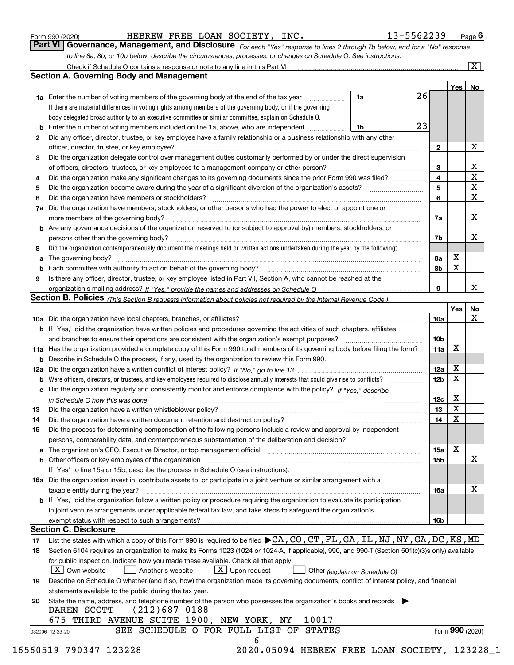|  | Form 990 (2020) |
|--|-----------------|
|  |                 |

| Form 990 (2020) |  |  | HEBREW FREE LOAN SOCIETY, INC. | 13-5562239                                                                                                                  | $P_{\text{aqe}}$ 6 |
|-----------------|--|--|--------------------------------|-----------------------------------------------------------------------------------------------------------------------------|--------------------|
|                 |  |  |                                | Part VI Governance, Management, and Disclosure For each "Yes" response to lines 2 through 7b below, and for a "No" response |                    |
|                 |  |  |                                | to line 8a, 8b, or 10b below, describe the circumstances, processes, or changes on Schedule O. See instructions.            |                    |

|    |                                                                                                                                                                            |          |                 | Yes             | No                      |
|----|----------------------------------------------------------------------------------------------------------------------------------------------------------------------------|----------|-----------------|-----------------|-------------------------|
|    | 1a Enter the number of voting members of the governing body at the end of the tax year <i>manument</i>                                                                     | 26<br>1a |                 |                 |                         |
|    | If there are material differences in voting rights among members of the governing body, or if the governing                                                                |          |                 |                 |                         |
|    | body delegated broad authority to an executive committee or similar committee, explain on Schedule O.                                                                      |          |                 |                 |                         |
|    | <b>b</b> Enter the number of voting members included on line 1a, above, who are independent                                                                                | 23<br>1b |                 |                 |                         |
| 2  | Did any officer, director, trustee, or key employee have a family relationship or a business relationship with any other                                                   |          |                 |                 |                         |
|    | officer, director, trustee, or key employee?                                                                                                                               |          | $\mathbf{2}$    |                 | X                       |
| 3  | Did the organization delegate control over management duties customarily performed by or under the direct supervision                                                      |          |                 |                 |                         |
|    |                                                                                                                                                                            |          | 3               |                 | $\mathbf{x}$            |
| 4  | Did the organization make any significant changes to its governing documents since the prior Form 990 was filed?                                                           |          | 4               |                 | $\overline{\textbf{x}}$ |
| 5  |                                                                                                                                                                            |          | 5               |                 | $\overline{\mathbf{x}}$ |
| 6  |                                                                                                                                                                            |          | 6               |                 | $\overline{\mathbf{X}}$ |
| 7a | Did the organization have members, stockholders, or other persons who had the power to elect or appoint one or                                                             |          |                 |                 |                         |
|    |                                                                                                                                                                            |          | 7a              |                 | X                       |
|    | <b>b</b> Are any governance decisions of the organization reserved to (or subject to approval by) members, stockholders, or                                                |          |                 |                 |                         |
|    | persons other than the governing body?                                                                                                                                     |          | 7b              |                 | X                       |
| 8  | Did the organization contemporaneously document the meetings held or written actions undertaken during the year by the following:                                          |          |                 |                 |                         |
| a  |                                                                                                                                                                            |          | 8а              | X               |                         |
| b  | Each committee with authority to act on behalf of the governing body?<br>Fach committee with authority to act on behalf of the governing body?                             |          | 8b              | $\mathbf X$     |                         |
| 9  | Is there any officer, director, trustee, or key employee listed in Part VII, Section A, who cannot be reached at the                                                       |          |                 |                 |                         |
|    |                                                                                                                                                                            |          | 9               |                 | X                       |
|    | Section B. Policies (This Section B requests information about policies not required by the Internal Revenue Code.)                                                        |          |                 |                 |                         |
|    |                                                                                                                                                                            |          |                 | Yes             | <b>No</b>               |
|    |                                                                                                                                                                            |          | 10a             |                 | X                       |
|    | <b>b</b> If "Yes," did the organization have written policies and procedures governing the activities of such chapters, affiliates,                                        |          |                 |                 |                         |
|    | and branches to ensure their operations are consistent with the organization's exempt purposes?                                                                            |          | 10 <sub>b</sub> |                 |                         |
|    | 11a Has the organization provided a complete copy of this Form 990 to all members of its governing body before filing the form?                                            |          | 11a             | X               |                         |
|    | <b>b</b> Describe in Schedule O the process, if any, used by the organization to review this Form 990.                                                                     |          |                 |                 |                         |
|    |                                                                                                                                                                            |          | 12a             | X               |                         |
|    |                                                                                                                                                                            |          | 12 <sub>b</sub> | X               |                         |
|    | c Did the organization regularly and consistently monitor and enforce compliance with the policy? If "Yes," describe                                                       |          |                 |                 |                         |
|    | in Schedule O how this was done www.communication.com/www.communications.com/www.communications.com/                                                                       |          | 12c             | X               |                         |
| 13 | Did the organization have a written whistleblower policy?                                                                                                                  |          | 13              | X               |                         |
| 14 | Did the organization have a written document retention and destruction policy? manufactured and the organization have a written document retention and destruction policy? |          | 14              | X               |                         |
| 15 | Did the process for determining compensation of the following persons include a review and approval by independent                                                         |          |                 |                 |                         |
|    | persons, comparability data, and contemporaneous substantiation of the deliberation and decision?                                                                          |          |                 |                 |                         |
|    |                                                                                                                                                                            |          | 15a             | X               |                         |
|    |                                                                                                                                                                            |          | 15 <sub>b</sub> |                 | X                       |
|    | If "Yes" to line 15a or 15b, describe the process in Schedule O (see instructions).                                                                                        |          |                 |                 |                         |
|    | 16a Did the organization invest in, contribute assets to, or participate in a joint venture or similar arrangement with a                                                  |          |                 |                 |                         |
|    | taxable entity during the year?                                                                                                                                            |          | 16a             |                 | X                       |
|    | b If "Yes," did the organization follow a written policy or procedure requiring the organization to evaluate its participation                                             |          |                 |                 |                         |
|    | in joint venture arrangements under applicable federal tax law, and take steps to safeguard the organization's                                                             |          |                 |                 |                         |
|    | exempt status with respect to such arrangements?                                                                                                                           |          | 16b             |                 |                         |
|    | <b>Section C. Disclosure</b>                                                                                                                                               |          |                 |                 |                         |
| 17 | List the states with which a copy of this Form 990 is required to be filed $\blacktriangleright$ CA, CO, CT, FL, GA, IL, NJ, NY, GA, DC, KS, MD                            |          |                 |                 |                         |
| 18 | Section 6104 requires an organization to make its Forms 1023 (1024 or 1024-A, if applicable), 990, and 990-T (Section 501(c)(3)s only) available                           |          |                 |                 |                         |
|    | for public inspection. Indicate how you made these available. Check all that apply.                                                                                        |          |                 |                 |                         |
|    | X   Own website<br>$X$ Upon request<br>Another's website<br>Other (explain on Schedule O)                                                                                  |          |                 |                 |                         |
| 19 | Describe on Schedule O whether (and if so, how) the organization made its governing documents, conflict of interest policy, and financial                                  |          |                 |                 |                         |
|    | statements available to the public during the tax year.                                                                                                                    |          |                 |                 |                         |
| 20 | State the name, address, and telephone number of the person who possesses the organization's books and records                                                             |          |                 |                 |                         |
|    | DAREN SCOTT - (212)687-0188                                                                                                                                                |          |                 |                 |                         |
|    | 10017<br>675<br>THIRD AVENUE SUITE 1900, NEW YORK, NY                                                                                                                      |          |                 |                 |                         |
|    | SEE SCHEDULE O FOR FULL LIST OF STATES                                                                                                                                     |          |                 | Form 990 (2020) |                         |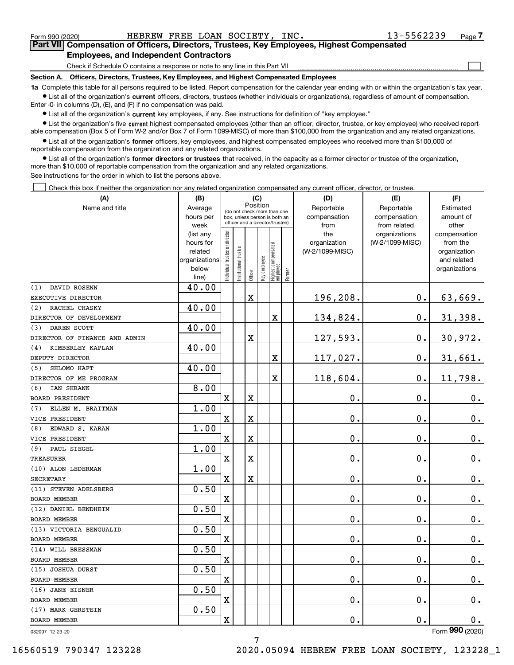|  | Form 990 (2020) |
|--|-----------------|
|  |                 |

 $\mathcal{L}^{\text{max}}$ 

| Form 990 (2020) |                                               |  | HEBREW FREE LOAN SOCIETY, INC. | 13-5562239                                                                                 | Page 7 |
|-----------------|-----------------------------------------------|--|--------------------------------|--------------------------------------------------------------------------------------------|--------|
|                 |                                               |  |                                | Part VII Compensation of Officers, Directors, Trustees, Key Employees, Highest Compensated |        |
|                 | <b>Employees, and Independent Contractors</b> |  |                                |                                                                                            |        |

Check if Schedule O contains a response or note to any line in this Part VII

**Section A. Officers, Directors, Trustees, Key Employees, and Highest Compensated Employees**

**1a**  Complete this table for all persons required to be listed. Report compensation for the calendar year ending with or within the organization's tax year. **•** List all of the organization's current officers, directors, trustees (whether individuals or organizations), regardless of amount of compensation.

Enter -0- in columns (D), (E), and (F) if no compensation was paid.

 $\bullet$  List all of the organization's  $\,$ current key employees, if any. See instructions for definition of "key employee."

**•** List the organization's five current highest compensated employees (other than an officer, director, trustee, or key employee) who received reportable compensation (Box 5 of Form W-2 and/or Box 7 of Form 1099-MISC) of more than \$100,000 from the organization and any related organizations.

**•** List all of the organization's former officers, key employees, and highest compensated employees who received more than \$100,000 of reportable compensation from the organization and any related organizations.

**former directors or trustees**  ¥ List all of the organization's that received, in the capacity as a former director or trustee of the organization, more than \$10,000 of reportable compensation from the organization and any related organizations.

See instructions for the order in which to list the persons above.

Check this box if neither the organization nor any related organization compensated any current officer, director, or trustee.  $\mathcal{L}^{\text{max}}$ 

| (A)                           | (B)                    |                               |                                                                  | (C)      |              |                                  |        | (D)                 | (E)                              | (F)                             |
|-------------------------------|------------------------|-------------------------------|------------------------------------------------------------------|----------|--------------|----------------------------------|--------|---------------------|----------------------------------|---------------------------------|
| Name and title                | Average                |                               | (do not check more than one                                      | Position |              |                                  |        | Reportable          | Reportable                       | Estimated                       |
|                               | hours per              |                               | box, unless person is both an<br>officer and a director/trustee) |          |              |                                  |        | compensation        | compensation                     | amount of                       |
|                               | week                   |                               |                                                                  |          |              |                                  |        | from                | from related                     | other                           |
|                               | (list any<br>hours for |                               |                                                                  |          |              |                                  |        | the<br>organization | organizations<br>(W-2/1099-MISC) | compensation<br>from the        |
|                               | related                |                               |                                                                  |          |              |                                  |        | (W-2/1099-MISC)     |                                  | organization                    |
|                               | organizations          |                               |                                                                  |          |              |                                  |        |                     |                                  | and related                     |
|                               | below                  | ndividual trustee or director | nstitutional trustee                                             |          | Key employee |                                  |        |                     |                                  | organizations                   |
|                               | line)                  |                               |                                                                  | Officer  |              | Highest compensated<br> employee | Former |                     |                                  |                                 |
| DAVID ROSENN<br>(1)           | 40.00                  |                               |                                                                  |          |              |                                  |        |                     |                                  |                                 |
| EXECUTIVE DIRECTOR            |                        |                               |                                                                  | X        |              |                                  |        | 196,208.            | 0.                               | 63,669.                         |
| (2)<br>RACHEL CHASKY          | 40.00                  |                               |                                                                  |          |              |                                  |        |                     |                                  |                                 |
| DIRECTOR OF DEVELOPMENT       |                        |                               |                                                                  |          |              | X                                |        | 134,824.            | 0.                               | 31,398.                         |
| DAREN SCOTT<br>(3)            | 40.00                  |                               |                                                                  |          |              |                                  |        |                     |                                  |                                 |
| DIRECTOR OF FINANCE AND ADMIN |                        |                               |                                                                  | X        |              |                                  |        | 127,593.            | 0.                               | 30,972.                         |
| KIMBERLEY KAPLAN<br>(4)       | 40.00                  |                               |                                                                  |          |              |                                  |        |                     |                                  |                                 |
| DEPUTY DIRECTOR               |                        |                               |                                                                  |          |              | X                                |        | 117,027.            | 0.                               | 31,661.                         |
| SHLOMO HAFT<br>(5)            | 40.00                  |                               |                                                                  |          |              |                                  |        |                     |                                  |                                 |
| DIRECTOR OF ME PROGRAM        |                        |                               |                                                                  |          |              | X                                |        | 118,604.            | 0.                               | 11,798.                         |
| IAN SHRANK<br>(6)             | 8.00                   |                               |                                                                  |          |              |                                  |        |                     |                                  |                                 |
| <b>BOARD PRESIDENT</b>        |                        | X                             |                                                                  | X        |              |                                  |        | 0.                  | 0.                               | 0.                              |
| ELLEN M. BRAITMAN<br>(7)      | 1.00                   |                               |                                                                  |          |              |                                  |        |                     |                                  |                                 |
| VICE PRESIDENT                |                        | X                             |                                                                  | X        |              |                                  |        | 0.                  | 0.                               | $0_{.}$                         |
| EDWARD S. KARAN<br>(8)        | 1.00                   |                               |                                                                  |          |              |                                  |        |                     |                                  |                                 |
| VICE PRESIDENT                |                        | $\mathbf X$                   |                                                                  | X        |              |                                  |        | 0.                  | 0.                               | $\mathbf 0$ .                   |
| PAUL SIEGEL<br>(9)            | 1.00                   |                               |                                                                  |          |              |                                  |        |                     |                                  |                                 |
| <b>TREASURER</b>              |                        | X                             |                                                                  | Χ        |              |                                  |        | 0.                  | 0.                               | $\mathbf 0$ .                   |
| (10) ALON LEDERMAN            | 1.00                   |                               |                                                                  |          |              |                                  |        |                     |                                  |                                 |
| <b>SECRETARY</b>              |                        | $\mathbf X$                   |                                                                  | X        |              |                                  |        | 0.                  | 0.                               | $\mathbf 0$ .                   |
| (11) STEVEN ADELSBERG         | 0.50                   |                               |                                                                  |          |              |                                  |        |                     |                                  |                                 |
| <b>BOARD MEMBER</b>           |                        | X                             |                                                                  |          |              |                                  |        | 0.                  | 0.                               | $\mathbf 0$ .                   |
| (12) DANIEL BENDHEIM          | 0.50                   |                               |                                                                  |          |              |                                  |        |                     |                                  |                                 |
| <b>BOARD MEMBER</b>           |                        | X                             |                                                                  |          |              |                                  |        | 0.                  | 0.                               | $0_{.}$                         |
| (13) VICTORIA BENGUALID       | 0.50                   |                               |                                                                  |          |              |                                  |        |                     |                                  |                                 |
| <b>BOARD MEMBER</b>           |                        | X                             |                                                                  |          |              |                                  |        | 0.                  | 0.                               | $\mathbf 0$ .                   |
| (14) WILL BRESSMAN            | 0.50                   |                               |                                                                  |          |              |                                  |        |                     |                                  |                                 |
| BOARD MEMBER                  |                        | X                             |                                                                  |          |              |                                  |        | 0.                  | 0.                               | 0.                              |
| (15) JOSHUA DURST             | 0.50                   |                               |                                                                  |          |              |                                  |        |                     |                                  |                                 |
| <b>BOARD MEMBER</b>           |                        | X                             |                                                                  |          |              |                                  |        | 0.                  | 0.                               | 0.                              |
| (16) JANE EISNER              | 0.50                   |                               |                                                                  |          |              |                                  |        |                     |                                  |                                 |
| <b>BOARD MEMBER</b>           |                        | X                             |                                                                  |          |              |                                  |        | 0.                  | 0.                               | $0_{.}$                         |
| (17) MARK GERSTEIN            | 0.50                   |                               |                                                                  |          |              |                                  |        |                     |                                  |                                 |
| BOARD MEMBER                  |                        | $\overline{\textbf{X}}$       |                                                                  |          |              |                                  |        | 0.                  | 0.                               | $\mathbf 0$ .<br>$\overline{2}$ |

7

032007 12-23-20

Form (2020) **990**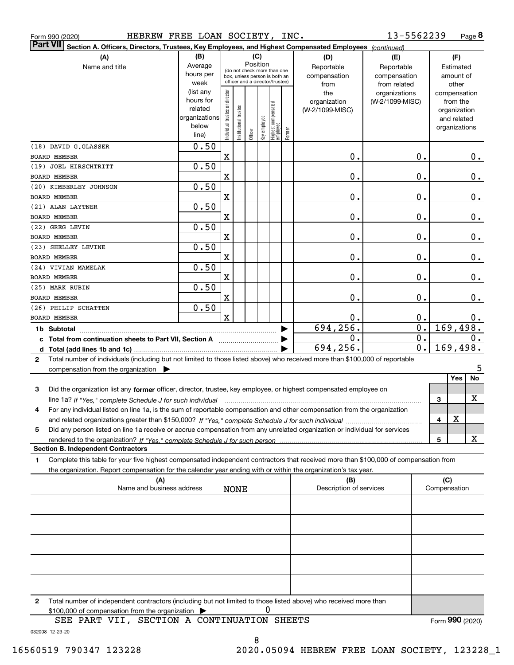| HEBREW FREE LOAN SOCIETY, INC.<br>Form 990 (2020)                                                                                                                                                                                                           |                                                                              |                                |                        |          |              |                                                                                                 |        |                                                | 13-5562239                                       |                               |                                                                                   | Page 8 |
|-------------------------------------------------------------------------------------------------------------------------------------------------------------------------------------------------------------------------------------------------------------|------------------------------------------------------------------------------|--------------------------------|------------------------|----------|--------------|-------------------------------------------------------------------------------------------------|--------|------------------------------------------------|--------------------------------------------------|-------------------------------|-----------------------------------------------------------------------------------|--------|
| <b>Part VII</b><br>Section A. Officers, Directors, Trustees, Key Employees, and Highest Compensated Employees (continued)                                                                                                                                   |                                                                              |                                |                        |          |              |                                                                                                 |        |                                                |                                                  |                               |                                                                                   |        |
| (A)<br>Name and title                                                                                                                                                                                                                                       | (B)<br>Average<br>hours per                                                  |                                |                        | Position | (C)          | (do not check more than one<br>box, unless person is both an<br>officer and a director/trustee) |        | (D)<br>Reportable<br>compensation              | (E)<br>Reportable<br>compensation                | (F)<br>Estimated<br>amount of |                                                                                   |        |
|                                                                                                                                                                                                                                                             | week<br>(list any<br>hours for<br>related<br>organizations<br>below<br>line) | Individual trustee or director | In stitutional trustee | Officer  | Key employee | Highest compensated<br> employee                                                                | Former | from<br>the<br>organization<br>(W-2/1099-MISC) | from related<br>organizations<br>(W-2/1099-MISC) |                               | other<br>compensation<br>from the<br>organization<br>and related<br>organizations |        |
| (18) DAVID G.GLASSER<br><b>BOARD MEMBER</b>                                                                                                                                                                                                                 | 0.50                                                                         | X                              |                        |          |              |                                                                                                 |        | Ο.                                             | 0.                                               |                               |                                                                                   | $0$ .  |
| (19) JOEL HIRSCHTRITT                                                                                                                                                                                                                                       | 0.50                                                                         |                                |                        |          |              |                                                                                                 |        |                                                |                                                  |                               |                                                                                   |        |
| <b>BOARD MEMBER</b>                                                                                                                                                                                                                                         |                                                                              | X                              |                        |          |              |                                                                                                 |        | Ο.                                             | 0.                                               |                               |                                                                                   | 0.     |
| (20) KIMBERLEY JOHNSON<br><b>BOARD MEMBER</b>                                                                                                                                                                                                               | 0.50                                                                         | X                              |                        |          |              |                                                                                                 |        | Ο.                                             | 0.                                               |                               |                                                                                   | 0.     |
| (21) ALAN LAYTNER                                                                                                                                                                                                                                           | 0.50                                                                         |                                |                        |          |              |                                                                                                 |        |                                                |                                                  |                               |                                                                                   |        |
| <b>BOARD MEMBER</b>                                                                                                                                                                                                                                         |                                                                              | X                              |                        |          |              |                                                                                                 |        | Ο.                                             | 0.                                               |                               |                                                                                   | 0.     |
| (22) GREG LEVIN                                                                                                                                                                                                                                             | 0.50                                                                         |                                |                        |          |              |                                                                                                 |        |                                                |                                                  |                               |                                                                                   |        |
| <b>BOARD MEMBER</b>                                                                                                                                                                                                                                         |                                                                              | X                              |                        |          |              |                                                                                                 |        | Ο.                                             | 0.                                               |                               |                                                                                   | 0.     |
| (23) SHELLEY LEVINE<br><b>BOARD MEMBER</b>                                                                                                                                                                                                                  | 0.50                                                                         | X                              |                        |          |              |                                                                                                 |        | Ο.                                             | 0.                                               |                               |                                                                                   | 0.     |
| (24) VIVIAN MAMELAK                                                                                                                                                                                                                                         | 0.50                                                                         |                                |                        |          |              |                                                                                                 |        |                                                |                                                  |                               |                                                                                   |        |
| <b>BOARD MEMBER</b>                                                                                                                                                                                                                                         |                                                                              | X                              |                        |          |              |                                                                                                 |        | 0.                                             | 0.                                               |                               |                                                                                   | 0.     |
| (25) MARK RUBIN<br><b>BOARD MEMBER</b>                                                                                                                                                                                                                      | 0.50                                                                         | X                              |                        |          |              |                                                                                                 |        | Ο.                                             | 0.                                               |                               |                                                                                   | $0$ .  |
| (26) PHILIP SCHATTEN                                                                                                                                                                                                                                        | 0.50                                                                         |                                |                        |          |              |                                                                                                 |        |                                                |                                                  |                               |                                                                                   |        |
| <b>BOARD MEMBER</b>                                                                                                                                                                                                                                         |                                                                              | $\mathbf X$                    |                        |          |              |                                                                                                 |        | Ο.                                             | 0.                                               |                               |                                                                                   | 0.     |
| 1b Subtotal                                                                                                                                                                                                                                                 |                                                                              |                                |                        |          |              |                                                                                                 |        | 694,256.                                       | 0.                                               |                               | 169,498.                                                                          |        |
| c Total from continuation sheets to Part VII, Section A manufactured in the Total from continuum                                                                                                                                                            |                                                                              |                                |                        |          |              |                                                                                                 |        | 0.<br>694,256.                                 | 0.<br>0.                                         |                               | 169,498.                                                                          | 0.     |
| Total number of individuals (including but not limited to those listed above) who received more than \$100,000 of reportable<br>2                                                                                                                           |                                                                              |                                |                        |          |              |                                                                                                 |        |                                                |                                                  |                               |                                                                                   |        |
| compensation from the organization                                                                                                                                                                                                                          |                                                                              |                                |                        |          |              |                                                                                                 |        |                                                |                                                  |                               |                                                                                   | 5      |
| Did the organization list any former officer, director, trustee, key employee, or highest compensated employee on<br>3                                                                                                                                      |                                                                              |                                |                        |          |              |                                                                                                 |        |                                                |                                                  |                               | Yes                                                                               | No     |
|                                                                                                                                                                                                                                                             |                                                                              |                                |                        |          |              |                                                                                                 |        |                                                |                                                  | 3                             |                                                                                   | X      |
| For any individual listed on line 1a, is the sum of reportable compensation and other compensation from the organization<br>4                                                                                                                               |                                                                              |                                |                        |          |              |                                                                                                 |        |                                                |                                                  |                               | х                                                                                 |        |
| Did any person listed on line 1a receive or accrue compensation from any unrelated organization or individual for services<br>5                                                                                                                             |                                                                              |                                |                        |          |              |                                                                                                 |        |                                                |                                                  | 4                             |                                                                                   |        |
|                                                                                                                                                                                                                                                             |                                                                              |                                |                        |          |              |                                                                                                 |        |                                                |                                                  | 5                             |                                                                                   | x      |
| <b>Section B. Independent Contractors</b>                                                                                                                                                                                                                   |                                                                              |                                |                        |          |              |                                                                                                 |        |                                                |                                                  |                               |                                                                                   |        |
| Complete this table for your five highest compensated independent contractors that received more than \$100,000 of compensation from<br>1<br>the organization. Report compensation for the calendar year ending with or within the organization's tax year. |                                                                              |                                |                        |          |              |                                                                                                 |        |                                                |                                                  |                               |                                                                                   |        |
| (A)                                                                                                                                                                                                                                                         |                                                                              |                                |                        |          |              |                                                                                                 |        | (B)                                            |                                                  | (C)                           |                                                                                   |        |
| Name and business address                                                                                                                                                                                                                                   |                                                                              |                                | <b>NONE</b>            |          |              |                                                                                                 |        | Description of services                        |                                                  | Compensation                  |                                                                                   |        |
|                                                                                                                                                                                                                                                             |                                                                              |                                |                        |          |              |                                                                                                 |        |                                                |                                                  |                               |                                                                                   |        |
|                                                                                                                                                                                                                                                             |                                                                              |                                |                        |          |              |                                                                                                 |        |                                                |                                                  |                               |                                                                                   |        |
|                                                                                                                                                                                                                                                             |                                                                              |                                |                        |          |              |                                                                                                 |        |                                                |                                                  |                               |                                                                                   |        |
|                                                                                                                                                                                                                                                             |                                                                              |                                |                        |          |              |                                                                                                 |        |                                                |                                                  |                               |                                                                                   |        |
|                                                                                                                                                                                                                                                             |                                                                              |                                |                        |          |              |                                                                                                 |        |                                                |                                                  |                               |                                                                                   |        |
|                                                                                                                                                                                                                                                             |                                                                              |                                |                        |          |              |                                                                                                 |        |                                                |                                                  |                               |                                                                                   |        |
|                                                                                                                                                                                                                                                             |                                                                              |                                |                        |          |              |                                                                                                 |        |                                                |                                                  |                               |                                                                                   |        |
| Total number of independent contractors (including but not limited to those listed above) who received more than<br>2<br>\$100,000 of compensation from the organization >                                                                                  |                                                                              |                                |                        |          | 0            |                                                                                                 |        |                                                |                                                  |                               |                                                                                   |        |
| SEE PART VII, SECTION A CONTINUATION SHEETS                                                                                                                                                                                                                 |                                                                              |                                |                        |          |              |                                                                                                 |        |                                                |                                                  | Form 990 (2020)               |                                                                                   |        |

032008 12-23-20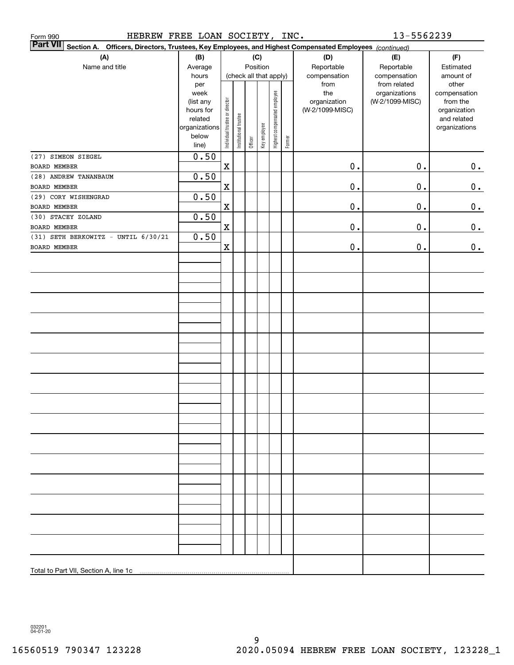| HEBREW FREE LOAN SOCIETY,<br>Form 990                                                                                     |                   |                                |                       |         |              |                              | INC.   |                     | 13-5562239                       |                          |
|---------------------------------------------------------------------------------------------------------------------------|-------------------|--------------------------------|-----------------------|---------|--------------|------------------------------|--------|---------------------|----------------------------------|--------------------------|
| <b>Part VII</b><br>Section A. Officers, Directors, Trustees, Key Employees, and Highest Compensated Employees (continued) |                   |                                |                       |         |              |                              |        |                     |                                  |                          |
| (A)                                                                                                                       | (B)               |                                |                       |         | (C)          |                              |        | (D)                 | (E)                              | (F)                      |
| Name and title                                                                                                            | Average           |                                |                       |         | Position     |                              |        | Reportable          | Reportable                       | Estimated                |
|                                                                                                                           | hours             |                                |                       |         |              | (check all that apply)       |        | compensation        | compensation                     | amount of                |
|                                                                                                                           | per               |                                |                       |         |              |                              |        | from                | from related                     | other                    |
|                                                                                                                           | week<br>(list any |                                |                       |         |              |                              |        | the<br>organization | organizations<br>(W-2/1099-MISC) | compensation<br>from the |
|                                                                                                                           | hours for         |                                |                       |         |              |                              |        | (W-2/1099-MISC)     |                                  | organization             |
|                                                                                                                           | related           |                                |                       |         |              |                              |        |                     |                                  | and related              |
|                                                                                                                           | organizations     | Individual trustee or director | Institutional trustee |         | Key employee | Highest compensated employee |        |                     |                                  | organizations            |
|                                                                                                                           | below             |                                |                       | Officer |              |                              | Former |                     |                                  |                          |
|                                                                                                                           | line)             |                                |                       |         |              |                              |        |                     |                                  |                          |
| (27) SIMEON SIEGEL                                                                                                        | 0.50              |                                |                       |         |              |                              |        |                     |                                  |                          |
| <b>BOARD MEMBER</b>                                                                                                       |                   | $\mathbf x$                    |                       |         |              |                              |        | $\mathbf 0$ .       | $0$ .                            | 0.                       |
| (28) ANDREW TANANBAUM                                                                                                     | 0.50              |                                |                       |         |              |                              |        |                     |                                  |                          |
| BOARD MEMBER                                                                                                              |                   | $\mathbf x$                    |                       |         |              |                              |        | $\mathbf 0$ .       | $0$ .                            | 0.                       |
| (29) CORY WISHENGRAD<br>BOARD MEMBER                                                                                      | 0.50              | $\mathbf x$                    |                       |         |              |                              |        | $0$ .               | $0$ .                            |                          |
| (30) STACEY ZOLAND                                                                                                        | 0.50              |                                |                       |         |              |                              |        |                     |                                  | 0.                       |
| BOARD MEMBER                                                                                                              |                   | $\mathbf x$                    |                       |         |              |                              |        | $\mathbf 0$ .       | $0$ .                            | 0.                       |
| (31) SETH BERKOWITZ - UNTIL 6/30/21                                                                                       | 0.50              |                                |                       |         |              |                              |        |                     |                                  |                          |
| BOARD MEMBER                                                                                                              |                   | $\mathbf x$                    |                       |         |              |                              |        | $\mathbf 0$ .       | $0$ .                            | 0.                       |
|                                                                                                                           |                   |                                |                       |         |              |                              |        |                     |                                  |                          |
|                                                                                                                           |                   |                                |                       |         |              |                              |        |                     |                                  |                          |
|                                                                                                                           |                   |                                |                       |         |              |                              |        |                     |                                  |                          |
|                                                                                                                           |                   |                                |                       |         |              |                              |        |                     |                                  |                          |
|                                                                                                                           |                   |                                |                       |         |              |                              |        |                     |                                  |                          |
|                                                                                                                           |                   |                                |                       |         |              |                              |        |                     |                                  |                          |
|                                                                                                                           |                   |                                |                       |         |              |                              |        |                     |                                  |                          |
|                                                                                                                           |                   |                                |                       |         |              |                              |        |                     |                                  |                          |
|                                                                                                                           |                   |                                |                       |         |              |                              |        |                     |                                  |                          |
|                                                                                                                           |                   |                                |                       |         |              |                              |        |                     |                                  |                          |
|                                                                                                                           |                   |                                |                       |         |              |                              |        |                     |                                  |                          |
|                                                                                                                           |                   |                                |                       |         |              |                              |        |                     |                                  |                          |
|                                                                                                                           |                   |                                |                       |         |              |                              |        |                     |                                  |                          |
|                                                                                                                           |                   |                                |                       |         |              |                              |        |                     |                                  |                          |
|                                                                                                                           |                   |                                |                       |         |              |                              |        |                     |                                  |                          |
|                                                                                                                           |                   |                                |                       |         |              |                              |        |                     |                                  |                          |
|                                                                                                                           |                   |                                |                       |         |              |                              |        |                     |                                  |                          |
|                                                                                                                           |                   |                                |                       |         |              |                              |        |                     |                                  |                          |
|                                                                                                                           |                   |                                |                       |         |              |                              |        |                     |                                  |                          |
|                                                                                                                           |                   |                                |                       |         |              |                              |        |                     |                                  |                          |
|                                                                                                                           |                   |                                |                       |         |              |                              |        |                     |                                  |                          |
|                                                                                                                           |                   |                                |                       |         |              |                              |        |                     |                                  |                          |
|                                                                                                                           |                   |                                |                       |         |              |                              |        |                     |                                  |                          |
|                                                                                                                           |                   |                                |                       |         |              |                              |        |                     |                                  |                          |
|                                                                                                                           |                   |                                |                       |         |              |                              |        |                     |                                  |                          |
|                                                                                                                           |                   |                                |                       |         |              |                              |        |                     |                                  |                          |
|                                                                                                                           |                   |                                |                       |         |              |                              |        |                     |                                  |                          |
|                                                                                                                           |                   |                                |                       |         |              |                              |        |                     |                                  |                          |
|                                                                                                                           |                   |                                |                       |         |              |                              |        |                     |                                  |                          |
|                                                                                                                           |                   |                                |                       |         |              |                              |        |                     |                                  |                          |
| Total to Part VII, Section A, line 1c                                                                                     |                   |                                |                       |         |              |                              |        |                     |                                  |                          |

032201 04-01-20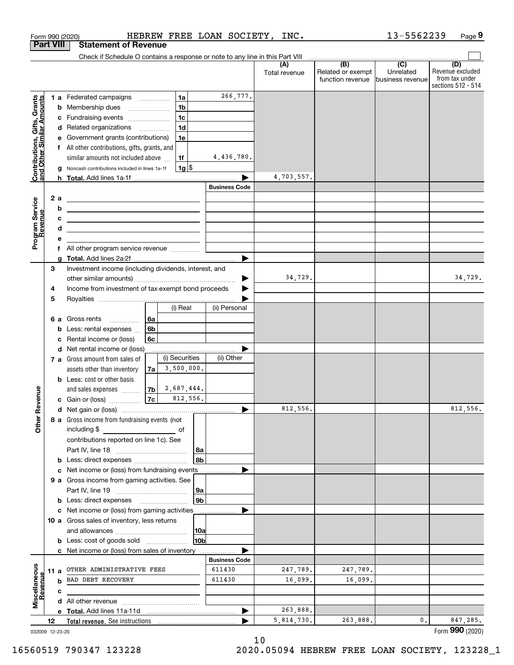|                                                           |                       |   | Form 990 (2020)                                                                                                     |                |                                |                      | HEBREW FREE LOAN SOCIETY, INC. |                           | 13-5562239       | Page 9                               |
|-----------------------------------------------------------|-----------------------|---|---------------------------------------------------------------------------------------------------------------------|----------------|--------------------------------|----------------------|--------------------------------|---------------------------|------------------|--------------------------------------|
|                                                           | <b>Part VIII</b>      |   | <b>Statement of Revenue</b>                                                                                         |                |                                |                      |                                |                           |                  |                                      |
|                                                           |                       |   | Check if Schedule O contains a response or note to any line in this Part VIII                                       |                |                                |                      |                                | $\overline{(\mathsf{B})}$ | $\overline{(C)}$ | (D)                                  |
|                                                           |                       |   |                                                                                                                     |                |                                |                      | (A)<br>Total revenue           | Related or exempt         | Unrelated        | Revenue excluded                     |
|                                                           |                       |   |                                                                                                                     |                |                                |                      |                                | function revenue          | business revenue | from tax under<br>sections 512 - 514 |
|                                                           |                       |   | <b>1 a</b> Federated campaigns                                                                                      |                | 1a                             | 266,777.             |                                |                           |                  |                                      |
| Contributions, Gifts, Grants<br>and Other Similar Amounts |                       |   | <b>b</b> Membership dues                                                                                            |                | 1 <sub>b</sub>                 |                      |                                |                           |                  |                                      |
|                                                           |                       |   | c Fundraising events                                                                                                |                | 1 <sub>c</sub>                 |                      |                                |                           |                  |                                      |
|                                                           |                       |   | d Related organizations                                                                                             |                | 1 <sub>d</sub>                 |                      |                                |                           |                  |                                      |
|                                                           |                       |   | e Government grants (contributions)                                                                                 |                | 1e                             |                      |                                |                           |                  |                                      |
|                                                           |                       |   | f All other contributions, gifts, grants, and                                                                       |                |                                |                      |                                |                           |                  |                                      |
|                                                           |                       |   | similar amounts not included above                                                                                  |                | 1f                             | 4,436,780.           |                                |                           |                  |                                      |
|                                                           |                       |   | g Noncash contributions included in lines 1a-1f                                                                     |                | $1g$ \$                        |                      |                                |                           |                  |                                      |
|                                                           |                       |   |                                                                                                                     |                |                                | <b>Business Code</b> | 4,703,557.                     |                           |                  |                                      |
|                                                           |                       |   |                                                                                                                     |                |                                |                      |                                |                           |                  |                                      |
| Program Service<br>Revenue                                | 2a                    | b |                                                                                                                     |                |                                |                      |                                |                           |                  |                                      |
|                                                           |                       | с | <u> 1980 - Andrea Andrew Maria (h. 1980).</u>                                                                       |                |                                |                      |                                |                           |                  |                                      |
| evenue                                                    |                       | d | <u> 1980 - Jan Sterling, mars and de la politica de la politica de la politica de la politica de la politica de</u> |                |                                |                      |                                |                           |                  |                                      |
|                                                           |                       | е |                                                                                                                     |                |                                |                      |                                |                           |                  |                                      |
|                                                           |                       |   |                                                                                                                     |                |                                |                      |                                |                           |                  |                                      |
|                                                           |                       | a |                                                                                                                     |                |                                |                      |                                |                           |                  |                                      |
|                                                           | 3                     |   | Investment income (including dividends, interest, and                                                               |                |                                |                      |                                |                           |                  |                                      |
|                                                           |                       |   |                                                                                                                     |                |                                |                      | 34,729.                        |                           |                  | 34,729.                              |
|                                                           | 4                     |   | Income from investment of tax-exempt bond proceeds                                                                  |                |                                |                      |                                |                           |                  |                                      |
|                                                           | 5                     |   |                                                                                                                     |                | (i) Real                       | (ii) Personal        |                                |                           |                  |                                      |
|                                                           |                       |   | 6 a Gross rents                                                                                                     | 6a             |                                |                      |                                |                           |                  |                                      |
|                                                           |                       | b | Less: rental expenses                                                                                               | 6b             |                                |                      |                                |                           |                  |                                      |
|                                                           |                       | с | Rental income or (loss)                                                                                             | 6c             |                                |                      |                                |                           |                  |                                      |
|                                                           |                       |   | d Net rental income or (loss)                                                                                       |                |                                |                      |                                |                           |                  |                                      |
|                                                           |                       |   | 7 a Gross amount from sales of                                                                                      |                | (i) Securities                 | (ii) Other           |                                |                           |                  |                                      |
|                                                           |                       |   | assets other than inventory                                                                                         | 7a             | 3,500,000.                     |                      |                                |                           |                  |                                      |
|                                                           |                       |   | <b>b</b> Less: cost or other basis                                                                                  |                |                                |                      |                                |                           |                  |                                      |
| venue                                                     |                       |   | and sales expenses                                                                                                  | 7 <sub>b</sub> | $\vert$ 2,687,444.<br>812,556. |                      |                                |                           |                  |                                      |
|                                                           |                       |   | <b>c</b> Gain or (loss) $\ldots$                                                                                    | 7c             |                                |                      | 812,556.                       |                           |                  | 812,556.                             |
| Other R                                                   |                       |   | 8 a Gross income from fundraising events (not                                                                       |                |                                |                      |                                |                           |                  |                                      |
|                                                           |                       |   | including \$                                                                                                        |                |                                |                      |                                |                           |                  |                                      |
|                                                           |                       |   | contributions reported on line 1c). See                                                                             |                |                                |                      |                                |                           |                  |                                      |
|                                                           |                       |   |                                                                                                                     |                | 8a                             |                      |                                |                           |                  |                                      |
|                                                           |                       |   | b Less: direct expenses                                                                                             |                | 8b                             |                      |                                |                           |                  |                                      |
|                                                           |                       |   | c Net income or (loss) from fundraising events                                                                      |                |                                |                      |                                |                           |                  |                                      |
|                                                           |                       |   | 9 a Gross income from gaming activities. See                                                                        |                |                                |                      |                                |                           |                  |                                      |
|                                                           |                       |   |                                                                                                                     |                | 9а                             |                      |                                |                           |                  |                                      |
|                                                           |                       |   | <b>b</b> Less: direct expenses <b>manually</b>                                                                      |                | 9 <sub>b</sub>                 |                      |                                |                           |                  |                                      |
|                                                           |                       |   | c Net income or (loss) from gaming activities<br>10 a Gross sales of inventory, less returns                        |                |                                |                      |                                |                           |                  |                                      |
|                                                           |                       |   |                                                                                                                     |                | 10a                            |                      |                                |                           |                  |                                      |
|                                                           |                       |   | <b>b</b> Less: cost of goods sold                                                                                   |                | 10 <sub>b</sub>                |                      |                                |                           |                  |                                      |
|                                                           |                       |   | c Net income or (loss) from sales of inventory.                                                                     |                |                                |                      |                                |                           |                  |                                      |
|                                                           |                       |   |                                                                                                                     |                |                                | <b>Business Code</b> |                                |                           |                  |                                      |
|                                                           | 11 a                  |   | OTHER ADMINISTRATIVE FEES                                                                                           |                |                                | 611430               | 247,789.                       | 247,789.                  |                  |                                      |
| Miscellaneous<br>Revenue                                  |                       | b | BAD DEBT RECOVERY                                                                                                   |                |                                | 611430               | 16,099.                        | 16,099.                   |                  |                                      |
|                                                           |                       | с |                                                                                                                     |                |                                |                      |                                |                           |                  |                                      |
|                                                           |                       |   |                                                                                                                     |                |                                |                      |                                |                           |                  |                                      |
|                                                           |                       |   |                                                                                                                     |                |                                | ▶                    | 263,888.<br>5,814,730.         | 263,888.                  | 0.               | 847,285.                             |
|                                                           | 12<br>032009 12-23-20 |   |                                                                                                                     |                |                                |                      |                                |                           |                  | Form 990 (2020)                      |

032009 12-23-20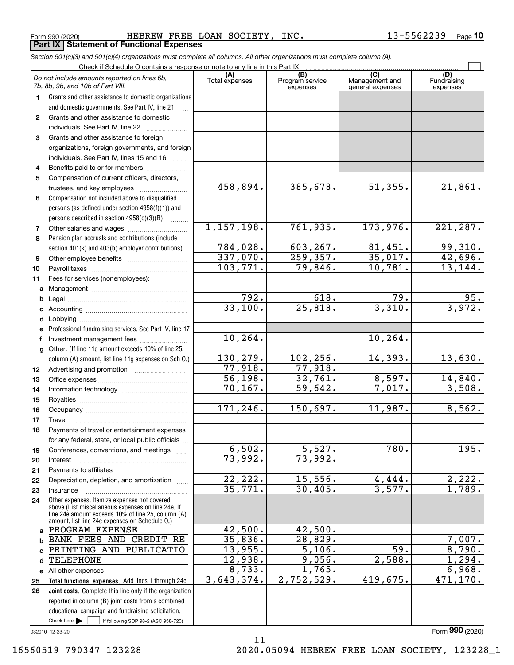Form 990 (2020) HEBREW FREE LOAN SOCIETY, INC. 13-5562239 <sub>Page</sub> **Part IX Statement of Functional Expenses**

|                  | Section 501(c)(3) and 501(c)(4) organizations must complete all columns. All other organizations must complete column (A).                                                                                 |                       |                                    |                                           |                                |
|------------------|------------------------------------------------------------------------------------------------------------------------------------------------------------------------------------------------------------|-----------------------|------------------------------------|-------------------------------------------|--------------------------------|
|                  | Check if Schedule O contains a response or note to any line in this Part IX                                                                                                                                |                       |                                    |                                           |                                |
|                  | Do not include amounts reported on lines 6b,<br>7b, 8b, 9b, and 10b of Part VIII.                                                                                                                          | (A)<br>Total expenses | (B)<br>Program service<br>expenses | (C)<br>Management and<br>general expenses | (D)<br>Fundraising<br>expenses |
| 1.               | Grants and other assistance to domestic organizations                                                                                                                                                      |                       |                                    |                                           |                                |
|                  | and domestic governments. See Part IV, line 21                                                                                                                                                             |                       |                                    |                                           |                                |
| $\mathbf{2}$     | Grants and other assistance to domestic                                                                                                                                                                    |                       |                                    |                                           |                                |
|                  | individuals. See Part IV, line 22                                                                                                                                                                          |                       |                                    |                                           |                                |
| 3                | Grants and other assistance to foreign                                                                                                                                                                     |                       |                                    |                                           |                                |
|                  | organizations, foreign governments, and foreign                                                                                                                                                            |                       |                                    |                                           |                                |
|                  | individuals. See Part IV, lines 15 and 16                                                                                                                                                                  |                       |                                    |                                           |                                |
| 4                | Benefits paid to or for members                                                                                                                                                                            |                       |                                    |                                           |                                |
| 5                | Compensation of current officers, directors,                                                                                                                                                               |                       |                                    |                                           |                                |
|                  | trustees, and key employees                                                                                                                                                                                | 458,894.              | 385,678.                           | 51,355.                                   | 21,861.                        |
| 6                | Compensation not included above to disqualified                                                                                                                                                            |                       |                                    |                                           |                                |
|                  | persons (as defined under section 4958(f)(1)) and                                                                                                                                                          |                       |                                    |                                           |                                |
|                  | persons described in section $4958(c)(3)(B)$                                                                                                                                                               |                       |                                    |                                           |                                |
| 7                |                                                                                                                                                                                                            | 1,157,198.            | 761,935.                           | 173,976.                                  | 221,287.                       |
| 8                | Pension plan accruals and contributions (include                                                                                                                                                           |                       |                                    |                                           |                                |
|                  | section 401(k) and 403(b) employer contributions)                                                                                                                                                          | 784,028.              | 603, 267.                          | 81,451.                                   | 99,310.                        |
| 9                |                                                                                                                                                                                                            | 337,070.              | 259, 357.                          | 35,017.                                   | $\overline{42,696}$ .          |
| 10               |                                                                                                                                                                                                            | 103, 771.             | $\overline{79,846}$ .              | 10,781.                                   | 13, 144.                       |
| 11               | Fees for services (nonemployees):                                                                                                                                                                          |                       |                                    |                                           |                                |
| а                |                                                                                                                                                                                                            |                       |                                    |                                           |                                |
| b                |                                                                                                                                                                                                            | 792.                  | 618.                               | 79.                                       | 95.                            |
| c                |                                                                                                                                                                                                            | 33,100.               | $\overline{25,818}$ .              | 3,310.                                    | 3,972.                         |
| d                |                                                                                                                                                                                                            |                       |                                    |                                           |                                |
| е                | Professional fundraising services. See Part IV, line 17                                                                                                                                                    |                       |                                    |                                           |                                |
| f                | Investment management fees                                                                                                                                                                                 | 10, 264.              |                                    | 10, 264.                                  |                                |
| g                | Other. (If line 11g amount exceeds 10% of line 25,                                                                                                                                                         |                       |                                    |                                           |                                |
|                  | column (A) amount, list line 11g expenses on Sch O.)                                                                                                                                                       | 130,279.              | 102, 256.                          | 14,393.                                   | 13,630.                        |
| 12 <sup>12</sup> |                                                                                                                                                                                                            | 77,918.               | 77,918.                            |                                           |                                |
| 13               |                                                                                                                                                                                                            | 56, 198.              | 32,761.                            | 8,597.                                    | 14,840.                        |
| 14               |                                                                                                                                                                                                            | 70, 167.              | 59,642.                            | 7,017.                                    | 3,508.                         |
| 15               |                                                                                                                                                                                                            |                       |                                    |                                           |                                |
| 16               |                                                                                                                                                                                                            | 171,246.              | 150,697.                           | 11,987.                                   | 8,562.                         |
| 17               |                                                                                                                                                                                                            |                       |                                    |                                           |                                |
| 18               | Payments of travel or entertainment expenses                                                                                                                                                               |                       |                                    |                                           |                                |
|                  | for any federal, state, or local public officials                                                                                                                                                          |                       |                                    |                                           |                                |
| 19               | Conferences, conventions, and meetings                                                                                                                                                                     | 6,502.                | 5,527.                             | 780.                                      | 195.                           |
| 20               | Interest                                                                                                                                                                                                   | 73,992.               | 73,992.                            |                                           |                                |
| 21               |                                                                                                                                                                                                            |                       |                                    |                                           |                                |
| 22               | Depreciation, depletion, and amortization                                                                                                                                                                  | 22,222.               | 15,556.                            | 4,444.                                    | 2,222.                         |
| 23               | Insurance                                                                                                                                                                                                  | 35,771.               | 30,405.                            | 3,577.                                    | 1,789.                         |
| 24               | Other expenses. Itemize expenses not covered<br>above (List miscellaneous expenses on line 24e. If<br>line 24e amount exceeds 10% of line 25, column (A)<br>amount, list line 24e expenses on Schedule O.) |                       |                                    |                                           |                                |
|                  | a PROGRAM EXPENSE                                                                                                                                                                                          | 42,500.               | 42,500.                            |                                           |                                |
| b                | BANK FEES AND CREDIT RE                                                                                                                                                                                    | 35,836.               | 28,829.                            |                                           | 7,007.                         |
| C.               | PRINTING AND PUBLICATIO                                                                                                                                                                                    | 13,955.               | 5,106.                             | 59.                                       | 8,790.                         |
| d                | <b>TELEPHONE</b>                                                                                                                                                                                           | 12,938.               | 9,056.                             | 2,588.                                    | 1,294.                         |
|                  | e All other expenses                                                                                                                                                                                       | $\overline{8,733}$ .  | 1,765.                             |                                           | 6,968.                         |
| 25               | Total functional expenses. Add lines 1 through 24e                                                                                                                                                         | 3,643,374.            | 2,752,529.                         | 419,675.                                  | 471,170.                       |
| 26               | <b>Joint costs.</b> Complete this line only if the organization                                                                                                                                            |                       |                                    |                                           |                                |
|                  | reported in column (B) joint costs from a combined                                                                                                                                                         |                       |                                    |                                           |                                |
|                  | educational campaign and fundraising solicitation.                                                                                                                                                         |                       |                                    |                                           |                                |
|                  | Check here $\blacktriangleright$<br>if following SOP 98-2 (ASC 958-720)                                                                                                                                    |                       |                                    |                                           |                                |

11

032010 12-23-20

Form (2020) **990**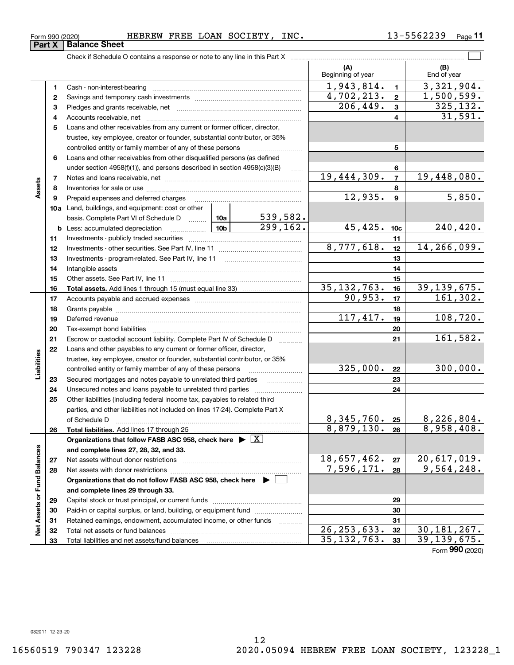**33**

Total liabilities and net assets/fund balances

### Form 990 (2020) HEBREW FREE LOAN SOCIETY, INC. 13-5562239 <sub>Page</sub> **Part X** Balance Sheet

Check if Schedule O contains a response or note to any line in this Part X

**(A) (B)** Beginning of year | | End of year 1,943,814. 1 3,321,904. **11**Cash - non-interest-bearing ~~~~~~~~~~~~~~~~~~~~~~~~~  $4,702,213. | z | 1,500,599.$ **22**Savings and temporary cash investments ~~~~~~~~~~~~~~~~~~ $206,449.$  3 325,132. **33** Pledges and grants receivable, net  $\ldots$  **multimes contained and grants receivable**, net **multimes contained and grants receivable**, net **multimes contained and grants receivable** Accounts receivable, net ~~~~~~~~~~~~~~~~~~~~~~~~~~ 31,591. **445**Loans and other receivables from any current or former officer, director, trustee, key employee, creator or founder, substantial contributor, or 35% controlled entity or family member of any of these persons ............................ **5**Loans and other receivables from other disqualified persons (as defined **6**under section  $4958(f)(1)$ , and persons described in section  $4958(c)(3)(B)$ **6** $19,444,309$ .  $7 \mid 19,448,080$ . **77**Notes and loans receivable, net ~~~~~~~~~~~~~~~~~~~~~~~**Assets 88**Inventories for sale or use ~~~~~~~~~~~~~~~~~~~~~~~~~~  $12,935.$   $9 \mid 5,850.$ **99**Prepaid expenses and deferred charges ~~~~~~~~~~~~~~~~~~ **10a**Land, buildings, and equipment: cost or other 539,582. basis. Complete Part VI of Schedule D www.ptimes.  $299, 162.$  45, 425.  $10c$  240, 420. **10cb** Less: accumulated depreciation  $\ldots$  **10b 1111**Investments - publicly traded securities ~~~~~~~~~~~~~~~~~~~  $8,777,618.$   $12 \mid 14,266,099.$ **1212**Investments - other securities. See Part IV, line 11 ~~~~~~~~~~~~~~ **1313** Investments - program-related. See Part IV, line 11 ~~~~~~~~~~~~~**1414**Intangible assets ~~~~~~~~~~~~~~~~~~~~~~~~~~~~~~ Other assets. See Part IV, line 11 ~~~~~~~~~~~~~~~~~~~~~~ **1515**<u>35,132,763. | 16 | 39,139,675.</u> **1616Total assets.**  Add lines 1 through 15 (must equal line 33)  $90,953.$   $17$   $161,302.$ **1717**Accounts payable and accrued expenses ~~~~~~~~~~~~~~~~~~ **1818**Grants payable ~~~~~~~~~~~~~~~~~~~~~~~~~~~~~~~  $117,417.$  108,720. **1919**Deferred revenue ~~~~~~~~~~~~~~~~~~~~~~~~~~~~~~ **2020**Tax-exempt bond liabilities …………………………………………………………… 161,582. Escrow or custodial account liability. Complete Part IV of Schedule D **212122**Loans and other payables to any current or former officer, director, iabilities **Liabilities** trustee, key employee, creator or founder, substantial contributor, or 35%  $325,000$ .  $|22|$  300,000. **22**controlled entity or family member of any of these persons ~~~~~~~~~**23**Secured mortgages and notes payable to unrelated third parties **23**Unsecured notes and loans payable to unrelated third parties ~~~~~~~~ **242425**Other liabilities (including federal income tax, payables to related third parties, and other liabilities not included on lines 17-24). Complete Part X  $8,345,760$ .  $25$  8,226,804. **25**of Schedule D ~~~~~~~~~~~~~~~~~~~~~~~~~~~~~~~  $8,879,130.$   $26$  8,958,408. **2626Total liabilities.**  Add lines 17 through 25 **Organizations that follow FASB ASC 958, check here** | X Assets or Fund Balances **Net Assets or Fund Balances and complete lines 27, 28, 32, and 33.** 18,657,462. 20,617,019. **2727**Net assets without donor restrictions ~~~~~~~~~~~~~~~~~~~~  $7,596,171. |28 | 9,564,248.$ **2828**Net assets with donor restrictions ~~~~~~~~~~~~~~~~~~~~~~**Organizations that do not follow FASB ASC 958, check here** | **and complete lines 29 through 33. 2929**Capital stock or trust principal, or current funds ~~~~~~~~~~~~~~~ **3030**Paid-in or capital surplus, or land, building, or equipment fund www.commun.com **3131**Retained earnings, endowment, accumulated income, or other funds www.com  $\frac{1}{2}$ Total net assets or fund balances ~~~~~~~~~~~~~~~~~~~~~~  $26, 253, 633.$  32 30, 181, 267. **3232**

 $\mathcal{L}^{\text{max}}$ 

Form (2020) **990**

**33**

 $35,132,763.$   $39,139,675.$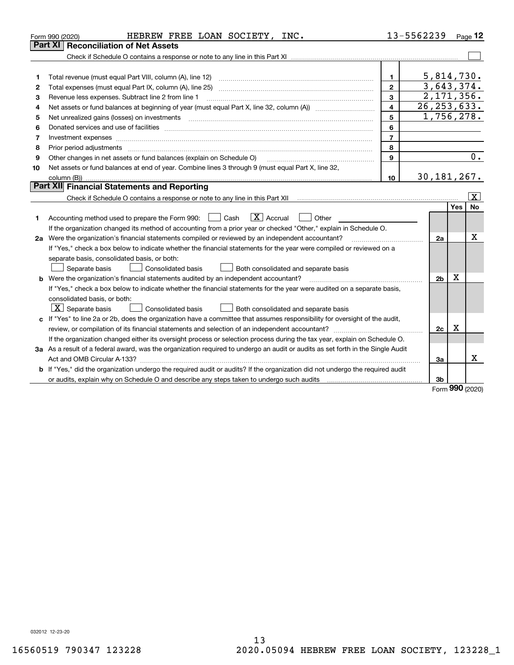| Part XI<br>5,814,730.<br>$\mathbf{1}$<br>1<br>3,643,374.<br>$\overline{2}$<br>2<br>2,171,356.<br>3<br>Revenue less expenses. Subtract line 2 from line 1<br>з<br>26, 253, 633.<br>$\overline{\mathbf{4}}$<br>4<br>1,756,278.<br>5<br>5<br>6<br>6<br>$\overline{7}$<br>7<br>8<br>8<br>$\overline{0}$ .<br>9<br>Other changes in net assets or fund balances (explain on Schedule O)<br>9<br>Net assets or fund balances at end of year. Combine lines 3 through 9 (must equal Part X, line 32,<br>10<br>30, 181, 267.<br>10<br>Part XII Financial Statements and Reporting<br>$\overline{\mathbf{X}}$<br>Yes<br><b>No</b><br>$\boxed{\mathbf{X}}$ Accrual<br>Accounting method used to prepare the Form 990: <u>[</u> Cash<br>Other<br>1.<br>If the organization changed its method of accounting from a prior year or checked "Other," explain in Schedule O.<br>х<br>2a Were the organization's financial statements compiled or reviewed by an independent accountant?<br>2a<br>If "Yes," check a box below to indicate whether the financial statements for the year were compiled or reviewed on a<br>separate basis, consolidated basis, or both:<br>Separate basis<br>Both consolidated and separate basis<br>Consolidated basis<br>X<br>b Were the organization's financial statements audited by an independent accountant?<br>2 <sub>b</sub><br>If "Yes," check a box below to indicate whether the financial statements for the year were audited on a separate basis,<br>consolidated basis, or both:<br>$X$ Separate basis<br>Consolidated basis<br>Both consolidated and separate basis<br>c If "Yes" to line 2a or 2b, does the organization have a committee that assumes responsibility for oversight of the audit,<br>X<br>2c<br>If the organization changed either its oversight process or selection process during the tax year, explain on Schedule O.<br>3a As a result of a federal award, was the organization required to undergo an audit or audits as set forth in the Single Audit<br>x<br>За<br>b If "Yes," did the organization undergo the required audit or audits? If the organization did not undergo the required audit | HEBREW FREE LOAN SOCIETY, INC.<br>Form 990 (2020) | 13-5562239 | Page 12 |
|------------------------------------------------------------------------------------------------------------------------------------------------------------------------------------------------------------------------------------------------------------------------------------------------------------------------------------------------------------------------------------------------------------------------------------------------------------------------------------------------------------------------------------------------------------------------------------------------------------------------------------------------------------------------------------------------------------------------------------------------------------------------------------------------------------------------------------------------------------------------------------------------------------------------------------------------------------------------------------------------------------------------------------------------------------------------------------------------------------------------------------------------------------------------------------------------------------------------------------------------------------------------------------------------------------------------------------------------------------------------------------------------------------------------------------------------------------------------------------------------------------------------------------------------------------------------------------------------------------------------------------------------------------------------------------------------------------------------------------------------------------------------------------------------------------------------------------------------------------------------------------------------------------------------------------------------------------------------------------------------------------------------------------------------------------------------------------------------------------------------------------------------------------|---------------------------------------------------|------------|---------|
|                                                                                                                                                                                                                                                                                                                                                                                                                                                                                                                                                                                                                                                                                                                                                                                                                                                                                                                                                                                                                                                                                                                                                                                                                                                                                                                                                                                                                                                                                                                                                                                                                                                                                                                                                                                                                                                                                                                                                                                                                                                                                                                                                            | <b>Reconciliation of Net Assets</b>               |            |         |
|                                                                                                                                                                                                                                                                                                                                                                                                                                                                                                                                                                                                                                                                                                                                                                                                                                                                                                                                                                                                                                                                                                                                                                                                                                                                                                                                                                                                                                                                                                                                                                                                                                                                                                                                                                                                                                                                                                                                                                                                                                                                                                                                                            |                                                   |            |         |
|                                                                                                                                                                                                                                                                                                                                                                                                                                                                                                                                                                                                                                                                                                                                                                                                                                                                                                                                                                                                                                                                                                                                                                                                                                                                                                                                                                                                                                                                                                                                                                                                                                                                                                                                                                                                                                                                                                                                                                                                                                                                                                                                                            |                                                   |            |         |
|                                                                                                                                                                                                                                                                                                                                                                                                                                                                                                                                                                                                                                                                                                                                                                                                                                                                                                                                                                                                                                                                                                                                                                                                                                                                                                                                                                                                                                                                                                                                                                                                                                                                                                                                                                                                                                                                                                                                                                                                                                                                                                                                                            |                                                   |            |         |
|                                                                                                                                                                                                                                                                                                                                                                                                                                                                                                                                                                                                                                                                                                                                                                                                                                                                                                                                                                                                                                                                                                                                                                                                                                                                                                                                                                                                                                                                                                                                                                                                                                                                                                                                                                                                                                                                                                                                                                                                                                                                                                                                                            |                                                   |            |         |
|                                                                                                                                                                                                                                                                                                                                                                                                                                                                                                                                                                                                                                                                                                                                                                                                                                                                                                                                                                                                                                                                                                                                                                                                                                                                                                                                                                                                                                                                                                                                                                                                                                                                                                                                                                                                                                                                                                                                                                                                                                                                                                                                                            |                                                   |            |         |
|                                                                                                                                                                                                                                                                                                                                                                                                                                                                                                                                                                                                                                                                                                                                                                                                                                                                                                                                                                                                                                                                                                                                                                                                                                                                                                                                                                                                                                                                                                                                                                                                                                                                                                                                                                                                                                                                                                                                                                                                                                                                                                                                                            |                                                   |            |         |
|                                                                                                                                                                                                                                                                                                                                                                                                                                                                                                                                                                                                                                                                                                                                                                                                                                                                                                                                                                                                                                                                                                                                                                                                                                                                                                                                                                                                                                                                                                                                                                                                                                                                                                                                                                                                                                                                                                                                                                                                                                                                                                                                                            |                                                   |            |         |
|                                                                                                                                                                                                                                                                                                                                                                                                                                                                                                                                                                                                                                                                                                                                                                                                                                                                                                                                                                                                                                                                                                                                                                                                                                                                                                                                                                                                                                                                                                                                                                                                                                                                                                                                                                                                                                                                                                                                                                                                                                                                                                                                                            |                                                   |            |         |
|                                                                                                                                                                                                                                                                                                                                                                                                                                                                                                                                                                                                                                                                                                                                                                                                                                                                                                                                                                                                                                                                                                                                                                                                                                                                                                                                                                                                                                                                                                                                                                                                                                                                                                                                                                                                                                                                                                                                                                                                                                                                                                                                                            |                                                   |            |         |
|                                                                                                                                                                                                                                                                                                                                                                                                                                                                                                                                                                                                                                                                                                                                                                                                                                                                                                                                                                                                                                                                                                                                                                                                                                                                                                                                                                                                                                                                                                                                                                                                                                                                                                                                                                                                                                                                                                                                                                                                                                                                                                                                                            |                                                   |            |         |
|                                                                                                                                                                                                                                                                                                                                                                                                                                                                                                                                                                                                                                                                                                                                                                                                                                                                                                                                                                                                                                                                                                                                                                                                                                                                                                                                                                                                                                                                                                                                                                                                                                                                                                                                                                                                                                                                                                                                                                                                                                                                                                                                                            |                                                   |            |         |
|                                                                                                                                                                                                                                                                                                                                                                                                                                                                                                                                                                                                                                                                                                                                                                                                                                                                                                                                                                                                                                                                                                                                                                                                                                                                                                                                                                                                                                                                                                                                                                                                                                                                                                                                                                                                                                                                                                                                                                                                                                                                                                                                                            |                                                   |            |         |
|                                                                                                                                                                                                                                                                                                                                                                                                                                                                                                                                                                                                                                                                                                                                                                                                                                                                                                                                                                                                                                                                                                                                                                                                                                                                                                                                                                                                                                                                                                                                                                                                                                                                                                                                                                                                                                                                                                                                                                                                                                                                                                                                                            |                                                   |            |         |
|                                                                                                                                                                                                                                                                                                                                                                                                                                                                                                                                                                                                                                                                                                                                                                                                                                                                                                                                                                                                                                                                                                                                                                                                                                                                                                                                                                                                                                                                                                                                                                                                                                                                                                                                                                                                                                                                                                                                                                                                                                                                                                                                                            |                                                   |            |         |
|                                                                                                                                                                                                                                                                                                                                                                                                                                                                                                                                                                                                                                                                                                                                                                                                                                                                                                                                                                                                                                                                                                                                                                                                                                                                                                                                                                                                                                                                                                                                                                                                                                                                                                                                                                                                                                                                                                                                                                                                                                                                                                                                                            |                                                   |            |         |
|                                                                                                                                                                                                                                                                                                                                                                                                                                                                                                                                                                                                                                                                                                                                                                                                                                                                                                                                                                                                                                                                                                                                                                                                                                                                                                                                                                                                                                                                                                                                                                                                                                                                                                                                                                                                                                                                                                                                                                                                                                                                                                                                                            |                                                   |            |         |
|                                                                                                                                                                                                                                                                                                                                                                                                                                                                                                                                                                                                                                                                                                                                                                                                                                                                                                                                                                                                                                                                                                                                                                                                                                                                                                                                                                                                                                                                                                                                                                                                                                                                                                                                                                                                                                                                                                                                                                                                                                                                                                                                                            |                                                   |            |         |
|                                                                                                                                                                                                                                                                                                                                                                                                                                                                                                                                                                                                                                                                                                                                                                                                                                                                                                                                                                                                                                                                                                                                                                                                                                                                                                                                                                                                                                                                                                                                                                                                                                                                                                                                                                                                                                                                                                                                                                                                                                                                                                                                                            |                                                   |            |         |
|                                                                                                                                                                                                                                                                                                                                                                                                                                                                                                                                                                                                                                                                                                                                                                                                                                                                                                                                                                                                                                                                                                                                                                                                                                                                                                                                                                                                                                                                                                                                                                                                                                                                                                                                                                                                                                                                                                                                                                                                                                                                                                                                                            |                                                   |            |         |
|                                                                                                                                                                                                                                                                                                                                                                                                                                                                                                                                                                                                                                                                                                                                                                                                                                                                                                                                                                                                                                                                                                                                                                                                                                                                                                                                                                                                                                                                                                                                                                                                                                                                                                                                                                                                                                                                                                                                                                                                                                                                                                                                                            |                                                   |            |         |
|                                                                                                                                                                                                                                                                                                                                                                                                                                                                                                                                                                                                                                                                                                                                                                                                                                                                                                                                                                                                                                                                                                                                                                                                                                                                                                                                                                                                                                                                                                                                                                                                                                                                                                                                                                                                                                                                                                                                                                                                                                                                                                                                                            |                                                   |            |         |
|                                                                                                                                                                                                                                                                                                                                                                                                                                                                                                                                                                                                                                                                                                                                                                                                                                                                                                                                                                                                                                                                                                                                                                                                                                                                                                                                                                                                                                                                                                                                                                                                                                                                                                                                                                                                                                                                                                                                                                                                                                                                                                                                                            |                                                   |            |         |
|                                                                                                                                                                                                                                                                                                                                                                                                                                                                                                                                                                                                                                                                                                                                                                                                                                                                                                                                                                                                                                                                                                                                                                                                                                                                                                                                                                                                                                                                                                                                                                                                                                                                                                                                                                                                                                                                                                                                                                                                                                                                                                                                                            |                                                   |            |         |
|                                                                                                                                                                                                                                                                                                                                                                                                                                                                                                                                                                                                                                                                                                                                                                                                                                                                                                                                                                                                                                                                                                                                                                                                                                                                                                                                                                                                                                                                                                                                                                                                                                                                                                                                                                                                                                                                                                                                                                                                                                                                                                                                                            |                                                   |            |         |
|                                                                                                                                                                                                                                                                                                                                                                                                                                                                                                                                                                                                                                                                                                                                                                                                                                                                                                                                                                                                                                                                                                                                                                                                                                                                                                                                                                                                                                                                                                                                                                                                                                                                                                                                                                                                                                                                                                                                                                                                                                                                                                                                                            |                                                   |            |         |
|                                                                                                                                                                                                                                                                                                                                                                                                                                                                                                                                                                                                                                                                                                                                                                                                                                                                                                                                                                                                                                                                                                                                                                                                                                                                                                                                                                                                                                                                                                                                                                                                                                                                                                                                                                                                                                                                                                                                                                                                                                                                                                                                                            |                                                   |            |         |
|                                                                                                                                                                                                                                                                                                                                                                                                                                                                                                                                                                                                                                                                                                                                                                                                                                                                                                                                                                                                                                                                                                                                                                                                                                                                                                                                                                                                                                                                                                                                                                                                                                                                                                                                                                                                                                                                                                                                                                                                                                                                                                                                                            |                                                   |            |         |
|                                                                                                                                                                                                                                                                                                                                                                                                                                                                                                                                                                                                                                                                                                                                                                                                                                                                                                                                                                                                                                                                                                                                                                                                                                                                                                                                                                                                                                                                                                                                                                                                                                                                                                                                                                                                                                                                                                                                                                                                                                                                                                                                                            |                                                   |            |         |
|                                                                                                                                                                                                                                                                                                                                                                                                                                                                                                                                                                                                                                                                                                                                                                                                                                                                                                                                                                                                                                                                                                                                                                                                                                                                                                                                                                                                                                                                                                                                                                                                                                                                                                                                                                                                                                                                                                                                                                                                                                                                                                                                                            |                                                   |            |         |
|                                                                                                                                                                                                                                                                                                                                                                                                                                                                                                                                                                                                                                                                                                                                                                                                                                                                                                                                                                                                                                                                                                                                                                                                                                                                                                                                                                                                                                                                                                                                                                                                                                                                                                                                                                                                                                                                                                                                                                                                                                                                                                                                                            |                                                   |            |         |
|                                                                                                                                                                                                                                                                                                                                                                                                                                                                                                                                                                                                                                                                                                                                                                                                                                                                                                                                                                                                                                                                                                                                                                                                                                                                                                                                                                                                                                                                                                                                                                                                                                                                                                                                                                                                                                                                                                                                                                                                                                                                                                                                                            |                                                   |            |         |
|                                                                                                                                                                                                                                                                                                                                                                                                                                                                                                                                                                                                                                                                                                                                                                                                                                                                                                                                                                                                                                                                                                                                                                                                                                                                                                                                                                                                                                                                                                                                                                                                                                                                                                                                                                                                                                                                                                                                                                                                                                                                                                                                                            |                                                   |            |         |
| <b>nnn</b>                                                                                                                                                                                                                                                                                                                                                                                                                                                                                                                                                                                                                                                                                                                                                                                                                                                                                                                                                                                                                                                                                                                                                                                                                                                                                                                                                                                                                                                                                                                                                                                                                                                                                                                                                                                                                                                                                                                                                                                                                                                                                                                                                 |                                                   | 3b         |         |

Form (2020) **990**

032012 12-23-20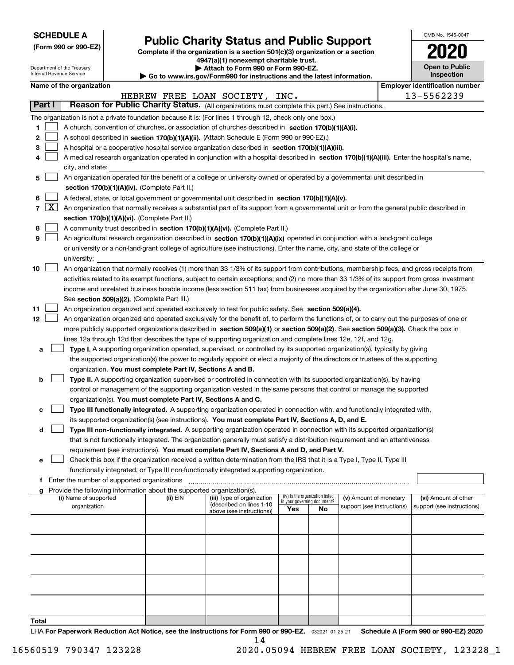| <b>SCHEDULE A</b> |
|-------------------|
|-------------------|

Department of the Treasury Internal Revenue Service

| (Form 990 or 990-EZ) |  |  |  |  |
|----------------------|--|--|--|--|
|----------------------|--|--|--|--|

# **Public Charity Status and Public Support**

**Complete if the organization is a section 501(c)(3) organization or a section 4947(a)(1) nonexempt charitable trust. | Attach to Form 990 or Form 990-EZ.** 

| <b>P</b> Allach to Form 330 or Form 330-LZ.                              |  |
|--------------------------------------------------------------------------|--|
| ► Go to www.irs.gov/Form990 for instructions and the latest information. |  |
|                                                                          |  |

| 021                                 |
|-------------------------------------|
| <b>Open to Public</b><br>Inspection |

OMB No. 1545-0047

**Name of the organization Employer identification number Employer identification number** 

|                                         |                                                                                                                                                                                                                                                                                                                                                                                                                                                                                                                                                                                                                                                                                                                                                                                                                                                                                                                                                                                                                                                               |          | HEBREW FREE LOAN SOCIETY, INC.                                                      |                                                                       |    |                                                      | 13-5562239                                         |
|-----------------------------------------|---------------------------------------------------------------------------------------------------------------------------------------------------------------------------------------------------------------------------------------------------------------------------------------------------------------------------------------------------------------------------------------------------------------------------------------------------------------------------------------------------------------------------------------------------------------------------------------------------------------------------------------------------------------------------------------------------------------------------------------------------------------------------------------------------------------------------------------------------------------------------------------------------------------------------------------------------------------------------------------------------------------------------------------------------------------|----------|-------------------------------------------------------------------------------------|-----------------------------------------------------------------------|----|------------------------------------------------------|----------------------------------------------------|
| Part I                                  | Reason for Public Charity Status. (All organizations must complete this part.) See instructions.                                                                                                                                                                                                                                                                                                                                                                                                                                                                                                                                                                                                                                                                                                                                                                                                                                                                                                                                                              |          |                                                                                     |                                                                       |    |                                                      |                                                    |
| 1.<br>2<br>З<br>4<br>5                  | The organization is not a private foundation because it is: (For lines 1 through 12, check only one box.)<br>A church, convention of churches, or association of churches described in section 170(b)(1)(A)(i).<br>A school described in section 170(b)(1)(A)(ii). (Attach Schedule E (Form 990 or 990-EZ).)<br>A hospital or a cooperative hospital service organization described in section $170(b)(1)(A)(iii)$ .<br>A medical research organization operated in conjunction with a hospital described in section 170(b)(1)(A)(iii). Enter the hospital's name,<br>city, and state:<br>An organization operated for the benefit of a college or university owned or operated by a governmental unit described in                                                                                                                                                                                                                                                                                                                                           |          |                                                                                     |                                                                       |    |                                                      |                                                    |
| 6<br>$\lfloor x \rfloor$<br>7<br>8<br>9 | section 170(b)(1)(A)(iv). (Complete Part II.)<br>A federal, state, or local government or governmental unit described in section 170(b)(1)(A)(v).<br>An organization that normally receives a substantial part of its support from a governmental unit or from the general public described in<br>section 170(b)(1)(A)(vi). (Complete Part II.)<br>A community trust described in section 170(b)(1)(A)(vi). (Complete Part II.)<br>An agricultural research organization described in section 170(b)(1)(A)(ix) operated in conjunction with a land-grant college<br>or university or a non-land-grant college of agriculture (see instructions). Enter the name, city, and state of the college or<br>university:                                                                                                                                                                                                                                                                                                                                             |          |                                                                                     |                                                                       |    |                                                      |                                                    |
| 10<br>11                                | An organization that normally receives (1) more than 33 1/3% of its support from contributions, membership fees, and gross receipts from<br>activities related to its exempt functions, subject to certain exceptions; and (2) no more than 33 1/3% of its support from gross investment<br>income and unrelated business taxable income (less section 511 tax) from businesses acquired by the organization after June 30, 1975.<br>See section 509(a)(2). (Complete Part III.)<br>An organization organized and operated exclusively to test for public safety. See section 509(a)(4).                                                                                                                                                                                                                                                                                                                                                                                                                                                                      |          |                                                                                     |                                                                       |    |                                                      |                                                    |
| 12<br>a<br>b                            | An organization organized and operated exclusively for the benefit of, to perform the functions of, or to carry out the purposes of one or<br>more publicly supported organizations described in section 509(a)(1) or section 509(a)(2). See section 509(a)(3). Check the box in<br>lines 12a through 12d that describes the type of supporting organization and complete lines 12e, 12f, and 12g.<br>Type I. A supporting organization operated, supervised, or controlled by its supported organization(s), typically by giving<br>the supported organization(s) the power to regularly appoint or elect a majority of the directors or trustees of the supporting<br>organization. You must complete Part IV, Sections A and B.<br><b>Type II.</b> A supporting organization supervised or controlled in connection with its supported organization(s), by having<br>control or management of the supporting organization vested in the same persons that control or manage the supported<br>organization(s). You must complete Part IV, Sections A and C. |          |                                                                                     |                                                                       |    |                                                      |                                                    |
| с<br>d<br>е                             | Type III functionally integrated. A supporting organization operated in connection with, and functionally integrated with,<br>its supported organization(s) (see instructions). You must complete Part IV, Sections A, D, and E.<br>Type III non-functionally integrated. A supporting organization operated in connection with its supported organization(s)<br>that is not functionally integrated. The organization generally must satisfy a distribution requirement and an attentiveness<br>requirement (see instructions). You must complete Part IV, Sections A and D, and Part V.<br>Check this box if the organization received a written determination from the IRS that it is a Type I, Type II, Type III                                                                                                                                                                                                                                                                                                                                          |          |                                                                                     |                                                                       |    |                                                      |                                                    |
| f                                       | functionally integrated, or Type III non-functionally integrated supporting organization.<br>Enter the number of supported organizations                                                                                                                                                                                                                                                                                                                                                                                                                                                                                                                                                                                                                                                                                                                                                                                                                                                                                                                      |          |                                                                                     |                                                                       |    |                                                      |                                                    |
|                                         | Provide the following information about the supported organization(s).                                                                                                                                                                                                                                                                                                                                                                                                                                                                                                                                                                                                                                                                                                                                                                                                                                                                                                                                                                                        |          |                                                                                     |                                                                       |    |                                                      |                                                    |
|                                         | (i) Name of supported<br>organization                                                                                                                                                                                                                                                                                                                                                                                                                                                                                                                                                                                                                                                                                                                                                                                                                                                                                                                                                                                                                         | (ii) EIN | (iii) Type of organization<br>(described on lines 1-10<br>above (see instructions)) | (iv) Is the organization listed<br>in your governing document?<br>Yes | No | (v) Amount of monetary<br>support (see instructions) | (vi) Amount of other<br>support (see instructions) |
|                                         |                                                                                                                                                                                                                                                                                                                                                                                                                                                                                                                                                                                                                                                                                                                                                                                                                                                                                                                                                                                                                                                               |          |                                                                                     |                                                                       |    |                                                      |                                                    |
|                                         |                                                                                                                                                                                                                                                                                                                                                                                                                                                                                                                                                                                                                                                                                                                                                                                                                                                                                                                                                                                                                                                               |          |                                                                                     |                                                                       |    |                                                      |                                                    |
|                                         |                                                                                                                                                                                                                                                                                                                                                                                                                                                                                                                                                                                                                                                                                                                                                                                                                                                                                                                                                                                                                                                               |          |                                                                                     |                                                                       |    |                                                      |                                                    |
|                                         |                                                                                                                                                                                                                                                                                                                                                                                                                                                                                                                                                                                                                                                                                                                                                                                                                                                                                                                                                                                                                                                               |          |                                                                                     |                                                                       |    |                                                      |                                                    |
| Total                                   |                                                                                                                                                                                                                                                                                                                                                                                                                                                                                                                                                                                                                                                                                                                                                                                                                                                                                                                                                                                                                                                               |          |                                                                                     |                                                                       |    |                                                      |                                                    |

LHA For Paperwork Reduction Act Notice, see the Instructions for Form 990 or 990-EZ. <sub>032021</sub> o1-25-21 Schedule A (Form 990 or 990-EZ) 2020 14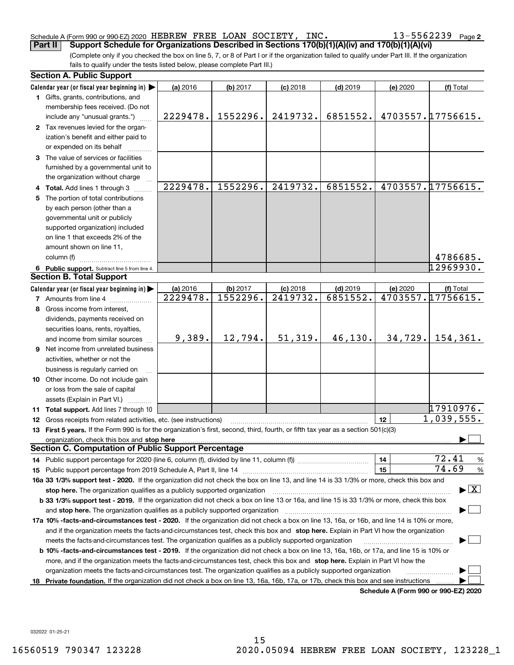### Schedule A (Form 990 or 990-EZ) 2020 <code>HEBREW FREE LOAN SOCIETY</code> , <code>INC</code> .  $13\text{--}5562239$  <code>Page</code>

(Complete only if you checked the box on line 5, 7, or 8 of Part I or if the organization failed to qualify under Part III. If the organization fails to qualify under the tests listed below, please complete Part III.) **Part II Support Schedule for Organizations Described in Sections 170(b)(1)(A)(iv) and 170(b)(1)(A)(vi)**

|    | <b>Section A. Public Support</b>                                                                                                                                                                                               |          |          |            |            |          |                                         |
|----|--------------------------------------------------------------------------------------------------------------------------------------------------------------------------------------------------------------------------------|----------|----------|------------|------------|----------|-----------------------------------------|
|    | Calendar year (or fiscal year beginning in)                                                                                                                                                                                    | (a) 2016 | (b) 2017 | $(c)$ 2018 | $(d)$ 2019 | (e) 2020 | (f) Total                               |
|    | 1 Gifts, grants, contributions, and                                                                                                                                                                                            |          |          |            |            |          |                                         |
|    | membership fees received. (Do not                                                                                                                                                                                              |          |          |            |            |          |                                         |
|    | include any "unusual grants.")                                                                                                                                                                                                 | 2229478. | 1552296. | 2419732.   | 6851552.   |          | 4703557.17756615.                       |
|    | 2 Tax revenues levied for the organ-                                                                                                                                                                                           |          |          |            |            |          |                                         |
|    | ization's benefit and either paid to                                                                                                                                                                                           |          |          |            |            |          |                                         |
|    | or expended on its behalf                                                                                                                                                                                                      |          |          |            |            |          |                                         |
|    | 3 The value of services or facilities                                                                                                                                                                                          |          |          |            |            |          |                                         |
|    | furnished by a governmental unit to                                                                                                                                                                                            |          |          |            |            |          |                                         |
|    | the organization without charge                                                                                                                                                                                                |          |          |            |            |          |                                         |
|    | 4 Total. Add lines 1 through 3                                                                                                                                                                                                 | 2229478. | 1552296. | 2419732.   | 6851552.   |          | 4703557.17756615.                       |
|    | 5 The portion of total contributions                                                                                                                                                                                           |          |          |            |            |          |                                         |
|    | by each person (other than a                                                                                                                                                                                                   |          |          |            |            |          |                                         |
|    | governmental unit or publicly                                                                                                                                                                                                  |          |          |            |            |          |                                         |
|    |                                                                                                                                                                                                                                |          |          |            |            |          |                                         |
|    | supported organization) included                                                                                                                                                                                               |          |          |            |            |          |                                         |
|    | on line 1 that exceeds 2% of the                                                                                                                                                                                               |          |          |            |            |          |                                         |
|    | amount shown on line 11,                                                                                                                                                                                                       |          |          |            |            |          |                                         |
|    | column (f)                                                                                                                                                                                                                     |          |          |            |            |          | 4786685.                                |
|    | 6 Public support. Subtract line 5 from line 4.                                                                                                                                                                                 |          |          |            |            |          | 12969930.                               |
|    | <b>Section B. Total Support</b>                                                                                                                                                                                                |          |          |            |            |          |                                         |
|    | Calendar year (or fiscal year beginning in)                                                                                                                                                                                    | (a) 2016 | (b) 2017 | $(c)$ 2018 | $(d)$ 2019 | (e) 2020 | (f) Total                               |
|    | <b>7</b> Amounts from line 4                                                                                                                                                                                                   | 2229478. | 1552296. | 2419732.   | 6851552.   |          | 4703557.17756615.                       |
|    | 8 Gross income from interest,                                                                                                                                                                                                  |          |          |            |            |          |                                         |
|    | dividends, payments received on                                                                                                                                                                                                |          |          |            |            |          |                                         |
|    | securities loans, rents, royalties,                                                                                                                                                                                            |          |          |            |            |          |                                         |
|    | and income from similar sources                                                                                                                                                                                                | 9,389.   | 12,794.  | 51,319.    | 46,130.    | 34, 729. | 154, 361.                               |
|    | <b>9</b> Net income from unrelated business                                                                                                                                                                                    |          |          |            |            |          |                                         |
|    | activities, whether or not the                                                                                                                                                                                                 |          |          |            |            |          |                                         |
|    | business is regularly carried on                                                                                                                                                                                               |          |          |            |            |          |                                         |
|    | 10 Other income. Do not include gain                                                                                                                                                                                           |          |          |            |            |          |                                         |
|    | or loss from the sale of capital                                                                                                                                                                                               |          |          |            |            |          |                                         |
|    | assets (Explain in Part VI.) <b>Constant</b>                                                                                                                                                                                   |          |          |            |            |          |                                         |
|    | 11 Total support. Add lines 7 through 10                                                                                                                                                                                       |          |          |            |            |          | 17910976.                               |
|    | 12 Gross receipts from related activities, etc. (see instructions)                                                                                                                                                             |          |          |            |            | 12       | $\overline{1,039,555}$ .                |
|    | 13 First 5 years. If the Form 990 is for the organization's first, second, third, fourth, or fifth tax year as a section 501(c)(3)                                                                                             |          |          |            |            |          |                                         |
|    | organization, check this box and stop here manufactured and according to the state of the state of the state of the state of the state of the state of the state of the state of the state of the state of the state of the st |          |          |            |            |          |                                         |
|    | <b>Section C. Computation of Public Support Percentage</b>                                                                                                                                                                     |          |          |            |            |          |                                         |
|    |                                                                                                                                                                                                                                |          |          |            |            | 14       | 72.41<br>$\frac{9}{6}$                  |
|    |                                                                                                                                                                                                                                |          |          |            |            | 15       | 74.69<br>%                              |
|    | 16a 33 1/3% support test - 2020. If the organization did not check the box on line 13, and line 14 is 33 1/3% or more, check this box and                                                                                      |          |          |            |            |          |                                         |
|    | stop here. The organization qualifies as a publicly supported organization                                                                                                                                                     |          |          |            |            |          | $\blacktriangleright$ $\vert$ X $\vert$ |
|    | b 33 1/3% support test - 2019. If the organization did not check a box on line 13 or 16a, and line 15 is 33 1/3% or more, check this box                                                                                       |          |          |            |            |          |                                         |
|    | and stop here. The organization qualifies as a publicly supported organization                                                                                                                                                 |          |          |            |            |          |                                         |
|    | 17a 10% -facts-and-circumstances test - 2020. If the organization did not check a box on line 13, 16a, or 16b, and line 14 is 10% or more,                                                                                     |          |          |            |            |          |                                         |
|    | and if the organization meets the facts-and-circumstances test, check this box and stop here. Explain in Part VI how the organization                                                                                          |          |          |            |            |          |                                         |
|    |                                                                                                                                                                                                                                |          |          |            |            |          |                                         |
|    | meets the facts-and-circumstances test. The organization qualifies as a publicly supported organization                                                                                                                        |          |          |            |            |          |                                         |
|    | <b>b 10% -facts-and-circumstances test - 2019.</b> If the organization did not check a box on line 13, 16a, 16b, or 17a, and line 15 is 10% or                                                                                 |          |          |            |            |          |                                         |
|    | more, and if the organization meets the facts-and-circumstances test, check this box and stop here. Explain in Part VI how the                                                                                                 |          |          |            |            |          |                                         |
|    | organization meets the facts-and-circumstances test. The organization qualifies as a publicly supported organization                                                                                                           |          |          |            |            |          |                                         |
| 18 | Private foundation. If the organization did not check a box on line 13, 16a, 16b, 17a, or 17b, check this box and see instructions                                                                                             |          |          |            |            |          | Schedule A (Form 990 or 990-F7) 2020    |

**Schedule A (Form 990 or 990-EZ) 2020**

032022 01-25-21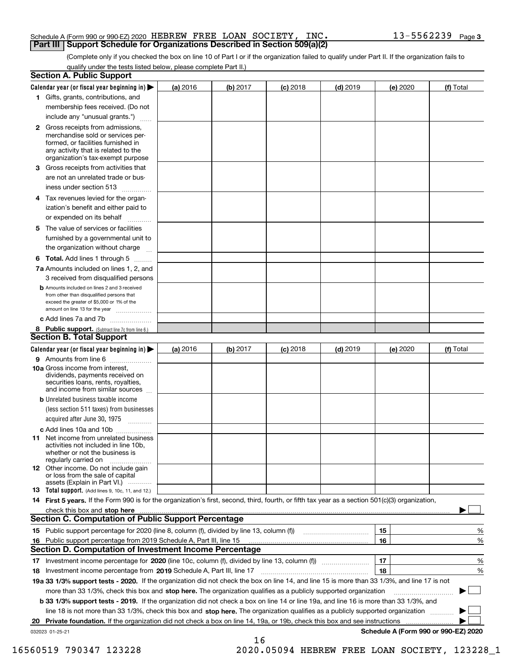### Schedule A (Form 990 or 990-EZ) 2020 <code>HEBREW FREE LOAN SOCIETY</code> , <code>INC</code> .  $13\text{--}5562239$  <code>Page</code> **Part III Support Schedule for Organizations Described in Section 509(a)(2)**

(Complete only if you checked the box on line 10 of Part I or if the organization failed to qualify under Part II. If the organization fails to qualify under the tests listed below, please complete Part II.)

|    | <b>Section A. Public Support</b>                                                                                                                                                                                              |          |          |            |            |          |                                      |
|----|-------------------------------------------------------------------------------------------------------------------------------------------------------------------------------------------------------------------------------|----------|----------|------------|------------|----------|--------------------------------------|
|    | Calendar year (or fiscal year beginning in) $\blacktriangleright$                                                                                                                                                             | (a) 2016 | (b) 2017 | $(c)$ 2018 | $(d)$ 2019 | (e) 2020 | (f) Total                            |
|    | 1 Gifts, grants, contributions, and                                                                                                                                                                                           |          |          |            |            |          |                                      |
|    | membership fees received. (Do not                                                                                                                                                                                             |          |          |            |            |          |                                      |
|    | include any "unusual grants.")                                                                                                                                                                                                |          |          |            |            |          |                                      |
|    | 2 Gross receipts from admissions,<br>merchandise sold or services per-<br>formed, or facilities furnished in<br>any activity that is related to the<br>organization's tax-exempt purpose                                      |          |          |            |            |          |                                      |
|    | 3 Gross receipts from activities that<br>are not an unrelated trade or bus-                                                                                                                                                   |          |          |            |            |          |                                      |
|    | iness under section 513                                                                                                                                                                                                       |          |          |            |            |          |                                      |
|    | 4 Tax revenues levied for the organ-                                                                                                                                                                                          |          |          |            |            |          |                                      |
|    | ization's benefit and either paid to<br>or expended on its behalf<br>.                                                                                                                                                        |          |          |            |            |          |                                      |
|    | 5 The value of services or facilities                                                                                                                                                                                         |          |          |            |            |          |                                      |
|    | furnished by a governmental unit to                                                                                                                                                                                           |          |          |            |            |          |                                      |
|    | the organization without charge                                                                                                                                                                                               |          |          |            |            |          |                                      |
|    | <b>6 Total.</b> Add lines 1 through 5                                                                                                                                                                                         |          |          |            |            |          |                                      |
|    | 7a Amounts included on lines 1, 2, and                                                                                                                                                                                        |          |          |            |            |          |                                      |
|    | 3 received from disqualified persons                                                                                                                                                                                          |          |          |            |            |          |                                      |
|    | <b>b</b> Amounts included on lines 2 and 3 received<br>from other than disqualified persons that<br>exceed the greater of \$5,000 or 1% of the<br>amount on line 13 for the year                                              |          |          |            |            |          |                                      |
|    | c Add lines 7a and 7b                                                                                                                                                                                                         |          |          |            |            |          |                                      |
|    | 8 Public support. (Subtract line 7c from line 6.)                                                                                                                                                                             |          |          |            |            |          |                                      |
|    | <b>Section B. Total Support</b>                                                                                                                                                                                               |          |          |            |            |          |                                      |
|    | Calendar year (or fiscal year beginning in) $\blacktriangleright$                                                                                                                                                             | (a) 2016 | (b) 2017 | $(c)$ 2018 | $(d)$ 2019 | (e) 2020 | (f) Total                            |
|    | 9 Amounts from line 6                                                                                                                                                                                                         |          |          |            |            |          |                                      |
|    | 10a Gross income from interest,<br>dividends, payments received on<br>securities loans, rents, royalties,<br>and income from similar sources                                                                                  |          |          |            |            |          |                                      |
|    | <b>b</b> Unrelated business taxable income<br>(less section 511 taxes) from businesses                                                                                                                                        |          |          |            |            |          |                                      |
|    | acquired after June 30, 1975                                                                                                                                                                                                  |          |          |            |            |          |                                      |
|    | c Add lines 10a and 10b<br>11 Net income from unrelated business<br>activities not included in line 10b,<br>whether or not the business is<br>regularly carried on                                                            |          |          |            |            |          |                                      |
|    | 12 Other income. Do not include gain<br>or loss from the sale of capital<br>assets (Explain in Part VI.)                                                                                                                      |          |          |            |            |          |                                      |
|    | <b>13</b> Total support. (Add lines 9, 10c, 11, and 12.)                                                                                                                                                                      |          |          |            |            |          |                                      |
|    | 14 First 5 years. If the Form 990 is for the organization's first, second, third, fourth, or fifth tax year as a section 501(c)(3) organization,                                                                              |          |          |            |            |          |                                      |
|    | check this box and stop here with the continuum control to the change of the state of the state of the change of the change of the change of the change of the change of the change of the change of the change of the change |          |          |            |            |          |                                      |
|    | Section C. Computation of Public Support Percentage                                                                                                                                                                           |          |          |            |            |          |                                      |
|    | 15 Public support percentage for 2020 (line 8, column (f), divided by line 13, column (f))                                                                                                                                    |          |          |            |            | 15       | %                                    |
|    | 16 Public support percentage from 2019 Schedule A, Part III, line 15                                                                                                                                                          |          |          |            |            | 16       | %                                    |
|    | <b>Section D. Computation of Investment Income Percentage</b>                                                                                                                                                                 |          |          |            |            |          |                                      |
|    | 17 Investment income percentage for 2020 (line 10c, column (f), divided by line 13, column (f))                                                                                                                               |          |          |            |            | 17       | %                                    |
|    | <b>18</b> Investment income percentage from <b>2019</b> Schedule A, Part III, line 17                                                                                                                                         |          |          |            |            | 18       | %                                    |
|    | 19a 33 1/3% support tests - 2020. If the organization did not check the box on line 14, and line 15 is more than 33 1/3%, and line 17 is not                                                                                  |          |          |            |            |          |                                      |
|    | more than 33 1/3%, check this box and stop here. The organization qualifies as a publicly supported organization                                                                                                              |          |          |            |            |          | ▶                                    |
|    | b 33 1/3% support tests - 2019. If the organization did not check a box on line 14 or line 19a, and line 16 is more than 33 1/3%, and                                                                                         |          |          |            |            |          |                                      |
|    | line 18 is not more than 33 1/3%, check this box and stop here. The organization qualifies as a publicly supported organization                                                                                               |          |          |            |            |          |                                      |
| 20 | <b>Private foundation.</b> If the organization did not check a box on line 14, 19a, or 19b, check this box and see instructions                                                                                               |          |          |            |            |          |                                      |
|    | 032023 01-25-21                                                                                                                                                                                                               |          | 16       |            |            |          | Schedule A (Form 990 or 990-EZ) 2020 |

16560519 790347 123228 2020.05094 HEBREW FREE LOAN SOCIETY, 123228\_1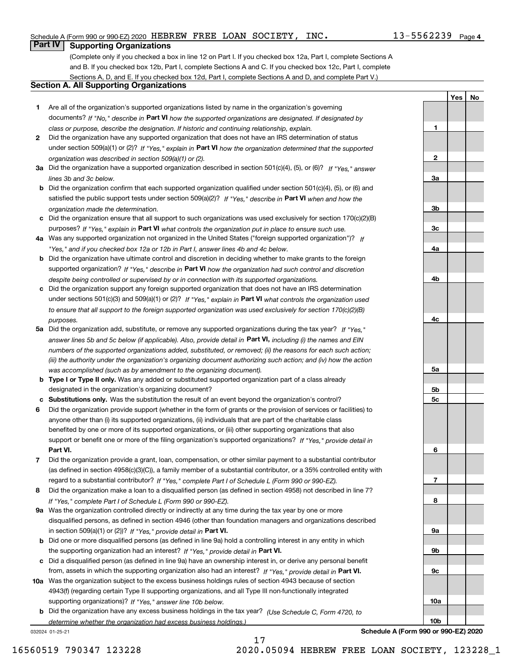**1**

**2**

**3a**

**3b**

**3c**

**4a**

**4b**

**4c**

**5a**

**5b5c**

**6**

**7**

**8**

**9a**

**9b**

**9c**

**10a**

**10b**

**YesNo**

## **Part IV Supporting Organizations**

(Complete only if you checked a box in line 12 on Part I. If you checked box 12a, Part I, complete Sections A and B. If you checked box 12b, Part I, complete Sections A and C. If you checked box 12c, Part I, complete Sections A, D, and E. If you checked box 12d, Part I, complete Sections A and D, and complete Part V.)

### **Section A. All Supporting Organizations**

- **1** Are all of the organization's supported organizations listed by name in the organization's governing documents? If "No," describe in **Part VI** how the supported organizations are designated. If designated by *class or purpose, describe the designation. If historic and continuing relationship, explain.*
- **2** Did the organization have any supported organization that does not have an IRS determination of status under section 509(a)(1) or (2)? If "Yes," explain in Part VI how the organization determined that the supported *organization was described in section 509(a)(1) or (2).*
- **3a** Did the organization have a supported organization described in section 501(c)(4), (5), or (6)? If "Yes," answer *lines 3b and 3c below.*
- **b** Did the organization confirm that each supported organization qualified under section 501(c)(4), (5), or (6) and satisfied the public support tests under section 509(a)(2)? If "Yes," describe in **Part VI** when and how the *organization made the determination.*
- **c**Did the organization ensure that all support to such organizations was used exclusively for section 170(c)(2)(B) purposes? If "Yes," explain in **Part VI** what controls the organization put in place to ensure such use.
- **4a***If* Was any supported organization not organized in the United States ("foreign supported organization")? *"Yes," and if you checked box 12a or 12b in Part I, answer lines 4b and 4c below.*
- **b** Did the organization have ultimate control and discretion in deciding whether to make grants to the foreign supported organization? If "Yes," describe in **Part VI** how the organization had such control and discretion *despite being controlled or supervised by or in connection with its supported organizations.*
- **c** Did the organization support any foreign supported organization that does not have an IRS determination under sections 501(c)(3) and 509(a)(1) or (2)? If "Yes," explain in **Part VI** what controls the organization used *to ensure that all support to the foreign supported organization was used exclusively for section 170(c)(2)(B) purposes.*
- **5a** Did the organization add, substitute, or remove any supported organizations during the tax year? If "Yes," answer lines 5b and 5c below (if applicable). Also, provide detail in **Part VI,** including (i) the names and EIN *numbers of the supported organizations added, substituted, or removed; (ii) the reasons for each such action; (iii) the authority under the organization's organizing document authorizing such action; and (iv) how the action was accomplished (such as by amendment to the organizing document).*
- **b** Type I or Type II only. Was any added or substituted supported organization part of a class already designated in the organization's organizing document?
- **cSubstitutions only.**  Was the substitution the result of an event beyond the organization's control?
- **6** Did the organization provide support (whether in the form of grants or the provision of services or facilities) to **Part VI.** *If "Yes," provide detail in* support or benefit one or more of the filing organization's supported organizations? anyone other than (i) its supported organizations, (ii) individuals that are part of the charitable class benefited by one or more of its supported organizations, or (iii) other supporting organizations that also
- **7**Did the organization provide a grant, loan, compensation, or other similar payment to a substantial contributor *If "Yes," complete Part I of Schedule L (Form 990 or 990-EZ).* regard to a substantial contributor? (as defined in section 4958(c)(3)(C)), a family member of a substantial contributor, or a 35% controlled entity with
- **8** Did the organization make a loan to a disqualified person (as defined in section 4958) not described in line 7? *If "Yes," complete Part I of Schedule L (Form 990 or 990-EZ).*
- **9a** Was the organization controlled directly or indirectly at any time during the tax year by one or more in section 509(a)(1) or (2))? If "Yes," *provide detail in* <code>Part VI.</code> disqualified persons, as defined in section 4946 (other than foundation managers and organizations described
- **b** Did one or more disqualified persons (as defined in line 9a) hold a controlling interest in any entity in which the supporting organization had an interest? If "Yes," provide detail in P**art VI**.
- **c**Did a disqualified person (as defined in line 9a) have an ownership interest in, or derive any personal benefit from, assets in which the supporting organization also had an interest? If "Yes," provide detail in P**art VI.**
- **10a** Was the organization subject to the excess business holdings rules of section 4943 because of section supporting organizations)? If "Yes," answer line 10b below. 4943(f) (regarding certain Type II supporting organizations, and all Type III non-functionally integrated
- **b** Did the organization have any excess business holdings in the tax year? (Use Schedule C, Form 4720, to *determine whether the organization had excess business holdings.)*

17

032024 01-25-21

**Schedule A (Form 990 or 990-EZ) 2020**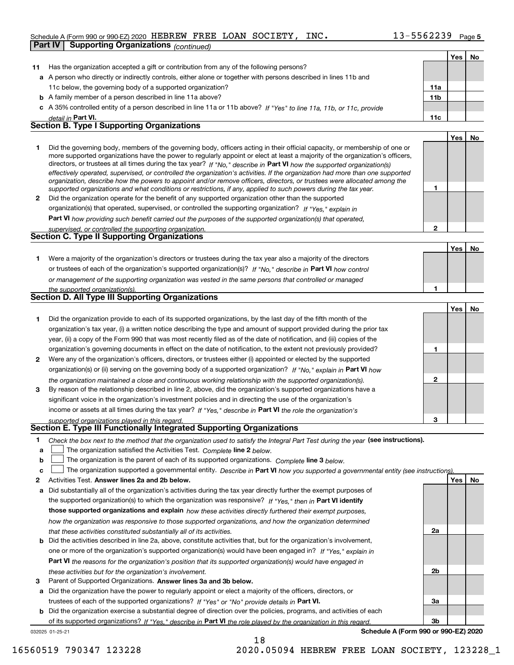### Schedule A (Form 990 or 990-EZ) 2020 <code>HEBREW FREE LOAN SOCIETY</code> , <code>INC</code> .  $13\text{--}5562239$  <code>Page</code>

|    | Scribut A (Form 330 or 330-CZ) 2020 THERMEN I KEE THOIH NOCHELLI                                                                                                                                                                                           | ,,,,,, <i>,</i> |     | raue o |
|----|------------------------------------------------------------------------------------------------------------------------------------------------------------------------------------------------------------------------------------------------------------|-----------------|-----|--------|
|    | Part IV<br><b>Supporting Organizations (continued)</b>                                                                                                                                                                                                     |                 |     |        |
|    |                                                                                                                                                                                                                                                            |                 | Yes | No     |
| 11 | Has the organization accepted a gift or contribution from any of the following persons?                                                                                                                                                                    |                 |     |        |
|    | a A person who directly or indirectly controls, either alone or together with persons described in lines 11b and                                                                                                                                           |                 |     |        |
|    | 11c below, the governing body of a supported organization?                                                                                                                                                                                                 | 11a             |     |        |
|    | <b>b</b> A family member of a person described in line 11a above?                                                                                                                                                                                          | 11 <sub>b</sub> |     |        |
|    | c A 35% controlled entity of a person described in line 11a or 11b above? If "Yes" to line 11a, 11b, or 11c, provide                                                                                                                                       |                 |     |        |
|    | detail in Part VI.                                                                                                                                                                                                                                         | 11c             |     |        |
|    | <b>Section B. Type I Supporting Organizations</b>                                                                                                                                                                                                          |                 |     |        |
|    |                                                                                                                                                                                                                                                            |                 | Yes | No     |
| 1. | Did the governing body, members of the governing body, officers acting in their official capacity, or membership of one or                                                                                                                                 |                 |     |        |
|    | more supported organizations have the power to regularly appoint or elect at least a majority of the organization's officers,                                                                                                                              |                 |     |        |
|    | directors, or trustees at all times during the tax year? If "No," describe in Part VI how the supported organization(s)                                                                                                                                    |                 |     |        |
|    | effectively operated, supervised, or controlled the organization's activities. If the organization had more than one supported<br>organization, describe how the powers to appoint and/or remove officers, directors, or trustees were allocated among the |                 |     |        |
|    | supported organizations and what conditions or restrictions, if any, applied to such powers during the tax year.                                                                                                                                           | 1               |     |        |
| 2  | Did the organization operate for the benefit of any supported organization other than the supported                                                                                                                                                        |                 |     |        |
|    | organization(s) that operated, supervised, or controlled the supporting organization? If "Yes," explain in                                                                                                                                                 |                 |     |        |
|    | Part VI how providing such benefit carried out the purposes of the supported organization(s) that operated,                                                                                                                                                |                 |     |        |
|    | supervised, or controlled the supporting organization.                                                                                                                                                                                                     | 2               |     |        |
|    | Section C. Type II Supporting Organizations                                                                                                                                                                                                                |                 |     |        |
|    |                                                                                                                                                                                                                                                            |                 | Yes | No     |
| 1. | Were a majority of the organization's directors or trustees during the tax year also a majority of the directors                                                                                                                                           |                 |     |        |
|    | or trustees of each of the organization's supported organization(s)? If "No," describe in Part VI how control                                                                                                                                              |                 |     |        |
|    |                                                                                                                                                                                                                                                            |                 |     |        |
|    | or management of the supporting organization was vested in the same persons that controlled or managed                                                                                                                                                     | 1               |     |        |
|    | the supported organization(s).<br>Section D. All Type III Supporting Organizations                                                                                                                                                                         |                 |     |        |
|    |                                                                                                                                                                                                                                                            |                 |     |        |
|    |                                                                                                                                                                                                                                                            |                 | Yes | No     |
| 1. | Did the organization provide to each of its supported organizations, by the last day of the fifth month of the                                                                                                                                             |                 |     |        |
|    | organization's tax year, (i) a written notice describing the type and amount of support provided during the prior tax                                                                                                                                      |                 |     |        |
|    | year, (ii) a copy of the Form 990 that was most recently filed as of the date of notification, and (iii) copies of the                                                                                                                                     |                 |     |        |
|    | organization's governing documents in effect on the date of notification, to the extent not previously provided?                                                                                                                                           | 1               |     |        |
| 2  | Were any of the organization's officers, directors, or trustees either (i) appointed or elected by the supported                                                                                                                                           |                 |     |        |
|    | organization(s) or (ii) serving on the governing body of a supported organization? If "No," explain in Part VI how                                                                                                                                         |                 |     |        |
|    | the organization maintained a close and continuous working relationship with the supported organization(s).                                                                                                                                                | 2               |     |        |
| 3  | By reason of the relationship described in line 2, above, did the organization's supported organizations have a                                                                                                                                            |                 |     |        |
|    | significant voice in the organization's investment policies and in directing the use of the organization's                                                                                                                                                 |                 |     |        |
|    | income or assets at all times during the tax year? If "Yes," describe in Part VI the role the organization's                                                                                                                                               |                 |     |        |
|    | supported organizations played in this regard.                                                                                                                                                                                                             | 3               |     |        |
|    | Section E. Type III Functionally Integrated Supporting Organizations                                                                                                                                                                                       |                 |     |        |
| 1  | Check the box next to the method that the organization used to satisfy the Integral Part Test during the year (see instructions).                                                                                                                          |                 |     |        |
| a  | The organization satisfied the Activities Test. Complete line 2 below.                                                                                                                                                                                     |                 |     |        |
| b  | The organization is the parent of each of its supported organizations. Complete line 3 below.                                                                                                                                                              |                 |     |        |
| c  | The organization supported a governmental entity. Describe in Part VI how you supported a governmental entity (see instructions)                                                                                                                           |                 |     |        |
| 2  | Activities Test. Answer lines 2a and 2b below.                                                                                                                                                                                                             |                 | Yes | No     |
| а  | Did substantially all of the organization's activities during the tax year directly further the exempt purposes of                                                                                                                                         |                 |     |        |
|    | the supported organization(s) to which the organization was responsive? If "Yes," then in Part VI identify                                                                                                                                                 |                 |     |        |
|    | those supported organizations and explain how these activities directly furthered their exempt purposes,                                                                                                                                                   |                 |     |        |
|    | how the organization was responsive to those supported organizations, and how the organization determined                                                                                                                                                  |                 |     |        |

- *that these activities constituted substantially all of its activities.*
- **b** Did the activities described in line 2a, above, constitute activities that, but for the organization's involvement, **Part VI**  *the reasons for the organization's position that its supported organization(s) would have engaged in* one or more of the organization's supported organization(s) would have been engaged in? If "Yes," e*xplain in these activities but for the organization's involvement.*
- **3** Parent of Supported Organizations. Answer lines 3a and 3b below.

**a** Did the organization have the power to regularly appoint or elect a majority of the officers, directors, or trustees of each of the supported organizations? If "Yes" or "No" provide details in **Part VI.** 

032025 01-25-21 **b** Did the organization exercise a substantial degree of direction over the policies, programs, and activities of each of its supported organizations? If "Yes," describe in Part VI the role played by the organization in this regard.

**Schedule A (Form 990 or 990-EZ) 2020**

**2a**

**2b**

**3a**

**3b**

16560519 790347 123228 2020.05094 HEBREW FREE LOAN SOCIETY, 123228\_1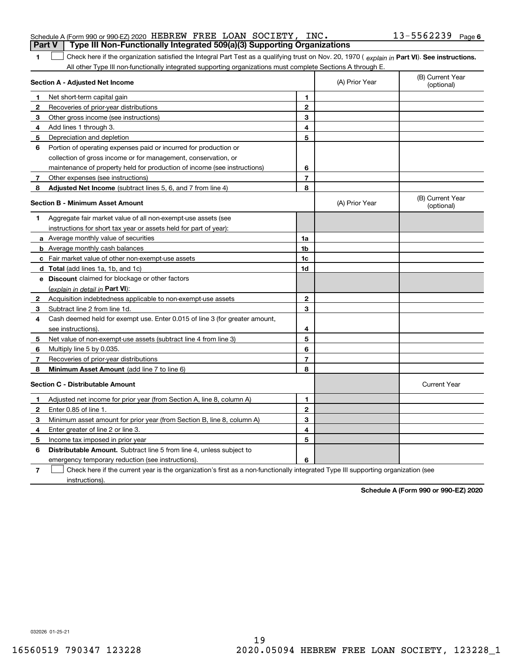|              | Type III Non-Functionally Integrated 509(a)(3) Supporting Organizations<br>Part V                                                              |                |                |                                |
|--------------|------------------------------------------------------------------------------------------------------------------------------------------------|----------------|----------------|--------------------------------|
| 1.           | Check here if the organization satisfied the Integral Part Test as a qualifying trust on Nov. 20, 1970 (explain in Part VI). See instructions. |                |                |                                |
|              | All other Type III non-functionally integrated supporting organizations must complete Sections A through E.                                    |                |                |                                |
|              | Section A - Adjusted Net Income                                                                                                                |                | (A) Prior Year | (B) Current Year<br>(optional) |
| $\mathbf 1$  | Net short-term capital gain                                                                                                                    | 1              |                |                                |
| 2            | Recoveries of prior-year distributions                                                                                                         | $\overline{2}$ |                |                                |
| 3            | Other gross income (see instructions)                                                                                                          | 3              |                |                                |
| 4            | Add lines 1 through 3.                                                                                                                         | 4              |                |                                |
| 5            | Depreciation and depletion                                                                                                                     | 5              |                |                                |
| 6            | Portion of operating expenses paid or incurred for production or                                                                               |                |                |                                |
|              | collection of gross income or for management, conservation, or                                                                                 |                |                |                                |
|              | maintenance of property held for production of income (see instructions)                                                                       | 6              |                |                                |
| 7            | Other expenses (see instructions)                                                                                                              | $\overline{7}$ |                |                                |
| 8            | Adjusted Net Income (subtract lines 5, 6, and 7 from line 4)                                                                                   | 8              |                |                                |
|              | Section B - Minimum Asset Amount                                                                                                               |                | (A) Prior Year | (B) Current Year<br>(optional) |
| 1            | Aggregate fair market value of all non-exempt-use assets (see                                                                                  |                |                |                                |
|              | instructions for short tax year or assets held for part of year):                                                                              |                |                |                                |
|              | <b>a</b> Average monthly value of securities                                                                                                   | 1a             |                |                                |
|              | <b>b</b> Average monthly cash balances                                                                                                         | 1 <sub>b</sub> |                |                                |
|              | c Fair market value of other non-exempt-use assets                                                                                             | 1c             |                |                                |
|              | <b>d</b> Total (add lines 1a, 1b, and 1c)                                                                                                      | 1d             |                |                                |
|              | e Discount claimed for blockage or other factors                                                                                               |                |                |                                |
|              | <u>(explain in detail in Part VI):</u>                                                                                                         |                |                |                                |
| $\mathbf{2}$ | Acquisition indebtedness applicable to non-exempt-use assets                                                                                   | $\mathbf{2}$   |                |                                |
| 3            | Subtract line 2 from line 1d.                                                                                                                  | 3              |                |                                |
| 4            | Cash deemed held for exempt use. Enter 0.015 of line 3 (for greater amount,                                                                    |                |                |                                |
|              | see instructions).                                                                                                                             | 4              |                |                                |
| 5            | Net value of non-exempt-use assets (subtract line 4 from line 3)                                                                               | 5              |                |                                |
| 6            | Multiply line 5 by 0.035.                                                                                                                      | 6              |                |                                |
| 7            | Recoveries of prior-year distributions                                                                                                         | $\overline{7}$ |                |                                |
| 8            | <b>Minimum Asset Amount</b> (add line 7 to line 6)                                                                                             | 8              |                |                                |
|              | <b>Section C - Distributable Amount</b>                                                                                                        |                |                | <b>Current Year</b>            |
| 1            | Adjusted net income for prior year (from Section A, line 8, column A)                                                                          | 1              |                |                                |
| $\mathbf{2}$ | Enter 0.85 of line 1.                                                                                                                          | $\mathbf{2}$   |                |                                |
| 3            | Minimum asset amount for prior year (from Section B, line 8, column A)                                                                         | 3              |                |                                |
| 4            | Enter greater of line 2 or line 3.                                                                                                             | 4              |                |                                |
| 5            | Income tax imposed in prior year                                                                                                               | 5              |                |                                |
|              |                                                                                                                                                |                |                |                                |

**6Distributable Amount.** Subtract line 5 from line 4, unless subject to

emergency temporary reduction (see instructions).

**7**Check here if the current year is the organization's first as a non-functionally integrated Type III supporting organization (see instructions).

**6**

**Schedule A (Form 990 or 990-EZ) 2020**

**6** Schedule A (Form 990 or 990-EZ) 2020 HEBREW FREE LOAN SOCIETY, INC。 I 3-556 2 2 3 9 Page HEBREW FREE LOAN SOCIETY, INC. 13-5562239

032026 01-25-21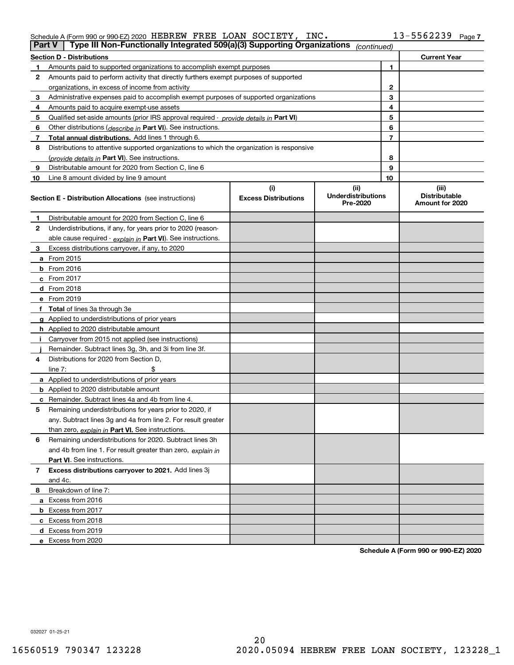| Schedule A (Form 990 or 990-EZ) 2020 HEBREW FREE LOAN SOCIETY, INC. |  |  | $13 - 5562239$ Page: |  |
|---------------------------------------------------------------------|--|--|----------------------|--|
|                                                                     |  |  |                      |  |

|    | Type III Non-Functionally Integrated 509(a)(3) Supporting Organizations<br>Part V          |                             | (continued)                           |    |                                         |
|----|--------------------------------------------------------------------------------------------|-----------------------------|---------------------------------------|----|-----------------------------------------|
|    | <b>Section D - Distributions</b>                                                           |                             |                                       |    | <b>Current Year</b>                     |
|    | Amounts paid to supported organizations to accomplish exempt purposes                      |                             |                                       | 1  |                                         |
| 2  | Amounts paid to perform activity that directly furthers exempt purposes of supported       |                             |                                       |    |                                         |
|    | organizations, in excess of income from activity                                           |                             | 2                                     |    |                                         |
| 3  | Administrative expenses paid to accomplish exempt purposes of supported organizations      |                             | 3                                     |    |                                         |
| 4  | Amounts paid to acquire exempt-use assets                                                  |                             |                                       | 4  |                                         |
| 5  | Qualified set aside amounts (prior IRS approval required - provide details in Part VI)     |                             |                                       | 5  |                                         |
| 6  | Other distributions (describe in Part VI). See instructions.                               |                             |                                       | 6  |                                         |
| 7  | Total annual distributions. Add lines 1 through 6.                                         |                             |                                       | 7  |                                         |
| 8  | Distributions to attentive supported organizations to which the organization is responsive |                             |                                       |    |                                         |
|    | (provide details in Part VI). See instructions.                                            |                             |                                       | 8  |                                         |
| 9  | Distributable amount for 2020 from Section C, line 6                                       |                             |                                       | 9  |                                         |
| 10 | Line 8 amount divided by line 9 amount                                                     |                             |                                       | 10 |                                         |
|    |                                                                                            | (i)                         | (ii)                                  |    | (iii)                                   |
|    | <b>Section E - Distribution Allocations</b> (see instructions)                             | <b>Excess Distributions</b> | <b>Underdistributions</b><br>Pre-2020 |    | <b>Distributable</b><br>Amount for 2020 |
| 1  | Distributable amount for 2020 from Section C, line 6                                       |                             |                                       |    |                                         |
| 2  | Underdistributions, if any, for years prior to 2020 (reason-                               |                             |                                       |    |                                         |
|    | able cause required - explain in Part VI). See instructions.                               |                             |                                       |    |                                         |
| 3  | Excess distributions carryover, if any, to 2020                                            |                             |                                       |    |                                         |
|    | a From 2015                                                                                |                             |                                       |    |                                         |
|    | $b$ From 2016                                                                              |                             |                                       |    |                                         |
|    | c From $2017$                                                                              |                             |                                       |    |                                         |
|    | <b>d</b> From 2018                                                                         |                             |                                       |    |                                         |
|    | e From 2019                                                                                |                             |                                       |    |                                         |
|    | f Total of lines 3a through 3e                                                             |                             |                                       |    |                                         |
|    | g Applied to underdistributions of prior years                                             |                             |                                       |    |                                         |
|    | <b>h</b> Applied to 2020 distributable amount                                              |                             |                                       |    |                                         |
|    | Carryover from 2015 not applied (see instructions)                                         |                             |                                       |    |                                         |
|    | Remainder. Subtract lines 3g, 3h, and 3i from line 3f.                                     |                             |                                       |    |                                         |
| 4  | Distributions for 2020 from Section D.                                                     |                             |                                       |    |                                         |
|    | line $7:$                                                                                  |                             |                                       |    |                                         |
|    | a Applied to underdistributions of prior years                                             |                             |                                       |    |                                         |
|    | <b>b</b> Applied to 2020 distributable amount                                              |                             |                                       |    |                                         |
|    | <b>c</b> Remainder. Subtract lines 4a and 4b from line 4.                                  |                             |                                       |    |                                         |
| 5  | Remaining underdistributions for years prior to 2020, if                                   |                             |                                       |    |                                         |
|    | any. Subtract lines 3g and 4a from line 2. For result greater                              |                             |                                       |    |                                         |
|    | than zero, explain in Part VI. See instructions.                                           |                             |                                       |    |                                         |
| 6  | Remaining underdistributions for 2020. Subtract lines 3h                                   |                             |                                       |    |                                         |
|    | and 4b from line 1. For result greater than zero, explain in                               |                             |                                       |    |                                         |
|    | <b>Part VI.</b> See instructions.                                                          |                             |                                       |    |                                         |
| 7  | Excess distributions carryover to 2021. Add lines 3j                                       |                             |                                       |    |                                         |
|    | and 4c.                                                                                    |                             |                                       |    |                                         |
| 8  | Breakdown of line 7:                                                                       |                             |                                       |    |                                         |
|    | a Excess from 2016                                                                         |                             |                                       |    |                                         |
|    | <b>b</b> Excess from 2017                                                                  |                             |                                       |    |                                         |
|    | c Excess from 2018                                                                         |                             |                                       |    |                                         |
|    | d Excess from 2019                                                                         |                             |                                       |    |                                         |
|    | e Excess from 2020                                                                         |                             |                                       |    |                                         |

**Schedule A (Form 990 or 990-EZ) 2020**

032027 01-25-21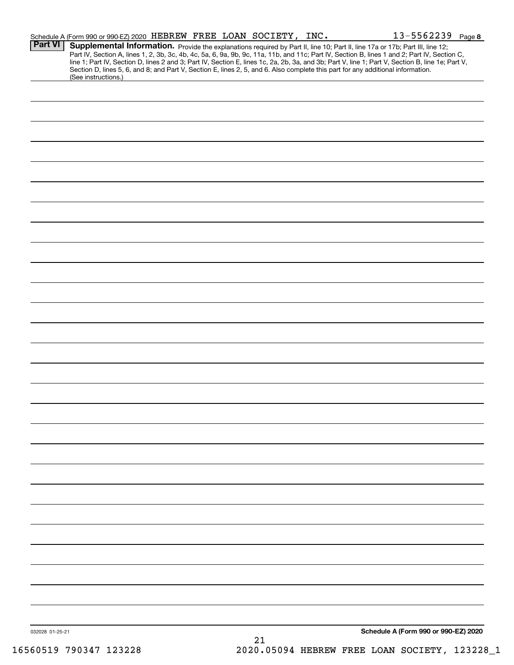|                 | Schedule A (Form 990 or 990-EZ) 2020 HEBREW FREE LOAN SOCIETY, INC. |  |    | $13 - 5562239$ Page 8                                                                                                                                                                                                                                                                                                                                                                                                                                                                                                                                                |  |
|-----------------|---------------------------------------------------------------------|--|----|----------------------------------------------------------------------------------------------------------------------------------------------------------------------------------------------------------------------------------------------------------------------------------------------------------------------------------------------------------------------------------------------------------------------------------------------------------------------------------------------------------------------------------------------------------------------|--|
| <b>Part VI</b>  |                                                                     |  |    | Supplemental Information. Provide the explanations required by Part II, line 10; Part II, line 17a or 17b; Part III, line 12;<br>Part IV, Section A, lines 1, 2, 3b, 3c, 4b, 4c, 5a, 6, 9a, 9b, 9c, 11a, 11b, and 11c; Part IV, Section B, lines 1 and 2; Part IV, Section C,<br>line 1; Part IV, Section D, lines 2 and 3; Part IV, Section E, lines 1c, 2a, 2b, 3a, and 3b; Part V, line 1; Part V, Section B, line 1e; Part V,<br>Section D, lines 5, 6, and 8; and Part V, Section E, lines 2, 5, and 6. Also complete this part for any additional information. |  |
|                 | (See instructions.)                                                 |  |    |                                                                                                                                                                                                                                                                                                                                                                                                                                                                                                                                                                      |  |
|                 |                                                                     |  |    |                                                                                                                                                                                                                                                                                                                                                                                                                                                                                                                                                                      |  |
|                 |                                                                     |  |    |                                                                                                                                                                                                                                                                                                                                                                                                                                                                                                                                                                      |  |
|                 |                                                                     |  |    |                                                                                                                                                                                                                                                                                                                                                                                                                                                                                                                                                                      |  |
|                 |                                                                     |  |    |                                                                                                                                                                                                                                                                                                                                                                                                                                                                                                                                                                      |  |
|                 |                                                                     |  |    |                                                                                                                                                                                                                                                                                                                                                                                                                                                                                                                                                                      |  |
|                 |                                                                     |  |    |                                                                                                                                                                                                                                                                                                                                                                                                                                                                                                                                                                      |  |
|                 |                                                                     |  |    |                                                                                                                                                                                                                                                                                                                                                                                                                                                                                                                                                                      |  |
|                 |                                                                     |  |    |                                                                                                                                                                                                                                                                                                                                                                                                                                                                                                                                                                      |  |
|                 |                                                                     |  |    |                                                                                                                                                                                                                                                                                                                                                                                                                                                                                                                                                                      |  |
|                 |                                                                     |  |    |                                                                                                                                                                                                                                                                                                                                                                                                                                                                                                                                                                      |  |
|                 |                                                                     |  |    |                                                                                                                                                                                                                                                                                                                                                                                                                                                                                                                                                                      |  |
|                 |                                                                     |  |    |                                                                                                                                                                                                                                                                                                                                                                                                                                                                                                                                                                      |  |
|                 |                                                                     |  |    |                                                                                                                                                                                                                                                                                                                                                                                                                                                                                                                                                                      |  |
|                 |                                                                     |  |    |                                                                                                                                                                                                                                                                                                                                                                                                                                                                                                                                                                      |  |
|                 |                                                                     |  |    |                                                                                                                                                                                                                                                                                                                                                                                                                                                                                                                                                                      |  |
|                 |                                                                     |  |    |                                                                                                                                                                                                                                                                                                                                                                                                                                                                                                                                                                      |  |
|                 |                                                                     |  |    |                                                                                                                                                                                                                                                                                                                                                                                                                                                                                                                                                                      |  |
|                 |                                                                     |  |    |                                                                                                                                                                                                                                                                                                                                                                                                                                                                                                                                                                      |  |
|                 |                                                                     |  |    |                                                                                                                                                                                                                                                                                                                                                                                                                                                                                                                                                                      |  |
|                 |                                                                     |  |    |                                                                                                                                                                                                                                                                                                                                                                                                                                                                                                                                                                      |  |
|                 |                                                                     |  |    |                                                                                                                                                                                                                                                                                                                                                                                                                                                                                                                                                                      |  |
|                 |                                                                     |  |    |                                                                                                                                                                                                                                                                                                                                                                                                                                                                                                                                                                      |  |
|                 |                                                                     |  |    |                                                                                                                                                                                                                                                                                                                                                                                                                                                                                                                                                                      |  |
|                 |                                                                     |  |    |                                                                                                                                                                                                                                                                                                                                                                                                                                                                                                                                                                      |  |
|                 |                                                                     |  |    |                                                                                                                                                                                                                                                                                                                                                                                                                                                                                                                                                                      |  |
|                 |                                                                     |  |    |                                                                                                                                                                                                                                                                                                                                                                                                                                                                                                                                                                      |  |
|                 |                                                                     |  |    |                                                                                                                                                                                                                                                                                                                                                                                                                                                                                                                                                                      |  |
|                 |                                                                     |  |    |                                                                                                                                                                                                                                                                                                                                                                                                                                                                                                                                                                      |  |
|                 |                                                                     |  |    |                                                                                                                                                                                                                                                                                                                                                                                                                                                                                                                                                                      |  |
|                 |                                                                     |  |    |                                                                                                                                                                                                                                                                                                                                                                                                                                                                                                                                                                      |  |
|                 |                                                                     |  |    |                                                                                                                                                                                                                                                                                                                                                                                                                                                                                                                                                                      |  |
|                 |                                                                     |  |    |                                                                                                                                                                                                                                                                                                                                                                                                                                                                                                                                                                      |  |
|                 |                                                                     |  |    |                                                                                                                                                                                                                                                                                                                                                                                                                                                                                                                                                                      |  |
| 032028 01-25-21 |                                                                     |  |    | Schedule A (Form 990 or 990-EZ) 2020                                                                                                                                                                                                                                                                                                                                                                                                                                                                                                                                 |  |
|                 |                                                                     |  | 21 |                                                                                                                                                                                                                                                                                                                                                                                                                                                                                                                                                                      |  |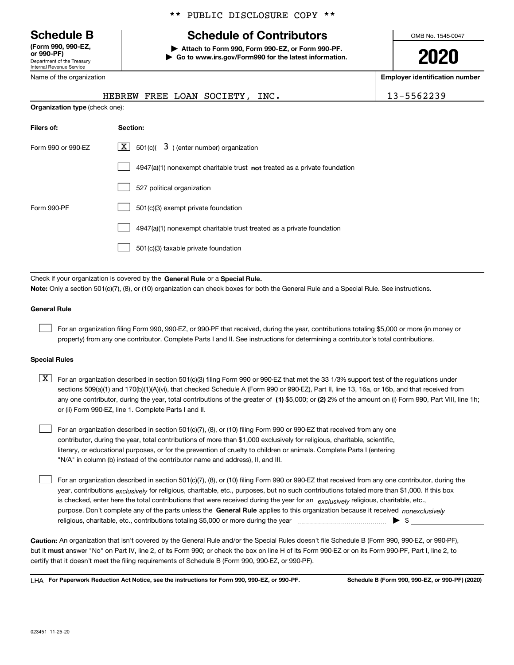Department of the Treasury Internal Revenue Service **(Form 990, 990-EZ, or 990-PF)**

## \*\* PUBLIC DISCLOSURE COPY \*\*

# **Schedule B Schedule of Contributors**

**| Attach to Form 990, Form 990-EZ, or Form 990-PF. | Go to www.irs.gov/Form990 for the latest information.** OMB No. 1545-0047

**2020**

**Employer identification number**

| Internal Revenue Service |
|--------------------------|
| Name of the organization |

**Organization type** (check one):

|  |  | HEBREW FREE LOAN SOCIETY | INC. | 5562239 |
|--|--|--------------------------|------|---------|
|  |  |                          |      |         |

| Filers of:         | Section:                                                                  |
|--------------------|---------------------------------------------------------------------------|
| Form 990 or 990-EZ | $\lfloor x \rfloor$ 501(c)( 3) (enter number) organization                |
|                    | 4947(a)(1) nonexempt charitable trust not treated as a private foundation |
|                    | 527 political organization                                                |
| Form 990-PF        | 501(c)(3) exempt private foundation                                       |
|                    | 4947(a)(1) nonexempt charitable trust treated as a private foundation     |
|                    | 501(c)(3) taxable private foundation                                      |

Check if your organization is covered by the **General Rule** or a **Special Rule. Note:**  Only a section 501(c)(7), (8), or (10) organization can check boxes for both the General Rule and a Special Rule. See instructions.

### **General Rule**

 $\mathcal{L}^{\text{max}}$ 

For an organization filing Form 990, 990-EZ, or 990-PF that received, during the year, contributions totaling \$5,000 or more (in money or property) from any one contributor. Complete Parts I and II. See instructions for determining a contributor's total contributions.

### **Special Rules**

any one contributor, during the year, total contributions of the greater of  $\,$  (1) \$5,000; or **(2)** 2% of the amount on (i) Form 990, Part VIII, line 1h;  $\boxed{\textbf{X}}$  For an organization described in section 501(c)(3) filing Form 990 or 990-EZ that met the 33 1/3% support test of the regulations under sections 509(a)(1) and 170(b)(1)(A)(vi), that checked Schedule A (Form 990 or 990-EZ), Part II, line 13, 16a, or 16b, and that received from or (ii) Form 990-EZ, line 1. Complete Parts I and II.

For an organization described in section 501(c)(7), (8), or (10) filing Form 990 or 990-EZ that received from any one contributor, during the year, total contributions of more than \$1,000 exclusively for religious, charitable, scientific, literary, or educational purposes, or for the prevention of cruelty to children or animals. Complete Parts I (entering "N/A" in column (b) instead of the contributor name and address), II, and III.  $\mathcal{L}^{\text{max}}$ 

purpose. Don't complete any of the parts unless the **General Rule** applies to this organization because it received *nonexclusively* year, contributions <sub>exclusively</sub> for religious, charitable, etc., purposes, but no such contributions totaled more than \$1,000. If this box is checked, enter here the total contributions that were received during the year for an  $\;$ exclusively religious, charitable, etc., For an organization described in section 501(c)(7), (8), or (10) filing Form 990 or 990-EZ that received from any one contributor, during the religious, charitable, etc., contributions totaling \$5,000 or more during the year  $\Box$ — $\Box$   $\Box$  $\mathcal{L}^{\text{max}}$ 

**Caution:**  An organization that isn't covered by the General Rule and/or the Special Rules doesn't file Schedule B (Form 990, 990-EZ, or 990-PF),  **must** but it answer "No" on Part IV, line 2, of its Form 990; or check the box on line H of its Form 990-EZ or on its Form 990-PF, Part I, line 2, to certify that it doesn't meet the filing requirements of Schedule B (Form 990, 990-EZ, or 990-PF).

**For Paperwork Reduction Act Notice, see the instructions for Form 990, 990-EZ, or 990-PF. Schedule B (Form 990, 990-EZ, or 990-PF) (2020)** LHA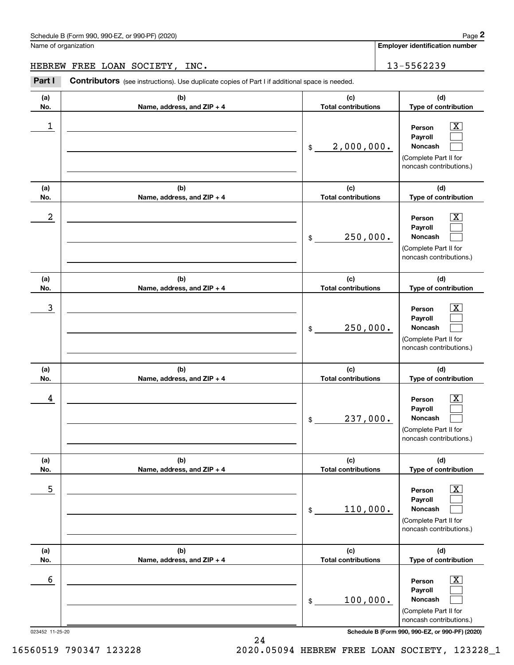Name of organization

**Employer identification number**

HEBREW FREE LOAN SOCIETY, INC. 13-5562239

Contributors (see instructions). Use duplicate copies of Part I if additional space is needed. Chedule B (Form 990, 990-EZ, or 990-PF) (2020)<br> **2Part I 2Part I Contributors** (see instructions). Use duplicate copies of Part I if additional space is needed.<br> **2Part I Contributors** (see instructions). Use duplica

| (b)<br>(a)<br>No.<br>Name, address, and ZIP + 4<br>1 | (c)<br><b>Total contributions</b><br>2,000,000.<br>$\$$                             | (d)<br>Type of contribution<br>$\overline{\text{X}}$<br>Person<br>Payroll<br>Noncash<br>(Complete Part II for<br>noncash contributions.) |
|------------------------------------------------------|-------------------------------------------------------------------------------------|------------------------------------------------------------------------------------------------------------------------------------------|
|                                                      |                                                                                     |                                                                                                                                          |
|                                                      |                                                                                     |                                                                                                                                          |
| (b)<br>(a)<br>No.<br>Name, address, and ZIP + 4      | (c)<br><b>Total contributions</b>                                                   | (d)<br>Type of contribution                                                                                                              |
| $\boldsymbol{2}$                                     | 250,000.<br>$\$$                                                                    | $\overline{\text{X}}$<br>Person<br>Payroll<br>Noncash<br>(Complete Part II for<br>noncash contributions.)                                |
| (b)<br>(a)<br>No.<br>Name, address, and ZIP + 4      | (c)<br><b>Total contributions</b>                                                   | (d)<br>Type of contribution                                                                                                              |
| 3                                                    | 250,000.<br>$\$$                                                                    | х<br>Person<br>Payroll<br>Noncash<br>(Complete Part II for<br>noncash contributions.)                                                    |
| (b)<br>(a)<br>No.<br>Name, address, and ZIP + 4      | (c)<br><b>Total contributions</b>                                                   | (d)<br>Type of contribution                                                                                                              |
| 4                                                    | 237,000.<br>$\$$                                                                    | x<br>Person<br>Payroll<br>Noncash<br>(Complete Part II for<br>noncash contributions.)                                                    |
| (a)<br>(b)                                           | (c)                                                                                 | (d)                                                                                                                                      |
| Name, address, and ZIP + 4<br>No.<br>5               | <b>Total contributions</b><br>110,000.<br>$\, \, \raisebox{12pt}{$\scriptstyle \$}$ | Type of contribution<br>$\overline{\text{X}}$<br>Person<br>Payroll<br>Noncash<br>(Complete Part II for<br>noncash contributions.)        |
| (a)<br>(b)<br>Name, address, and ZIP + 4<br>No.      | (c)<br><b>Total contributions</b>                                                   | (d)<br>Type of contribution                                                                                                              |
| 6<br>023452 11-25-20                                 | 100,000.<br>$\,$                                                                    | х<br>Person<br>Payroll<br>Noncash<br>(Complete Part II for<br>noncash contributions.)<br>Schedule B (Form 990, 990-EZ, or 990-PF) (2020) |

16560519 790347 123228 2020.05094 HEBREW FREE LOAN SOCIETY, 123228\_1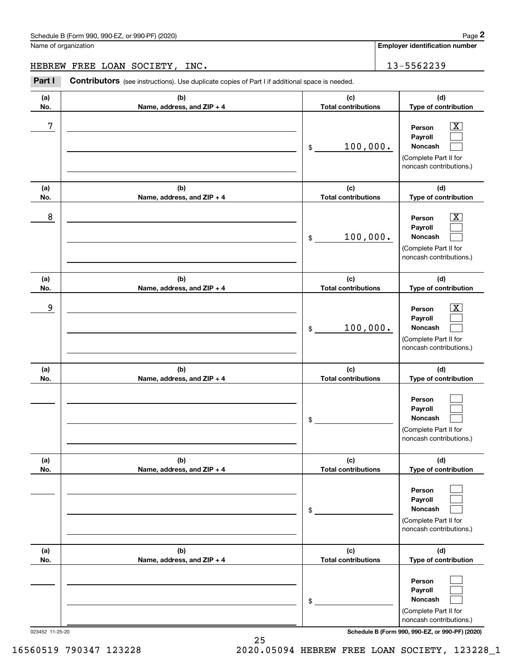Name of organization

**Employer identification number**

HEBREW FREE LOAN SOCIETY, INC. 13-5562239

(schedule B (Form 990, 990-EZ, or 990-PF) (2020)<br>
lame of organization<br> **2Part I Contributors** (see instructions). Use duplicate copies of Part I if additional space is needed.<br> **2Part I Contributors** (see instructions

| (a)<br>No. | (b)<br>Name, address, and ZIP + 4 | (c)<br><b>Total contributions</b> | (d)<br>Type of contribution                                                                                 |
|------------|-----------------------------------|-----------------------------------|-------------------------------------------------------------------------------------------------------------|
| 7          |                                   | 100,000.<br>$\$$                  | $\overline{\texttt{x}}$<br>Person<br>Payroll<br>Noncash<br>(Complete Part II for<br>noncash contributions.) |
| (a)<br>No. | (b)<br>Name, address, and ZIP + 4 | (c)<br><b>Total contributions</b> | (d)<br>Type of contribution                                                                                 |
| 8          |                                   | 100,000.<br>$\$$                  | $\overline{\texttt{x}}$<br>Person<br>Payroll<br>Noncash<br>(Complete Part II for<br>noncash contributions.) |
| (a)<br>No. | (b)<br>Name, address, and ZIP + 4 | (c)<br><b>Total contributions</b> | (d)<br>Type of contribution                                                                                 |
| 9          |                                   | 100,000.<br>$\$$                  | $\overline{\texttt{x}}$<br>Person<br>Payroll<br>Noncash<br>(Complete Part II for<br>noncash contributions.) |
| (a)<br>No. | (b)<br>Name, address, and ZIP + 4 | (c)<br><b>Total contributions</b> | (d)<br>Type of contribution                                                                                 |
|            |                                   | \$                                | Person<br>Payroll<br>Noncash<br>(Complete Part II for<br>noncash contributions.)                            |
| (a)<br>No. | (b)<br>Name, address, and ZIP + 4 | (c)<br><b>Total contributions</b> | (d)<br>Type of contribution                                                                                 |
|            |                                   | \$                                | Person<br>Payroll<br>Noncash<br>(Complete Part II for<br>noncash contributions.)                            |
| (a)<br>No. | (b)<br>Name, address, and ZIP + 4 | (c)<br><b>Total contributions</b> | (d)<br>Type of contribution                                                                                 |
|            |                                   | \$                                | Person<br>Payroll<br>Noncash<br>(Complete Part II for<br>noncash contributions.)                            |

023452 11-25-20 **Schedule B (Form 990, 990-EZ, or 990-PF) (2020)**

16560519 790347 123228 2020.05094 HEBREW FREE LOAN SOCIETY, 123228\_1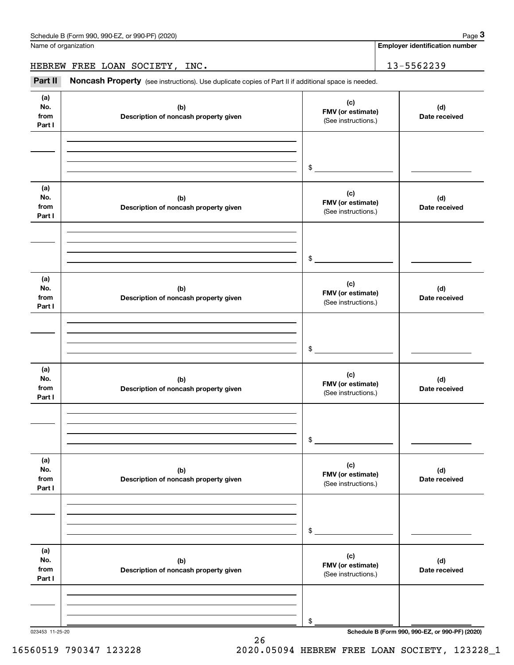Name of organization

**Employer identification number**

HEBREW FREE LOAN SOCIETY, INC. 13-5562239

(see instructions). Use duplicate copies of Part II if additional space is needed.<br> **2Part II Noncash Property** (see instructions). Use duplicate copies of Part II if additional space is needed.<br> **2Part II Noncash Prop** 

| (a)<br>No.<br>from<br>Part I | (b)<br>Description of noncash property given | (c)<br>FMV (or estimate)<br>(See instructions.) | (d)<br>Date received |
|------------------------------|----------------------------------------------|-------------------------------------------------|----------------------|
|                              |                                              |                                                 |                      |
|                              |                                              |                                                 |                      |
|                              |                                              | \$                                              |                      |
| (a)<br>No.<br>from           | (b)<br>Description of noncash property given | (c)<br>FMV (or estimate)<br>(See instructions.) | (d)<br>Date received |
| Part I                       |                                              |                                                 |                      |
|                              |                                              |                                                 |                      |
|                              |                                              | \$                                              |                      |
|                              |                                              |                                                 |                      |
| (a)<br>No.<br>from<br>Part I | (b)<br>Description of noncash property given | (c)<br>FMV (or estimate)<br>(See instructions.) | (d)<br>Date received |
|                              |                                              |                                                 |                      |
|                              |                                              |                                                 |                      |
|                              |                                              | $\frac{1}{2}$                                   |                      |
| (a)<br>No.<br>from<br>Part I | (b)<br>Description of noncash property given | (c)<br>FMV (or estimate)<br>(See instructions.) | (d)<br>Date received |
|                              |                                              |                                                 |                      |
|                              |                                              |                                                 |                      |
|                              |                                              | $\frac{1}{2}$                                   |                      |
| (a)<br>No.<br>from<br>Part I | (b)<br>Description of noncash property given | (c)<br>FMV (or estimate)<br>(See instructions.) | (d)<br>Date received |
|                              |                                              |                                                 |                      |
|                              |                                              |                                                 |                      |
|                              |                                              | $\,$                                            |                      |
| (a)<br>No.<br>from<br>Part I | (b)<br>Description of noncash property given | (c)<br>FMV (or estimate)<br>(See instructions.) | (d)<br>Date received |
|                              |                                              |                                                 |                      |
|                              |                                              |                                                 |                      |
|                              |                                              | $\$$                                            |                      |

023453 11-25-20 **Schedule B (Form 990, 990-EZ, or 990-PF) (2020)**

16560519 790347 123228 2020.05094 HEBREW FREE LOAN SOCIETY, 123228\_1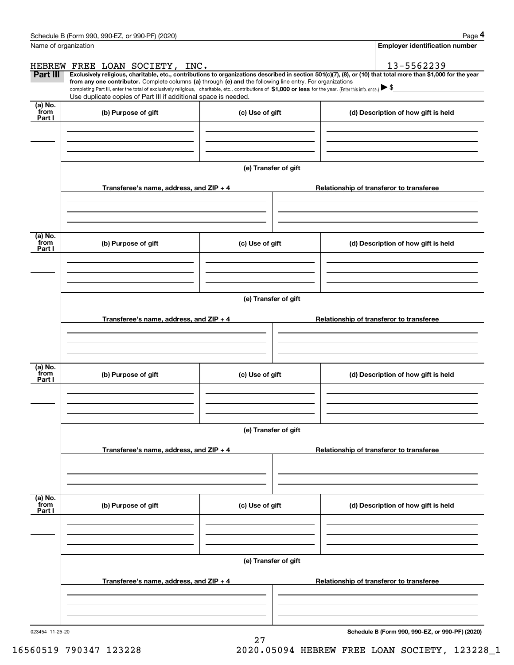| Name of organization      | Schedule B (Form 990, 990-EZ, or 990-PF) (2020)                                                                                                                                                                                                                                                 |                      | Page 4<br><b>Employer identification number</b>                                                                                                                              |  |  |  |  |
|---------------------------|-------------------------------------------------------------------------------------------------------------------------------------------------------------------------------------------------------------------------------------------------------------------------------------------------|----------------------|------------------------------------------------------------------------------------------------------------------------------------------------------------------------------|--|--|--|--|
|                           |                                                                                                                                                                                                                                                                                                 |                      |                                                                                                                                                                              |  |  |  |  |
| Part III                  | HEBREW FREE LOAN SOCIETY, INC.                                                                                                                                                                                                                                                                  |                      | 13-5562239<br>Exclusively religious, charitable, etc., contributions to organizations described in section 501(c)(7), (8), or (10) that total more than \$1,000 for the year |  |  |  |  |
|                           | from any one contributor. Complete columns (a) through (e) and the following line entry. For organizations<br>completing Part III, enter the total of exclusively religious, charitable, etc., contributions of \$1,000 or less for the year. (Enter this info. once.) $\blacktriangleright$ \$ |                      |                                                                                                                                                                              |  |  |  |  |
|                           | Use duplicate copies of Part III if additional space is needed.                                                                                                                                                                                                                                 |                      |                                                                                                                                                                              |  |  |  |  |
| (a) No.<br>from<br>Part I | (b) Purpose of gift                                                                                                                                                                                                                                                                             | (c) Use of gift      | (d) Description of how gift is held                                                                                                                                          |  |  |  |  |
|                           |                                                                                                                                                                                                                                                                                                 |                      |                                                                                                                                                                              |  |  |  |  |
|                           |                                                                                                                                                                                                                                                                                                 | (e) Transfer of gift |                                                                                                                                                                              |  |  |  |  |
|                           | Transferee's name, address, and ZIP + 4                                                                                                                                                                                                                                                         |                      | Relationship of transferor to transferee                                                                                                                                     |  |  |  |  |
|                           |                                                                                                                                                                                                                                                                                                 |                      |                                                                                                                                                                              |  |  |  |  |
| (a) No.                   |                                                                                                                                                                                                                                                                                                 |                      |                                                                                                                                                                              |  |  |  |  |
| from<br>Part I            | (b) Purpose of gift                                                                                                                                                                                                                                                                             | (c) Use of gift      | (d) Description of how gift is held                                                                                                                                          |  |  |  |  |
|                           |                                                                                                                                                                                                                                                                                                 |                      |                                                                                                                                                                              |  |  |  |  |
|                           | (e) Transfer of gift                                                                                                                                                                                                                                                                            |                      |                                                                                                                                                                              |  |  |  |  |
|                           | Transferee's name, address, and ZIP + 4                                                                                                                                                                                                                                                         |                      | Relationship of transferor to transferee                                                                                                                                     |  |  |  |  |
|                           |                                                                                                                                                                                                                                                                                                 |                      |                                                                                                                                                                              |  |  |  |  |
| (a) No.<br>from<br>Part I | (b) Purpose of gift                                                                                                                                                                                                                                                                             | (c) Use of gift      | (d) Description of how gift is held                                                                                                                                          |  |  |  |  |
|                           |                                                                                                                                                                                                                                                                                                 |                      |                                                                                                                                                                              |  |  |  |  |
|                           | (e) Transfer of gift                                                                                                                                                                                                                                                                            |                      |                                                                                                                                                                              |  |  |  |  |
|                           | Transferee's name, address, and $ZIP + 4$                                                                                                                                                                                                                                                       |                      | Relationship of transferor to transferee                                                                                                                                     |  |  |  |  |
|                           |                                                                                                                                                                                                                                                                                                 |                      |                                                                                                                                                                              |  |  |  |  |
| (a) No.<br>from<br>Part I | (b) Purpose of gift                                                                                                                                                                                                                                                                             | (c) Use of gift      | (d) Description of how gift is held                                                                                                                                          |  |  |  |  |
|                           |                                                                                                                                                                                                                                                                                                 |                      |                                                                                                                                                                              |  |  |  |  |
|                           |                                                                                                                                                                                                                                                                                                 | (e) Transfer of gift |                                                                                                                                                                              |  |  |  |  |
|                           | Transferee's name, address, and ZIP + 4                                                                                                                                                                                                                                                         |                      | Relationship of transferor to transferee                                                                                                                                     |  |  |  |  |
|                           |                                                                                                                                                                                                                                                                                                 |                      |                                                                                                                                                                              |  |  |  |  |
|                           |                                                                                                                                                                                                                                                                                                 |                      |                                                                                                                                                                              |  |  |  |  |

27

023454 11-25-20

**Schedule B (Form 990, 990-EZ, or 990-PF) (2020)**

16560519 790347 123228 2020.05094 HEBREW FREE LOAN SOCIETY, 123228\_1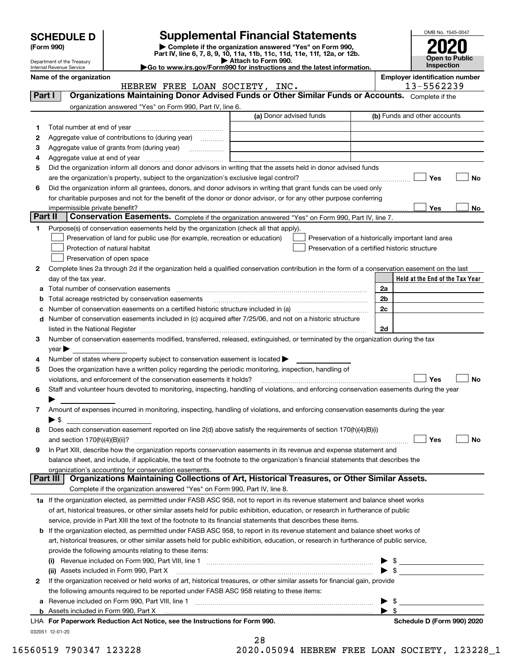| <b>HEDULE D</b> | <b>Suppl</b>                 |
|-----------------|------------------------------|
| m 990)          | $\blacktriangleright$ Comple |

# **SCHEDULE D Supplemental Financial Statements**

**(Form 990)** (**Form 990,**<br>Part IV, line 6, 7, 8, 9, 10, 11a, 11b, 11c, 11d, 11e, 11f, 12a, or 12b.<br>Department of the Treasury **and Except Part IV, line 6, 7, 8, 9, 10, 11a, 11b, 11c, 11d, 11e, 11f, 12a, or 12b.** 



Department of the Treasury Internal Revenue Service

| Department of the Treasury<br>Internal Revenue Service | Allach lo Form 990.<br>Go to www.irs.gov/Form990 for instructions and the latest information. | <b>Inspection</b> |
|--------------------------------------------------------|-----------------------------------------------------------------------------------------------|-------------------|
| Name of the organization                               | <b>Emplover identification number</b>                                                         |                   |

|                 | HEBREW FREE LOAN SOCIETY, INC.                                                                                                                                                                                                | 13-5562239                                         |
|-----------------|-------------------------------------------------------------------------------------------------------------------------------------------------------------------------------------------------------------------------------|----------------------------------------------------|
| <b>Part I</b>   | Organizations Maintaining Donor Advised Funds or Other Similar Funds or Accounts. Complete if the                                                                                                                             |                                                    |
|                 | organization answered "Yes" on Form 990, Part IV, line 6.                                                                                                                                                                     |                                                    |
|                 | (a) Donor advised funds                                                                                                                                                                                                       | (b) Funds and other accounts                       |
| 1.              |                                                                                                                                                                                                                               |                                                    |
| 2               | Aggregate value of contributions to (during year)                                                                                                                                                                             |                                                    |
| з               |                                                                                                                                                                                                                               |                                                    |
| 4               |                                                                                                                                                                                                                               |                                                    |
| 5               | Did the organization inform all donors and donor advisors in writing that the assets held in donor advised funds                                                                                                              |                                                    |
|                 |                                                                                                                                                                                                                               | Yes<br>No                                          |
| 6               | Did the organization inform all grantees, donors, and donor advisors in writing that grant funds can be used only                                                                                                             |                                                    |
|                 | for charitable purposes and not for the benefit of the donor or donor advisor, or for any other purpose conferring                                                                                                            |                                                    |
|                 |                                                                                                                                                                                                                               | Yes<br>No                                          |
| <b>Part II</b>  | Conservation Easements. Complete if the organization answered "Yes" on Form 990, Part IV, line 7.                                                                                                                             |                                                    |
| 1               | Purpose(s) of conservation easements held by the organization (check all that apply).                                                                                                                                         |                                                    |
|                 | Preservation of land for public use (for example, recreation or education)                                                                                                                                                    | Preservation of a historically important land area |
|                 | Protection of natural habitat<br>Preservation of a certified historic structure                                                                                                                                               |                                                    |
|                 | Preservation of open space                                                                                                                                                                                                    |                                                    |
| 2               | Complete lines 2a through 2d if the organization held a qualified conservation contribution in the form of a conservation easement on the last                                                                                |                                                    |
|                 | day of the tax year.                                                                                                                                                                                                          | Held at the End of the Tax Year                    |
| a               | Total number of conservation easements                                                                                                                                                                                        | 2a                                                 |
| b               | Total acreage restricted by conservation easements                                                                                                                                                                            | 2 <sub>b</sub>                                     |
| с               |                                                                                                                                                                                                                               | 2c                                                 |
| d               | Number of conservation easements included in (c) acquired after 7/25/06, and not on a historic structure                                                                                                                      |                                                    |
|                 | listed in the National Register [111] Marshall Register [11] Marshall Register [11] Marshall Register [11] Marshall Register [11] Marshall Register [11] Marshall Register [11] Marshall Register [11] Marshall Register [11] | 2d                                                 |
| 3               | Number of conservation easements modified, transferred, released, extinguished, or terminated by the organization during the tax                                                                                              |                                                    |
|                 | year                                                                                                                                                                                                                          |                                                    |
| 4               | Number of states where property subject to conservation easement is located >                                                                                                                                                 |                                                    |
| 5               | Does the organization have a written policy regarding the periodic monitoring, inspection, handling of                                                                                                                        |                                                    |
|                 | violations, and enforcement of the conservation easements it holds?                                                                                                                                                           | Yes<br>No                                          |
| 6               | Staff and volunteer hours devoted to monitoring, inspecting, handling of violations, and enforcing conservation easements during the year                                                                                     |                                                    |
|                 |                                                                                                                                                                                                                               |                                                    |
| 7               | Amount of expenses incurred in monitoring, inspecting, handling of violations, and enforcing conservation easements during the year                                                                                           |                                                    |
|                 | $\blacktriangleright$ s                                                                                                                                                                                                       |                                                    |
| 8               | Does each conservation easement reported on line 2(d) above satisfy the requirements of section 170(h)(4)(B)(i)                                                                                                               |                                                    |
|                 |                                                                                                                                                                                                                               | Yes<br>No                                          |
| 9               | In Part XIII, describe how the organization reports conservation easements in its revenue and expense statement and                                                                                                           |                                                    |
|                 | balance sheet, and include, if applicable, the text of the footnote to the organization's financial statements that describes the                                                                                             |                                                    |
|                 | organization's accounting for conservation easements.                                                                                                                                                                         |                                                    |
| <b>Part III</b> | Organizations Maintaining Collections of Art, Historical Treasures, or Other Similar Assets.                                                                                                                                  |                                                    |
|                 | Complete if the organization answered "Yes" on Form 990, Part IV, line 8.                                                                                                                                                     |                                                    |
|                 | 1a If the organization elected, as permitted under FASB ASC 958, not to report in its revenue statement and balance sheet works                                                                                               |                                                    |
|                 | of art, historical treasures, or other similar assets held for public exhibition, education, or research in furtherance of public                                                                                             |                                                    |
|                 | service, provide in Part XIII the text of the footnote to its financial statements that describes these items.                                                                                                                |                                                    |
| b               | If the organization elected, as permitted under FASB ASC 958, to report in its revenue statement and balance sheet works of                                                                                                   |                                                    |
|                 | art, historical treasures, or other similar assets held for public exhibition, education, or research in furtherance of public service,                                                                                       |                                                    |
|                 | provide the following amounts relating to these items:                                                                                                                                                                        |                                                    |
|                 | (i)                                                                                                                                                                                                                           |                                                    |
|                 | (ii) Assets included in Form 990, Part X                                                                                                                                                                                      | $\frac{1}{2}$                                      |
| 2               | If the organization received or held works of art, historical treasures, or other similar assets for financial gain, provide                                                                                                  |                                                    |
|                 | the following amounts required to be reported under FASB ASC 958 relating to these items:                                                                                                                                     |                                                    |
| а               |                                                                                                                                                                                                                               | \$<br>▶                                            |
|                 |                                                                                                                                                                                                                               | $\blacktriangleright$ s                            |
|                 | LHA For Paperwork Reduction Act Notice, see the Instructions for Form 990.                                                                                                                                                    | Schedule D (Form 990) 2020                         |
|                 | 032051 12-01-20<br>$\sim$ $\sim$                                                                                                                                                                                              |                                                    |

| 28 |   |       |  |
|----|---|-------|--|
| ົົ | ⌒ | - ^ ^ |  |

16560519 790347 123228 2020.05094 HEBREW FREE LOAN SOCIETY, 123228\_1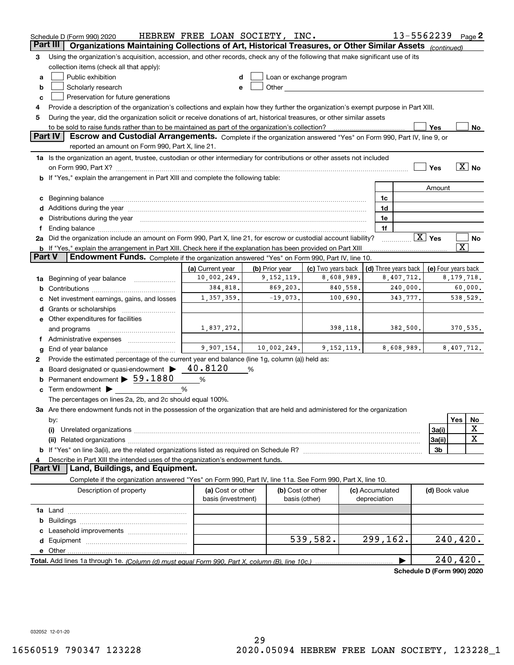|        | Schedule D (Form 990) 2020                                                                                                                                                                                                     | HEBREW FREE LOAN SOCIETY, INC.          |                |                                                                                                                                                                                                                               |                                 | 13-5562239           |                        | Page $2$                   |
|--------|--------------------------------------------------------------------------------------------------------------------------------------------------------------------------------------------------------------------------------|-----------------------------------------|----------------|-------------------------------------------------------------------------------------------------------------------------------------------------------------------------------------------------------------------------------|---------------------------------|----------------------|------------------------|----------------------------|
|        | Part III<br>Organizations Maintaining Collections of Art, Historical Treasures, or Other Similar Assets (continued)                                                                                                            |                                         |                |                                                                                                                                                                                                                               |                                 |                      |                        |                            |
| з      | Using the organization's acquisition, accession, and other records, check any of the following that make significant use of its                                                                                                |                                         |                |                                                                                                                                                                                                                               |                                 |                      |                        |                            |
|        | collection items (check all that apply):                                                                                                                                                                                       |                                         |                |                                                                                                                                                                                                                               |                                 |                      |                        |                            |
| a      | Public exhibition                                                                                                                                                                                                              |                                         |                | Loan or exchange program                                                                                                                                                                                                      |                                 |                      |                        |                            |
| b      | Scholarly research                                                                                                                                                                                                             |                                         |                | Other and the contract of the contract of the contract of the contract of the contract of the contract of the contract of the contract of the contract of the contract of the contract of the contract of the contract of the |                                 |                      |                        |                            |
| с      | Preservation for future generations                                                                                                                                                                                            |                                         |                |                                                                                                                                                                                                                               |                                 |                      |                        |                            |
| 4      | Provide a description of the organization's collections and explain how they further the organization's exempt purpose in Part XIII.                                                                                           |                                         |                |                                                                                                                                                                                                                               |                                 |                      |                        |                            |
| 5      | During the year, did the organization solicit or receive donations of art, historical treasures, or other similar assets                                                                                                       |                                         |                |                                                                                                                                                                                                                               |                                 |                      |                        |                            |
|        | to be sold to raise funds rather than to be maintained as part of the organization's collection?                                                                                                                               |                                         |                |                                                                                                                                                                                                                               |                                 |                      | Yes                    | No                         |
|        | Escrow and Custodial Arrangements. Complete if the organization answered "Yes" on Form 990, Part IV, line 9, or<br><b>Part IV</b><br>reported an amount on Form 990, Part X, line 21.                                          |                                         |                |                                                                                                                                                                                                                               |                                 |                      |                        |                            |
|        | 1a Is the organization an agent, trustee, custodian or other intermediary for contributions or other assets not included                                                                                                       |                                         |                |                                                                                                                                                                                                                               |                                 |                      |                        |                            |
|        | on Form 990, Part X? [11] matter and the contract of the contract of the contract of the contract of the contract of the contract of the contract of the contract of the contract of the contract of the contract of the contr |                                         |                |                                                                                                                                                                                                                               |                                 |                      | Yes                    | $\overline{X}$ No          |
|        | <b>b</b> If "Yes," explain the arrangement in Part XIII and complete the following table:                                                                                                                                      |                                         |                |                                                                                                                                                                                                                               |                                 |                      |                        |                            |
|        |                                                                                                                                                                                                                                |                                         |                |                                                                                                                                                                                                                               |                                 |                      | Amount                 |                            |
|        | c Beginning balance measurements and the contract of the contract of the contract of the contract of the contract of the contract of the contract of the contract of the contract of the contract of the contract of the contr |                                         |                |                                                                                                                                                                                                                               | 1c                              |                      |                        |                            |
|        | d Additions during the year measurement contains and a state of the year measurement of the year measurement of                                                                                                                |                                         |                |                                                                                                                                                                                                                               | 1d                              |                      |                        |                            |
|        | e Distributions during the year manufactured and an according to the year manufactured and the year manufactur                                                                                                                 |                                         |                |                                                                                                                                                                                                                               | 1e                              |                      |                        |                            |
|        |                                                                                                                                                                                                                                |                                         |                |                                                                                                                                                                                                                               | 1f                              |                      |                        |                            |
|        | 2a Did the organization include an amount on Form 990, Part X, line 21, for escrow or custodial account liability?                                                                                                             |                                         |                |                                                                                                                                                                                                                               |                                 | .                    | $\boxed{\text{X}}$ Yes | No                         |
|        | <b>b</b> If "Yes," explain the arrangement in Part XIII. Check here if the explanation has been provided on Part XIII                                                                                                          |                                         |                |                                                                                                                                                                                                                               |                                 |                      |                        | $\overline{\text{X}}$      |
| Part V | Endowment Funds. Complete if the organization answered "Yes" on Form 990, Part IV, line 10.                                                                                                                                    |                                         |                |                                                                                                                                                                                                                               |                                 |                      |                        |                            |
|        |                                                                                                                                                                                                                                | (a) Current year                        | (b) Prior year | (c) Two years back                                                                                                                                                                                                            |                                 | (d) Three years back |                        | (e) Four years back        |
|        | 1a Beginning of year balance                                                                                                                                                                                                   | 10,002,249.                             | 9,152,119.     | 8,608,989.                                                                                                                                                                                                                    |                                 | 8,407,712.           |                        | 8, 179, 718.               |
| b      | 384,818.<br>869,203.<br>840,558.<br>240,000.<br>60,000.                                                                                                                                                                        |                                         |                |                                                                                                                                                                                                                               |                                 |                      |                        |                            |
|        | Net investment earnings, gains, and losses                                                                                                                                                                                     | 1,357,359.                              | $-19,073.$     | 100,690.                                                                                                                                                                                                                      |                                 | 343,777.             |                        | 538,529.                   |
|        |                                                                                                                                                                                                                                |                                         |                |                                                                                                                                                                                                                               |                                 |                      |                        |                            |
|        | e Other expenditures for facilities                                                                                                                                                                                            |                                         |                |                                                                                                                                                                                                                               |                                 |                      |                        |                            |
|        | and programs                                                                                                                                                                                                                   | 1,837,272.                              |                | 398,118.                                                                                                                                                                                                                      |                                 | 382,500.             |                        | 370,535.                   |
|        | f Administrative expenses                                                                                                                                                                                                      |                                         |                |                                                                                                                                                                                                                               |                                 |                      |                        |                            |
| g      | End of year balance                                                                                                                                                                                                            | 9,907,154.                              | 10,002,249.    | 9,152,119.                                                                                                                                                                                                                    |                                 | 8,608,989.           |                        | 8,407,712.                 |
| 2      | Provide the estimated percentage of the current year end balance (line 1g, column (a)) held as:                                                                                                                                |                                         |                |                                                                                                                                                                                                                               |                                 |                      |                        |                            |
|        | Board designated or quasi-endowment >                                                                                                                                                                                          | 40.8120                                 | %              |                                                                                                                                                                                                                               |                                 |                      |                        |                            |
|        | <b>b</b> Permanent endowment $\triangleright$ 59.1880                                                                                                                                                                          | %                                       |                |                                                                                                                                                                                                                               |                                 |                      |                        |                            |
|        | $\mathbf c$ Term endowment $\blacktriangleright$<br>℅                                                                                                                                                                          |                                         |                |                                                                                                                                                                                                                               |                                 |                      |                        |                            |
|        | The percentages on lines 2a, 2b, and 2c should equal 100%.                                                                                                                                                                     |                                         |                |                                                                                                                                                                                                                               |                                 |                      |                        |                            |
|        | 3a Are there endowment funds not in the possession of the organization that are held and administered for the organization                                                                                                     |                                         |                |                                                                                                                                                                                                                               |                                 |                      |                        |                            |
|        | by:                                                                                                                                                                                                                            |                                         |                |                                                                                                                                                                                                                               |                                 |                      |                        | Yes<br>No                  |
|        | (i)                                                                                                                                                                                                                            |                                         |                |                                                                                                                                                                                                                               |                                 |                      | 3a(i)                  | х                          |
|        |                                                                                                                                                                                                                                |                                         |                |                                                                                                                                                                                                                               |                                 |                      | 3a(ii)                 | $\mathbf X$                |
|        |                                                                                                                                                                                                                                |                                         |                |                                                                                                                                                                                                                               |                                 |                      | 3b                     |                            |
| 4      | Describe in Part XIII the intended uses of the organization's endowment funds.                                                                                                                                                 |                                         |                |                                                                                                                                                                                                                               |                                 |                      |                        |                            |
|        | <b>Part VI</b><br>Land, Buildings, and Equipment.                                                                                                                                                                              |                                         |                |                                                                                                                                                                                                                               |                                 |                      |                        |                            |
|        | Complete if the organization answered "Yes" on Form 990, Part IV, line 11a. See Form 990, Part X, line 10.                                                                                                                     |                                         |                |                                                                                                                                                                                                                               |                                 |                      |                        |                            |
|        | Description of property                                                                                                                                                                                                        | (a) Cost or other<br>basis (investment) |                | (b) Cost or other<br>basis (other)                                                                                                                                                                                            | (c) Accumulated<br>depreciation |                      | (d) Book value         |                            |
|        |                                                                                                                                                                                                                                |                                         |                |                                                                                                                                                                                                                               |                                 |                      |                        |                            |
| b      |                                                                                                                                                                                                                                |                                         |                |                                                                                                                                                                                                                               |                                 |                      |                        |                            |
|        |                                                                                                                                                                                                                                |                                         |                |                                                                                                                                                                                                                               |                                 |                      |                        |                            |
|        |                                                                                                                                                                                                                                |                                         |                | 539,582.                                                                                                                                                                                                                      | 299,162.                        |                      |                        | 240, 420.                  |
|        |                                                                                                                                                                                                                                |                                         |                |                                                                                                                                                                                                                               |                                 |                      |                        |                            |
|        |                                                                                                                                                                                                                                |                                         |                |                                                                                                                                                                                                                               |                                 |                      |                        | 240, 420.                  |
|        |                                                                                                                                                                                                                                |                                         |                |                                                                                                                                                                                                                               |                                 |                      |                        | Schedule D (Form 990) 2020 |
|        |                                                                                                                                                                                                                                |                                         |                |                                                                                                                                                                                                                               |                                 |                      |                        |                            |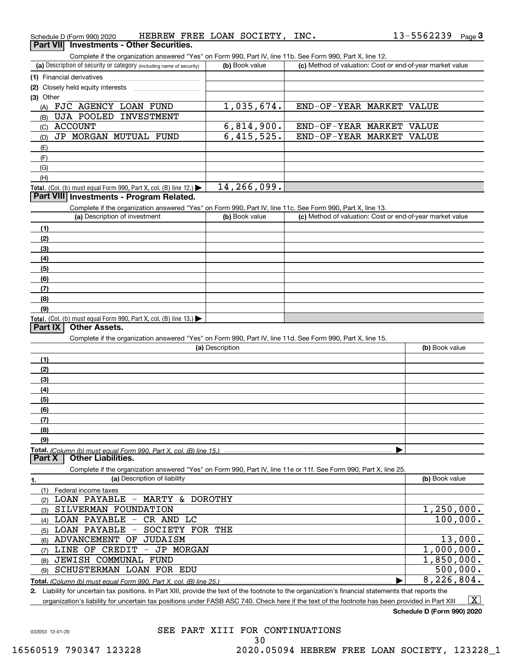| Schedule D (Form 990) 2020 | HEBREW FREE LOAN SOCIETY,                |  | INC. | 13-5562239 | Page 3 |
|----------------------------|------------------------------------------|--|------|------------|--------|
|                            | Part VII Investments - Other Securities. |  |      |            |        |

Complete if the organization answered "Yes" on Form 990, Part IV, line 11b. See Form 990, Part X, line 12.

| (a) Description of security or category (including name of security)                                       | (b) Book value | (c) Method of valuation: Cost or end-of-year market value |
|------------------------------------------------------------------------------------------------------------|----------------|-----------------------------------------------------------|
| (1) Financial derivatives                                                                                  |                |                                                           |
| (2) Closely held equity interests                                                                          |                |                                                           |
| $(3)$ Other                                                                                                |                |                                                           |
| FJC AGENCY LOAN FUND<br>(A)                                                                                | 1,035,674.     | END-OF-YEAR MARKET VALUE                                  |
| UJA POOLED<br>INVESTMENT<br>(B)                                                                            |                |                                                           |
| ACCOUNT<br>(C)                                                                                             | 6,814,900.     | END-OF-YEAR MARKET<br>VALUE                               |
| JP MORGAN MUTUAL FUND<br>(D)                                                                               | 6,415,525.     | END-OF-YEAR MARKET VALUE                                  |
| (E)                                                                                                        |                |                                                           |
| (F)                                                                                                        |                |                                                           |
| (G)                                                                                                        |                |                                                           |
| (H)                                                                                                        |                |                                                           |
| <b>Total.</b> (Col. (b) must equal Form 990, Part X, col. (B) line 12.)                                    | 14, 266, 099.  |                                                           |
| <b>Part VIII Investments - Program Related.</b>                                                            |                |                                                           |
| Complete if the organization answered "Yes" on Form 990, Part IV, line 11c. See Form 990, Part X, line 13. |                |                                                           |
|                                                                                                            |                | $\sim$ $\sim$ $\sim$                                      |

| (a) Description of investment                                              | (b) Book value | (c) Method of valuation: Cost or end-of-year market value |
|----------------------------------------------------------------------------|----------------|-----------------------------------------------------------|
| (1)                                                                        |                |                                                           |
| (2)                                                                        |                |                                                           |
| $\frac{1}{2}$                                                              |                |                                                           |
| (4)                                                                        |                |                                                           |
| (5)                                                                        |                |                                                           |
| (6)                                                                        |                |                                                           |
| (7)                                                                        |                |                                                           |
| (8)                                                                        |                |                                                           |
| (9)                                                                        |                |                                                           |
| <b>Total.</b> (Col. (b) must equal Form 990, Part X, col. (B) line $13$ .) |                |                                                           |

### **Part IX Other Assets.**

Complete if the organization answered "Yes" on Form 990, Part IV, line 11d. See Form 990, Part X, line 15.

| (a) Description | (b) Book value |
|-----------------|----------------|
| (1)             |                |
| (2)             |                |
| (3)             |                |
| (4)             |                |
| (5)             |                |
| (6)             |                |
| (7)             |                |
| (8)             |                |
| (9)             |                |
|                 |                |

**Part X Other Liabilities.**

Complete if the organization answered "Yes" on Form 990, Part IV, line 11e or 11f. See Form 990, Part X, line 25.

| 1.  | (a) Description of liability             | (b) Book value |
|-----|------------------------------------------|----------------|
|     | Federal income taxes                     |                |
| (2) | LOAN PAYABLE - MARTY & DOROTHY           |                |
| (3) | SILVERMAN FOUNDATION                     | 1,250,000.     |
| (4) | LOAN PAYABLE<br>CR AND LC<br>$-$         | 100,000.       |
| (5) | LOAN PAYABLE - SOCIETY FOR THE           |                |
| (6) | ADVANCEMENT OF<br>JUDAISM                | 13,000.        |
| (7) | CREDIT<br>MORGAN<br>LINE OF<br>JP<br>$-$ | 1,000,000.     |
| (8) | JEWISH COMMUNAL<br>FUND                  | 1,850,000.     |
| (9) | SCHUSTERMAN LOAN FOR EDU                 | 500,000.       |
|     |                                          | 8,226,804.     |

**2.** Liability for uncertain tax positions. In Part XIII, provide the text of the footnote to the organization's financial statements that reports the organization's liability for uncertain tax positions under FASB ASC 740. Check here if the text of the footnote has been provided in Part XIII

 $\boxed{\text{X}}$ 

**Schedule D (Form 990) 2020**

032053 12-01-20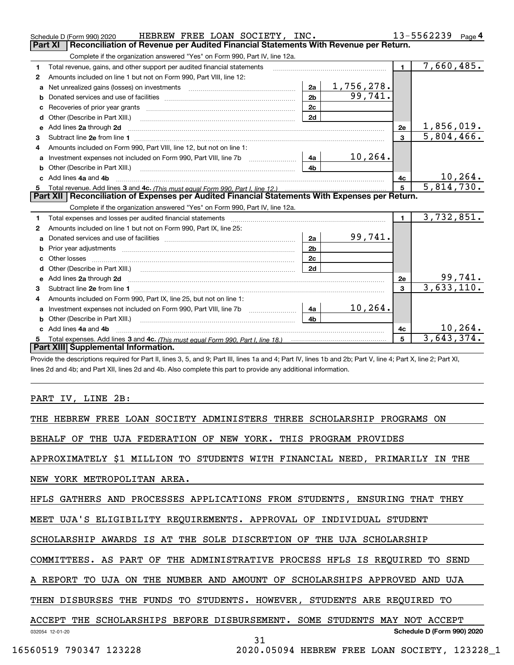|    | HEBREW FREE LOAN SOCIETY, INC.<br>Schedule D (Form 990) 2020                                                                                                                                                                   |                |            |                | 13-5562239<br>Page $4$ |
|----|--------------------------------------------------------------------------------------------------------------------------------------------------------------------------------------------------------------------------------|----------------|------------|----------------|------------------------|
|    | Reconciliation of Revenue per Audited Financial Statements With Revenue per Return.<br><b>Part XI</b>                                                                                                                          |                |            |                |                        |
|    | Complete if the organization answered "Yes" on Form 990, Part IV, line 12a.                                                                                                                                                    |                |            |                |                        |
| 1  | Total revenue, gains, and other support per audited financial statements                                                                                                                                                       |                |            | $\blacksquare$ | 7,660,485.             |
| 2  | Amounts included on line 1 but not on Form 990, Part VIII, line 12:                                                                                                                                                            |                |            |                |                        |
| a  | Net unrealized gains (losses) on investments [11] matter contracts and the unrealized gains (losses) on investments                                                                                                            | 2a             | 1,756,278. |                |                        |
| b  |                                                                                                                                                                                                                                | 2 <sub>h</sub> | 99,741.    |                |                        |
| c  | Recoveries of prior year grants [111] Recoveries of prior year grants [11] Masseum Marchantel Marchantel March                                                                                                                 | 2c             |            |                |                        |
| d  |                                                                                                                                                                                                                                | 2d             |            |                |                        |
| е  | Add lines 2a through 2d                                                                                                                                                                                                        |                |            | 2e             | 1,856,019.             |
| 3  |                                                                                                                                                                                                                                |                |            | $\overline{3}$ | 5,804,466.             |
| 4  | Amounts included on Form 990, Part VIII, line 12, but not on line 1:                                                                                                                                                           |                |            |                |                        |
|    |                                                                                                                                                                                                                                | l 4a l         | 10, 264.   |                |                        |
| b  |                                                                                                                                                                                                                                | 4 <sub>h</sub> |            |                |                        |
| c. | Add lines 4a and 4b                                                                                                                                                                                                            |                |            | 4c             | 10, 264.               |
|    |                                                                                                                                                                                                                                |                |            | 5              | 5,814,730.             |
| 5  | Total revenue. Add lines 3 and 4c. (This must equal Form 990. Part I. line 12.) manual content content content                                                                                                                 |                |            |                |                        |
|    | Part XII   Reconciliation of Expenses per Audited Financial Statements With Expenses per Return.                                                                                                                               |                |            |                |                        |
|    | Complete if the organization answered "Yes" on Form 990, Part IV, line 12a.                                                                                                                                                    |                |            |                |                        |
| 1  | Total expenses and losses per audited financial statements [111] [12] manuscription and statements [13] Total expenses and losses per audited financial statements [13] manuscription and the statements [13] manuscription an |                |            | $\mathbf{1}$   | 3,732,851.             |
| 2  | Amounts included on line 1 but not on Form 990, Part IX, line 25:                                                                                                                                                              |                |            |                |                        |
| a  |                                                                                                                                                                                                                                | 2a             | 99,741.    |                |                        |
| b  |                                                                                                                                                                                                                                | 2 <sub>b</sub> |            |                |                        |
| c  |                                                                                                                                                                                                                                | 2 <sub>c</sub> |            |                |                        |
|    |                                                                                                                                                                                                                                | 2d             |            |                |                        |
|    |                                                                                                                                                                                                                                |                |            | 2e             | 99,741.                |
| 3  |                                                                                                                                                                                                                                |                |            | $\mathbf{3}$   | 3,633,110.             |
| 4  | Amounts included on Form 990, Part IX, line 25, but not on line 1:                                                                                                                                                             |                |            |                |                        |
| a  |                                                                                                                                                                                                                                | 4a             | 10,264.    |                |                        |
| b  |                                                                                                                                                                                                                                | 4b             |            |                |                        |
|    | c Add lines 4a and 4b                                                                                                                                                                                                          |                |            | 4c             | 10, 264.               |
|    | Part XIII Supplemental Information.                                                                                                                                                                                            |                |            | 5              | 3,643,374.             |

Provide the descriptions required for Part II, lines 3, 5, and 9; Part III, lines 1a and 4; Part IV, lines 1b and 2b; Part V, line 4; Part X, line 2; Part XI, lines 2d and 4b; and Part XII, lines 2d and 4b. Also complete this part to provide any additional information.

### PART IV, LINE 2B:

THE HEBREW FREE LOAN SOCIETY ADMINISTERS THREE SCHOLARSHIP PROGRAMS ON

BEHALF OF THE UJA FEDERATION OF NEW YORK. THIS PROGRAM PROVIDES

APPROXIMATELY \$1 MILLION TO STUDENTS WITH FINANCIAL NEED, PRIMARILY IN THE

NEW YORK METROPOLITAN AREA.

HFLS GATHERS AND PROCESSES APPLICATIONS FROM STUDENTS, ENSURING THAT THEY

MEET UJA'S ELIGIBILITY REQUIREMENTS. APPROVAL OF INDIVIDUAL STUDENT

SCHOLARSHIP AWARDS IS AT THE SOLE DISCRETION OF THE UJA SCHOLARSHIP

COMMITTEES. AS PART OF THE ADMINISTRATIVE PROCESS HFLS IS REQUIRED TO SEND

A REPORT TO UJA ON THE NUMBER AND AMOUNT OF SCHOLARSHIPS APPROVED AND UJA

THEN DISBURSES THE FUNDS TO STUDENTS. HOWEVER, STUDENTS ARE REQUIRED TO

#### 032054 12-01-20 **Schedule D (Form 990) 2020** ACCEPT THE SCHOLARSHIPS BEFORE DISBURSEMENT. SOME STUDENTS MAY NOT ACCEPT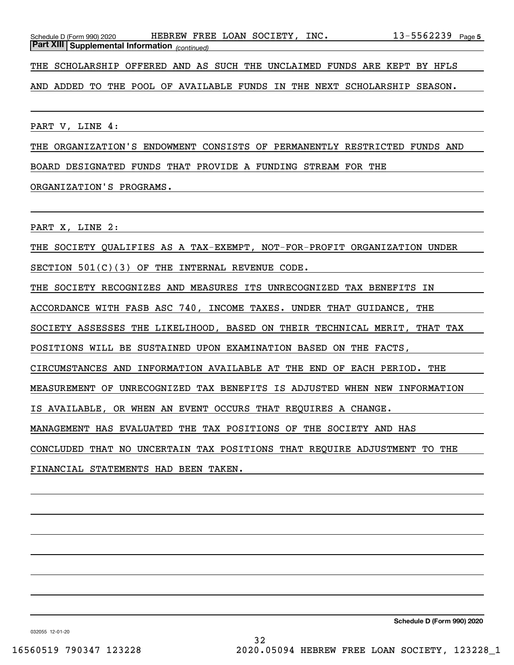THE SCHOLARSHIP OFFERED AND AS SUCH THE UNCLAIMED FUNDS ARE KEPT BY HFLS

AND ADDED TO THE POOL OF AVAILABLE FUNDS IN THE NEXT SCHOLARSHIP SEASON.

PART V, LINE 4:

THE ORGANIZATION'S ENDOWMENT CONSISTS OF PERMANENTLY RESTRICTED FUNDS AND

BOARD DESIGNATED FUNDS THAT PROVIDE A FUNDING STREAM FOR THE

### ORGANIZATION'S PROGRAMS.

PART X, LINE 2:

THE SOCIETY QUALIFIES AS A TAX-EXEMPT, NOT-FOR-PROFIT ORGANIZATION UNDER

SECTION 501(C)(3) OF THE INTERNAL REVENUE CODE.

THE SOCIETY RECOGNIZES AND MEASURES ITS UNRECOGNIZED TAX BENEFITS IN

ACCORDANCE WITH FASB ASC 740, INCOME TAXES. UNDER THAT GUIDANCE, THE

SOCIETY ASSESSES THE LIKELIHOOD, BASED ON THEIR TECHNICAL MERIT, THAT TAX

POSITIONS WILL BE SUSTAINED UPON EXAMINATION BASED ON THE FACTS,

CIRCUMSTANCES AND INFORMATION AVAILABLE AT THE END OF EACH PERIOD. THE

MEASUREMENT OF UNRECOGNIZED TAX BENEFITS IS ADJUSTED WHEN NEW INFORMATION

IS AVAILABLE, OR WHEN AN EVENT OCCURS THAT REQUIRES A CHANGE.

MANAGEMENT HAS EVALUATED THE TAX POSITIONS OF THE SOCIETY AND HAS

CONCLUDED THAT NO UNCERTAIN TAX POSITIONS THAT REQUIRE ADJUSTMENT TO THE

FINANCIAL STATEMENTS HAD BEEN TAKEN.

**Schedule D (Form 990) 2020**

032055 12-01-20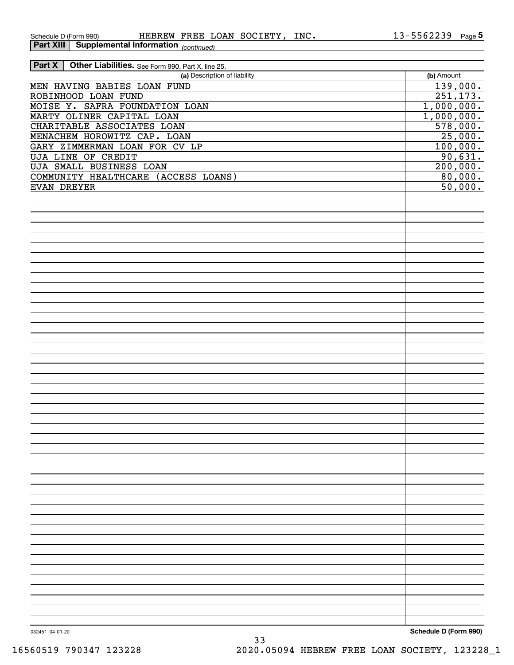*(continued)* **Part XIII Supplemental Information** 

| Other Liabilities. See Form 990, Part X, line 25.<br><b>Part X</b> |            |
|--------------------------------------------------------------------|------------|
| (a) Description of liability                                       | (b) Amount |
| MEN HAVING BABIES LOAN FUND                                        | 139,000.   |
| ROBINHOOD LOAN FUND                                                | 251, 173.  |
| MOISE Y. SAFRA FOUNDATION LOAN                                     | 1,000,000. |
| MARTY OLINER CAPITAL LOAN                                          | 1,000,000. |
| CHARITABLE ASSOCIATES LOAN                                         | 578,000.   |
| MENACHEM HOROWITZ CAP. LOAN                                        | 25,000.    |
| GARY ZIMMERMAN LOAN FOR CV LP                                      | 100,000.   |
| <b>UJA LINE OF CREDIT</b>                                          | 90,631.    |
| <b>UJA SMALL BUSINESS LOAN</b>                                     | 200,000.   |
| COMMUNITY HEALTHCARE (ACCESS LOANS)                                | 80,000.    |
| EVAN DREYER                                                        | 50,000.    |
|                                                                    |            |
|                                                                    |            |
|                                                                    |            |
|                                                                    |            |
|                                                                    |            |
|                                                                    |            |
|                                                                    |            |
|                                                                    |            |
|                                                                    |            |
|                                                                    |            |
|                                                                    |            |
|                                                                    |            |
|                                                                    |            |
|                                                                    |            |
|                                                                    |            |
|                                                                    |            |
|                                                                    |            |
|                                                                    |            |
|                                                                    |            |
|                                                                    |            |
|                                                                    |            |
|                                                                    |            |
|                                                                    |            |
|                                                                    |            |
|                                                                    |            |
|                                                                    |            |
|                                                                    |            |
|                                                                    |            |
|                                                                    |            |
|                                                                    |            |
|                                                                    |            |
|                                                                    |            |
|                                                                    |            |
|                                                                    |            |
|                                                                    |            |
|                                                                    |            |
|                                                                    |            |
|                                                                    |            |
|                                                                    |            |
|                                                                    |            |
|                                                                    |            |
|                                                                    |            |

**Schedule D (Form 990)**

032451 04-01-20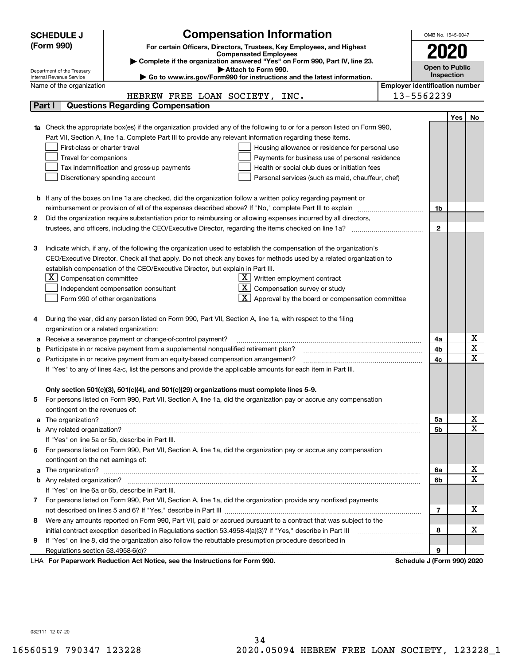|   | <b>SCHEDULE J</b>                                                                   | <b>Compensation Information</b>                                                                                           |                                       | OMB No. 1545-0047          |            |                              |
|---|-------------------------------------------------------------------------------------|---------------------------------------------------------------------------------------------------------------------------|---------------------------------------|----------------------------|------------|------------------------------|
|   | (Form 990)<br>For certain Officers, Directors, Trustees, Key Employees, and Highest |                                                                                                                           |                                       |                            |            |                              |
|   |                                                                                     | <b>Compensated Employees</b>                                                                                              |                                       |                            |            |                              |
|   |                                                                                     | Complete if the organization answered "Yes" on Form 990, Part IV, line 23.                                                |                                       | <b>Open to Public</b>      |            |                              |
|   | Department of the Treasury<br>Internal Revenue Service                              | Attach to Form 990.<br>Go to www.irs.gov/Form990 for instructions and the latest information.                             |                                       |                            | Inspection |                              |
|   | Name of the organization                                                            |                                                                                                                           | <b>Employer identification number</b> |                            |            |                              |
|   |                                                                                     | HEBREW FREE LOAN SOCIETY,<br>INC.                                                                                         |                                       | 13-5562239                 |            |                              |
|   | Part I                                                                              | <b>Questions Regarding Compensation</b>                                                                                   |                                       |                            |            |                              |
|   |                                                                                     |                                                                                                                           |                                       |                            | Yes        | No.                          |
|   |                                                                                     | 1a Check the appropriate box(es) if the organization provided any of the following to or for a person listed on Form 990, |                                       |                            |            |                              |
|   |                                                                                     | Part VII, Section A, line 1a. Complete Part III to provide any relevant information regarding these items.                |                                       |                            |            |                              |
|   | First-class or charter travel                                                       | Housing allowance or residence for personal use                                                                           |                                       |                            |            |                              |
|   | Travel for companions                                                               | Payments for business use of personal residence                                                                           |                                       |                            |            |                              |
|   |                                                                                     | Tax indemnification and gross-up payments<br>Health or social club dues or initiation fees                                |                                       |                            |            |                              |
|   |                                                                                     | Discretionary spending account<br>Personal services (such as maid, chauffeur, chef)                                       |                                       |                            |            |                              |
|   |                                                                                     |                                                                                                                           |                                       |                            |            |                              |
|   |                                                                                     | <b>b</b> If any of the boxes on line 1a are checked, did the organization follow a written policy regarding payment or    |                                       |                            |            |                              |
|   |                                                                                     | reimbursement or provision of all of the expenses described above? If "No," complete Part III to explain                  |                                       | 1b                         |            |                              |
| 2 |                                                                                     | Did the organization require substantiation prior to reimbursing or allowing expenses incurred by all directors,          |                                       | $\mathbf{2}$               |            |                              |
|   |                                                                                     |                                                                                                                           |                                       |                            |            |                              |
| з |                                                                                     | Indicate which, if any, of the following the organization used to establish the compensation of the organization's        |                                       |                            |            |                              |
|   |                                                                                     | CEO/Executive Director. Check all that apply. Do not check any boxes for methods used by a related organization to        |                                       |                            |            |                              |
|   |                                                                                     | establish compensation of the CEO/Executive Director, but explain in Part III.                                            |                                       |                            |            |                              |
|   | ΧI<br>Compensation committee                                                        | $X$ Written employment contract                                                                                           |                                       |                            |            |                              |
|   |                                                                                     | $X \mid$<br>Compensation survey or study<br>Independent compensation consultant                                           |                                       |                            |            |                              |
|   |                                                                                     | $\mathbf{X}$ Approval by the board or compensation committee<br>Form 990 of other organizations                           |                                       |                            |            |                              |
|   |                                                                                     |                                                                                                                           |                                       |                            |            |                              |
|   |                                                                                     | During the year, did any person listed on Form 990, Part VII, Section A, line 1a, with respect to the filing              |                                       |                            |            |                              |
|   | organization or a related organization:                                             |                                                                                                                           |                                       |                            |            |                              |
| а |                                                                                     | Receive a severance payment or change-of-control payment?                                                                 |                                       | 4a                         |            | х                            |
|   |                                                                                     | Participate in or receive payment from a supplemental nonqualified retirement plan?                                       |                                       | 4b                         |            | $\overline{\textbf{x}}$      |
|   |                                                                                     | c Participate in or receive payment from an equity-based compensation arrangement?                                        |                                       | 4c                         |            | $\overline{\mathbf{x}}$      |
|   |                                                                                     | If "Yes" to any of lines 4a-c, list the persons and provide the applicable amounts for each item in Part III.             |                                       |                            |            |                              |
|   |                                                                                     |                                                                                                                           |                                       |                            |            |                              |
|   |                                                                                     | Only section 501(c)(3), 501(c)(4), and 501(c)(29) organizations must complete lines 5-9.                                  |                                       |                            |            |                              |
| 5 |                                                                                     | For persons listed on Form 990, Part VII, Section A, line 1a, did the organization pay or accrue any compensation         |                                       |                            |            |                              |
|   | contingent on the revenues of:                                                      |                                                                                                                           |                                       |                            |            |                              |
|   |                                                                                     |                                                                                                                           |                                       | 5а                         |            | x<br>$\overline{\mathbf{x}}$ |
|   |                                                                                     |                                                                                                                           |                                       | 5b                         |            |                              |
|   |                                                                                     | If "Yes" on line 5a or 5b, describe in Part III.                                                                          |                                       |                            |            |                              |
|   |                                                                                     | 6 For persons listed on Form 990, Part VII, Section A, line 1a, did the organization pay or accrue any compensation       |                                       |                            |            |                              |
|   | contingent on the net earnings of:                                                  |                                                                                                                           |                                       |                            |            | х                            |
|   |                                                                                     |                                                                                                                           |                                       | 6а                         |            | $\mathbf X$                  |
|   |                                                                                     | If "Yes" on line 6a or 6b, describe in Part III.                                                                          |                                       | 6b                         |            |                              |
|   |                                                                                     | 7 For persons listed on Form 990, Part VII, Section A, line 1a, did the organization provide any nonfixed payments        |                                       |                            |            |                              |
|   |                                                                                     |                                                                                                                           |                                       | 7                          |            | x                            |
| 8 |                                                                                     | Were any amounts reported on Form 990, Part VII, paid or accrued pursuant to a contract that was subject to the           |                                       |                            |            |                              |
|   |                                                                                     |                                                                                                                           |                                       | 8                          |            | х                            |
| 9 |                                                                                     | If "Yes" on line 8, did the organization also follow the rebuttable presumption procedure described in                    |                                       |                            |            |                              |
|   |                                                                                     |                                                                                                                           |                                       | 9                          |            |                              |
|   |                                                                                     | exuark Reduction Act Notice, see the Instructions for Ferm 000                                                            |                                       | Schodule I (Form 000) 2020 |            |                              |

LHA For Paperwork Reduction Act Notice, see the Instructions for Form 990. Schedule J (Form 990) 2020

032111 12-07-20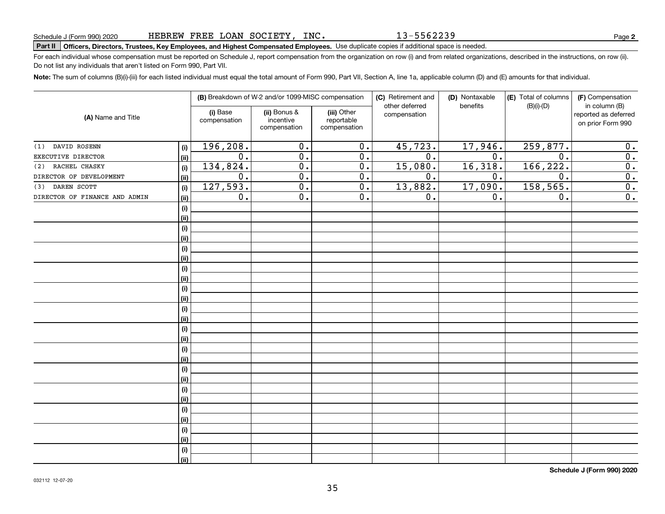13-5562239

# **Part II Officers, Directors, Trustees, Key Employees, and Highest Compensated Employees.**  Schedule J (Form 990) 2020 Page Use duplicate copies if additional space is needed.

For each individual whose compensation must be reported on Schedule J, report compensation from the organization on row (i) and from related organizations, described in the instructions, on row (ii). Do not list any individuals that aren't listed on Form 990, Part VII.

**Note:**  The sum of columns (B)(i)-(iii) for each listed individual must equal the total amount of Form 990, Part VII, Section A, line 1a, applicable column (D) and (E) amounts for that individual.

| (A) Name and Title            |            |                          | (B) Breakdown of W-2 and/or 1099-MISC compensation |                                           | (C) Retirement and             | (D) Nontaxable<br>benefits | (E) Total of columns | (F) Compensation                                           |  |  |
|-------------------------------|------------|--------------------------|----------------------------------------------------|-------------------------------------------|--------------------------------|----------------------------|----------------------|------------------------------------------------------------|--|--|
|                               |            | (i) Base<br>compensation | (ii) Bonus &<br>incentive<br>compensation          | (iii) Other<br>reportable<br>compensation | other deferred<br>compensation |                            | $(B)(i)-(D)$         | in column (B)<br>reported as deferred<br>on prior Form 990 |  |  |
| DAVID ROSENN<br>(1)           | (i)        | 196, 208.                | $\overline{0}$ .                                   | $\overline{0}$ .                          | 45,723.                        | 17,946.                    | 259,877.             | 0.                                                         |  |  |
| EXECUTIVE DIRECTOR            | (ii)       | $\overline{0}$ .         | $\overline{0}$ .                                   | $\overline{0}$ .                          | $\overline{0}$ .               | $\overline{0}$ .           | $\overline{0}$ .     | $\overline{0}$ .                                           |  |  |
| RACHEL CHASKY<br>(2)          | (i)        | 134,824.                 | $\overline{0}$ .                                   | $\overline{0}$ .                          | 15,080.                        | 16,318.                    | 166, 222.            | $\overline{0}$ .                                           |  |  |
| DIRECTOR OF DEVELOPMENT       | (ii)       | $\overline{0}$ .         | $\overline{0}$ .                                   | $\overline{0}$ .                          | $\overline{0}$ .               | 0.                         | $\overline{0}$ .     | $\overline{0}$ .                                           |  |  |
| DAREN SCOTT<br>(3)            | (i)        | 127,593.                 | $\overline{0}$ .                                   | $\overline{0}$ .                          | 13,882.                        | 17,090.                    | 158, 565.            | $\overline{0}$ .                                           |  |  |
| DIRECTOR OF FINANCE AND ADMIN | (ii)       | 0.                       | $\overline{0}$ .                                   | $\overline{0}$ .                          | 0.                             | 0.                         | 0.                   | $\overline{0}$ .                                           |  |  |
|                               | (i)        |                          |                                                    |                                           |                                |                            |                      |                                                            |  |  |
|                               | (ii)       |                          |                                                    |                                           |                                |                            |                      |                                                            |  |  |
|                               | (i)        |                          |                                                    |                                           |                                |                            |                      |                                                            |  |  |
|                               | (ii)       |                          |                                                    |                                           |                                |                            |                      |                                                            |  |  |
|                               | (i)        |                          |                                                    |                                           |                                |                            |                      |                                                            |  |  |
|                               | (ii)       |                          |                                                    |                                           |                                |                            |                      |                                                            |  |  |
|                               | (i)        |                          |                                                    |                                           |                                |                            |                      |                                                            |  |  |
|                               | (ii)       |                          |                                                    |                                           |                                |                            |                      |                                                            |  |  |
|                               | (i)        |                          |                                                    |                                           |                                |                            |                      |                                                            |  |  |
|                               | (ii)       |                          |                                                    |                                           |                                |                            |                      |                                                            |  |  |
|                               | (i)        |                          |                                                    |                                           |                                |                            |                      |                                                            |  |  |
|                               | (ii)       |                          |                                                    |                                           |                                |                            |                      |                                                            |  |  |
|                               | (i)        |                          |                                                    |                                           |                                |                            |                      |                                                            |  |  |
|                               | (ii)       |                          |                                                    |                                           |                                |                            |                      |                                                            |  |  |
|                               | (i)        |                          |                                                    |                                           |                                |                            |                      |                                                            |  |  |
|                               | (ii)       |                          |                                                    |                                           |                                |                            |                      |                                                            |  |  |
|                               | (i)        |                          |                                                    |                                           |                                |                            |                      |                                                            |  |  |
|                               | (ii)       |                          |                                                    |                                           |                                |                            |                      |                                                            |  |  |
|                               | (i)        |                          |                                                    |                                           |                                |                            |                      |                                                            |  |  |
|                               | (ii)       |                          |                                                    |                                           |                                |                            |                      |                                                            |  |  |
|                               | (i)        |                          |                                                    |                                           |                                |                            |                      |                                                            |  |  |
|                               | (ii)       |                          |                                                    |                                           |                                |                            |                      |                                                            |  |  |
|                               | $(\sf{i})$ |                          |                                                    |                                           |                                |                            |                      |                                                            |  |  |
|                               | (ii)       |                          |                                                    |                                           |                                |                            |                      |                                                            |  |  |
|                               | (i)        |                          |                                                    |                                           |                                |                            |                      |                                                            |  |  |
|                               | (ii)       |                          |                                                    |                                           |                                |                            |                      |                                                            |  |  |

**Schedule J (Form 990) 2020**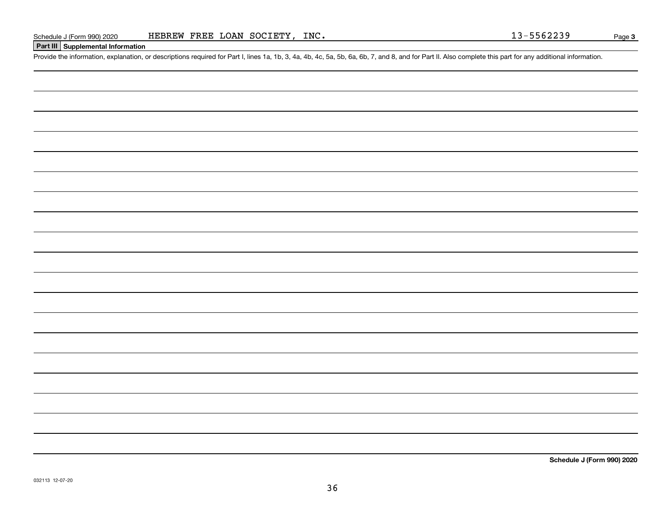## **Part III Supplemental Information**

Schedule J (Form 990) 2020 HEBREW FREE LOAN SOCIETY, INC.<br>Part III Supplemental Information<br>Provide the information, explanation, or descriptions required for Part I, lines 1a, 1b, 3, 4a, 4b, 4c, 5a, 5b, 6a, 6b, 7, and 8,

**Schedule J (Form 990) 2020**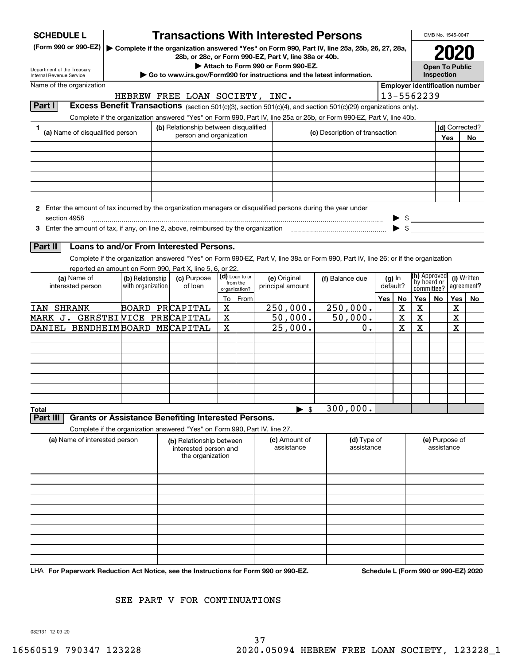| <b>SCHEDULE L</b>          |                                                                                      |                   |                                                                  |             |                                      |                                    | <b>Transactions With Interested Persons</b>                                                                                        |                 |             |                                                                                                                                                                                                                                                                                                                                                                                                                                                                         | OMB No. 1545-0047     |     |                       |
|----------------------------|--------------------------------------------------------------------------------------|-------------------|------------------------------------------------------------------|-------------|--------------------------------------|------------------------------------|------------------------------------------------------------------------------------------------------------------------------------|-----------------|-------------|-------------------------------------------------------------------------------------------------------------------------------------------------------------------------------------------------------------------------------------------------------------------------------------------------------------------------------------------------------------------------------------------------------------------------------------------------------------------------|-----------------------|-----|-----------------------|
| (Form 990 or 990-EZ)       |                                                                                      |                   | 28b, or 28c, or Form 990-EZ, Part V, line 38a or 40b.            |             |                                      |                                    | Complete if the organization answered "Yes" on Form 990, Part IV, line 25a, 25b, 26, 27, 28a,                                      |                 |             |                                                                                                                                                                                                                                                                                                                                                                                                                                                                         |                       |     |                       |
| Department of the Treasury |                                                                                      |                   |                                                                  |             |                                      | Attach to Form 990 or Form 990-EZ. |                                                                                                                                    |                 |             |                                                                                                                                                                                                                                                                                                                                                                                                                                                                         | <b>Open To Public</b> |     |                       |
| Internal Revenue Service   |                                                                                      |                   |                                                                  |             |                                      |                                    | $\epsilon$ Go to www.irs.gov/Form990 for instructions and the latest information.                                                  |                 |             |                                                                                                                                                                                                                                                                                                                                                                                                                                                                         | Inspection            |     |                       |
| Name of the organization   |                                                                                      |                   |                                                                  |             |                                      |                                    |                                                                                                                                    |                 |             | <b>Employer identification number</b>                                                                                                                                                                                                                                                                                                                                                                                                                                   |                       |     |                       |
|                            |                                                                                      |                   | HEBREW FREE LOAN SOCIETY, INC.                                   |             |                                      |                                    |                                                                                                                                    |                 |             | 13-5562239                                                                                                                                                                                                                                                                                                                                                                                                                                                              |                       |     |                       |
| Part I                     |                                                                                      |                   |                                                                  |             |                                      |                                    | Excess Benefit Transactions (section 501(c)(3), section 501(c)(4), and section 501(c)(29) organizations only).                     |                 |             |                                                                                                                                                                                                                                                                                                                                                                                                                                                                         |                       |     |                       |
|                            |                                                                                      |                   |                                                                  |             |                                      |                                    | Complete if the organization answered "Yes" on Form 990, Part IV, line 25a or 25b, or Form 990-EZ, Part V, line 40b.               |                 |             |                                                                                                                                                                                                                                                                                                                                                                                                                                                                         |                       |     |                       |
| 1                          | (a) Name of disqualified person                                                      |                   | (b) Relationship between disqualified<br>person and organization |             |                                      |                                    | (c) Description of transaction                                                                                                     |                 |             |                                                                                                                                                                                                                                                                                                                                                                                                                                                                         | Yes                   |     | (d) Corrected?<br>No. |
|                            |                                                                                      |                   |                                                                  |             |                                      |                                    |                                                                                                                                    |                 |             |                                                                                                                                                                                                                                                                                                                                                                                                                                                                         |                       |     |                       |
|                            |                                                                                      |                   |                                                                  |             |                                      |                                    |                                                                                                                                    |                 |             |                                                                                                                                                                                                                                                                                                                                                                                                                                                                         |                       |     |                       |
|                            |                                                                                      |                   |                                                                  |             |                                      |                                    |                                                                                                                                    |                 |             |                                                                                                                                                                                                                                                                                                                                                                                                                                                                         |                       |     |                       |
|                            |                                                                                      |                   |                                                                  |             |                                      |                                    |                                                                                                                                    |                 |             |                                                                                                                                                                                                                                                                                                                                                                                                                                                                         |                       |     |                       |
| section 4958               |                                                                                      |                   |                                                                  |             |                                      |                                    | 2 Enter the amount of tax incurred by the organization managers or disqualified persons during the year under                      |                 |             |                                                                                                                                                                                                                                                                                                                                                                                                                                                                         |                       |     |                       |
|                            |                                                                                      |                   |                                                                  |             |                                      |                                    |                                                                                                                                    |                 |             | $\begin{array}{c}\n\blacktriangleright \ \ \ \text{\$}\ \ \ \text{\_}\ \ \ \text{\_} \ \ \ \text{\_} \ \ \ \text{\_} \ \ \ \text{\_} \ \ \ \text{\_} \ \ \ \text{\_} \ \ \ \text{\_} \ \ \ \text{\_} \ \ \ \text{\_} \ \ \ \text{\_} \ \ \ \text{\_} \ \ \ \text{\_} \ \ \ \text{\_} \ \ \ \text{\_} \ \ \ \text{\_} \ \ \ \text{\_} \ \ \ \text{\_} \ \ \ \text{\_} \ \ \ \text{\_} \ \ \ \text{\_} \ \ \ \text{\_} \ \ \ \text{\_} \ \ \ \text{\_} \ \ \ \text{\_} \$ |                       |     |                       |
| Part II                    | Loans to and/or From Interested Persons.                                             |                   |                                                                  |             |                                      |                                    |                                                                                                                                    |                 |             |                                                                                                                                                                                                                                                                                                                                                                                                                                                                         |                       |     |                       |
|                            |                                                                                      |                   |                                                                  |             |                                      |                                    | Complete if the organization answered "Yes" on Form 990-EZ, Part V, line 38a or Form 990, Part IV, line 26; or if the organization |                 |             |                                                                                                                                                                                                                                                                                                                                                                                                                                                                         |                       |     |                       |
|                            | reported an amount on Form 990, Part X, line 5, 6, or 22.                            |                   |                                                                  |             |                                      |                                    |                                                                                                                                    |                 |             |                                                                                                                                                                                                                                                                                                                                                                                                                                                                         |                       |     |                       |
|                            | (a) Name of                                                                          | (b) Relationship  | (c) Purpose                                                      |             | (d) Loan to or                       | (e) Original                       | (f) Balance due                                                                                                                    |                 | $(g)$ In    | (h) Approved                                                                                                                                                                                                                                                                                                                                                                                                                                                            |                       |     | (i) Written           |
|                            | interested person                                                                    | with organization | of loan                                                          |             | from the<br>organization?<br>To From | principal amount                   |                                                                                                                                    | default?<br>Yes | No          | by board or<br>committee?<br>Yes                                                                                                                                                                                                                                                                                                                                                                                                                                        | No                    | Yes | agreement?<br>No      |
| IAN SHRANK                 |                                                                                      |                   | BOARD PRCAPITAL                                                  | X           |                                      | 250,000.                           | 250,000.                                                                                                                           |                 | X           | X                                                                                                                                                                                                                                                                                                                                                                                                                                                                       |                       | X   |                       |
|                            | MARK J. GERSTEINICE PRECAPITAL                                                       |                   |                                                                  | $\mathbf X$ |                                      | 50,000.                            | 50,000.                                                                                                                            |                 | $\mathbf X$ | X                                                                                                                                                                                                                                                                                                                                                                                                                                                                       |                       | X   |                       |
|                            | DANIEL BENDHEIMBOARD MECAPITAL                                                       |                   |                                                                  | X           |                                      | 25,000.                            | $0$ .                                                                                                                              |                 | X           | X                                                                                                                                                                                                                                                                                                                                                                                                                                                                       |                       | X   |                       |
|                            |                                                                                      |                   |                                                                  |             |                                      |                                    |                                                                                                                                    |                 |             |                                                                                                                                                                                                                                                                                                                                                                                                                                                                         |                       |     |                       |
|                            |                                                                                      |                   |                                                                  |             |                                      |                                    |                                                                                                                                    |                 |             |                                                                                                                                                                                                                                                                                                                                                                                                                                                                         |                       |     |                       |
|                            |                                                                                      |                   |                                                                  |             |                                      |                                    |                                                                                                                                    |                 |             |                                                                                                                                                                                                                                                                                                                                                                                                                                                                         |                       |     |                       |
|                            |                                                                                      |                   |                                                                  |             |                                      |                                    |                                                                                                                                    |                 |             |                                                                                                                                                                                                                                                                                                                                                                                                                                                                         |                       |     |                       |
|                            |                                                                                      |                   |                                                                  |             |                                      |                                    |                                                                                                                                    |                 |             |                                                                                                                                                                                                                                                                                                                                                                                                                                                                         |                       |     |                       |
|                            |                                                                                      |                   |                                                                  |             |                                      |                                    |                                                                                                                                    |                 |             |                                                                                                                                                                                                                                                                                                                                                                                                                                                                         |                       |     |                       |
|                            |                                                                                      |                   |                                                                  |             |                                      | \$                                 | 300,000.                                                                                                                           |                 |             |                                                                                                                                                                                                                                                                                                                                                                                                                                                                         |                       |     |                       |
| Total<br>Part II           | <b>Grants or Assistance Benefiting Interested Persons.</b>                           |                   |                                                                  |             |                                      |                                    |                                                                                                                                    |                 |             |                                                                                                                                                                                                                                                                                                                                                                                                                                                                         |                       |     |                       |
|                            | Complete if the organization answered "Yes" on Form 990, Part IV, line 27.           |                   |                                                                  |             |                                      |                                    |                                                                                                                                    |                 |             |                                                                                                                                                                                                                                                                                                                                                                                                                                                                         |                       |     |                       |
|                            | (a) Name of interested person                                                        |                   | (b) Relationship between                                         |             |                                      | (c) Amount of                      | (d) Type of                                                                                                                        |                 |             |                                                                                                                                                                                                                                                                                                                                                                                                                                                                         | (e) Purpose of        |     |                       |
|                            |                                                                                      |                   | interested person and<br>the organization                        |             |                                      | assistance                         | assistance                                                                                                                         |                 |             |                                                                                                                                                                                                                                                                                                                                                                                                                                                                         | assistance            |     |                       |
|                            |                                                                                      |                   |                                                                  |             |                                      |                                    |                                                                                                                                    |                 |             |                                                                                                                                                                                                                                                                                                                                                                                                                                                                         |                       |     |                       |
|                            |                                                                                      |                   |                                                                  |             |                                      |                                    |                                                                                                                                    |                 |             |                                                                                                                                                                                                                                                                                                                                                                                                                                                                         |                       |     |                       |
|                            |                                                                                      |                   |                                                                  |             |                                      |                                    |                                                                                                                                    |                 |             |                                                                                                                                                                                                                                                                                                                                                                                                                                                                         |                       |     |                       |
|                            |                                                                                      |                   |                                                                  |             |                                      |                                    |                                                                                                                                    |                 |             |                                                                                                                                                                                                                                                                                                                                                                                                                                                                         |                       |     |                       |
|                            |                                                                                      |                   |                                                                  |             |                                      |                                    |                                                                                                                                    |                 |             |                                                                                                                                                                                                                                                                                                                                                                                                                                                                         |                       |     |                       |
|                            |                                                                                      |                   |                                                                  |             |                                      |                                    |                                                                                                                                    |                 |             |                                                                                                                                                                                                                                                                                                                                                                                                                                                                         |                       |     |                       |
|                            |                                                                                      |                   |                                                                  |             |                                      |                                    |                                                                                                                                    |                 |             |                                                                                                                                                                                                                                                                                                                                                                                                                                                                         |                       |     |                       |
|                            |                                                                                      |                   |                                                                  |             |                                      |                                    |                                                                                                                                    |                 |             |                                                                                                                                                                                                                                                                                                                                                                                                                                                                         |                       |     |                       |
|                            |                                                                                      |                   |                                                                  |             |                                      |                                    |                                                                                                                                    |                 |             |                                                                                                                                                                                                                                                                                                                                                                                                                                                                         |                       |     |                       |
|                            | LHA For Paperwork Reduction Act Notice, see the Instructions for Form 990 or 990-EZ. |                   |                                                                  |             |                                      |                                    |                                                                                                                                    |                 |             | Schedule L (Form 990 or 990-EZ) 2020                                                                                                                                                                                                                                                                                                                                                                                                                                    |                       |     |                       |

SEE PART V FOR CONTINUATIONS

032131 12-09-20

37 16560519 790347 123228 2020.05094 HEBREW FREE LOAN SOCIETY, 123228\_1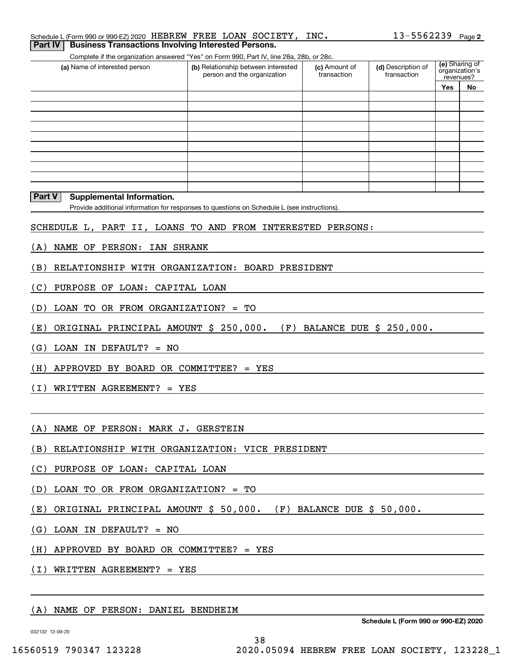Complete if the organization answered "Yes" on Form 990, Part IV, line 28a, 28b, or 28c. **Part IV Business Transactions Involving Interested Persons.**

| Complete in the organization anowered need on nomineou, narthy, line zoa, zoo, or zoo. |                                                                    |                              |                                   |                                               |    |  |  |  |  |  |  |
|----------------------------------------------------------------------------------------|--------------------------------------------------------------------|------------------------------|-----------------------------------|-----------------------------------------------|----|--|--|--|--|--|--|
| (a) Name of interested person                                                          | (b) Relationship between interested<br>person and the organization | (c) Amount of<br>transaction | (d) Description of<br>transaction | (e) Sharing of<br>organization's<br>revenues? |    |  |  |  |  |  |  |
|                                                                                        |                                                                    |                              |                                   | Yes                                           | No |  |  |  |  |  |  |
|                                                                                        |                                                                    |                              |                                   |                                               |    |  |  |  |  |  |  |
|                                                                                        |                                                                    |                              |                                   |                                               |    |  |  |  |  |  |  |
|                                                                                        |                                                                    |                              |                                   |                                               |    |  |  |  |  |  |  |
|                                                                                        |                                                                    |                              |                                   |                                               |    |  |  |  |  |  |  |
|                                                                                        |                                                                    |                              |                                   |                                               |    |  |  |  |  |  |  |
|                                                                                        |                                                                    |                              |                                   |                                               |    |  |  |  |  |  |  |
|                                                                                        |                                                                    |                              |                                   |                                               |    |  |  |  |  |  |  |
|                                                                                        |                                                                    |                              |                                   |                                               |    |  |  |  |  |  |  |
|                                                                                        |                                                                    |                              |                                   |                                               |    |  |  |  |  |  |  |
|                                                                                        |                                                                    |                              |                                   |                                               |    |  |  |  |  |  |  |

#### **Part V Supplemental Information.**

Provide additional information for responses to questions on Schedule L (see instructions).

- SCHEDULE L, PART II, LOANS TO AND FROM INTERESTED PERSONS:
- (A) NAME OF PERSON: IAN SHRANK
- (B) RELATIONSHIP WITH ORGANIZATION: BOARD PRESIDENT
- (C) PURPOSE OF LOAN: CAPITAL LOAN
- (D) LOAN TO OR FROM ORGANIZATION? = TO
- (E) ORIGINAL PRINCIPAL AMOUNT \$ 250,000. (F) BALANCE DUE \$ 250,000.

(G) LOAN IN DEFAULT? = NO

(H) APPROVED BY BOARD OR COMMITTEE? = YES

(I) WRITTEN AGREEMENT? = YES

(A) NAME OF PERSON: MARK J. GERSTEIN

- (B) RELATIONSHIP WITH ORGANIZATION: VICE PRESIDENT
- (C) PURPOSE OF LOAN: CAPITAL LOAN
- (D) LOAN TO OR FROM ORGANIZATION? = TO
- (E) ORIGINAL PRINCIPAL AMOUNT \$ 50,000. (F) BALANCE DUE \$ 50,000.

38

- (G) LOAN IN DEFAULT? = NO
- (H) APPROVED BY BOARD OR COMMITTEE? = YES

(I) WRITTEN AGREEMENT? = YES

### (A) NAME OF PERSON: DANIEL BENDHEIM

032132 12-09-20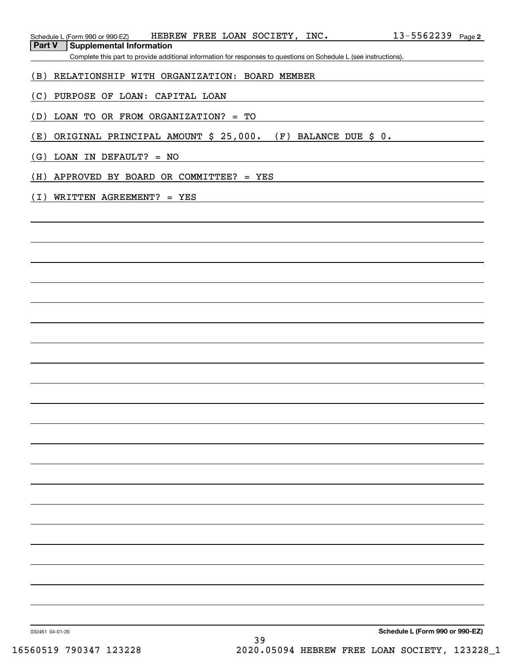| HEBREW FREE LOAN SOCIETY, INC.<br>Schedule L (Form 990 or 990-EZ)                                                 | 13-5562239 Page 2 |  |
|-------------------------------------------------------------------------------------------------------------------|-------------------|--|
| Part V<br><b>Supplemental Information</b>                                                                         |                   |  |
| Complete this part to provide additional information for responses to questions on Schedule L (see instructions). |                   |  |
| RELATIONSHIP WITH ORGANIZATION: BOARD MEMBER<br>(B)                                                               |                   |  |
| (C)<br>PURPOSE OF LOAN: CAPITAL LOAN                                                                              |                   |  |
| LOAN TO OR FROM ORGANIZATION? = TO<br>(D)                                                                         |                   |  |
| ORIGINAL PRINCIPAL AMOUNT \$ 25,000.<br>(E)<br>$(F)$ BALANCE DUE \$ 0.                                            |                   |  |
| (G)<br>LOAN IN DEFAULT? = NO                                                                                      |                   |  |
| (H)<br>APPROVED BY BOARD OR COMMITTEE? = YES                                                                      |                   |  |
| (I)<br>WRITTEN AGREEMENT? = YES                                                                                   |                   |  |
|                                                                                                                   |                   |  |
|                                                                                                                   |                   |  |
|                                                                                                                   |                   |  |
|                                                                                                                   |                   |  |
|                                                                                                                   |                   |  |
|                                                                                                                   |                   |  |
|                                                                                                                   |                   |  |
|                                                                                                                   |                   |  |
|                                                                                                                   |                   |  |
|                                                                                                                   |                   |  |
|                                                                                                                   |                   |  |
|                                                                                                                   |                   |  |
|                                                                                                                   |                   |  |
|                                                                                                                   |                   |  |
|                                                                                                                   |                   |  |
|                                                                                                                   |                   |  |
|                                                                                                                   |                   |  |
|                                                                                                                   |                   |  |
|                                                                                                                   |                   |  |
|                                                                                                                   |                   |  |
|                                                                                                                   |                   |  |
|                                                                                                                   |                   |  |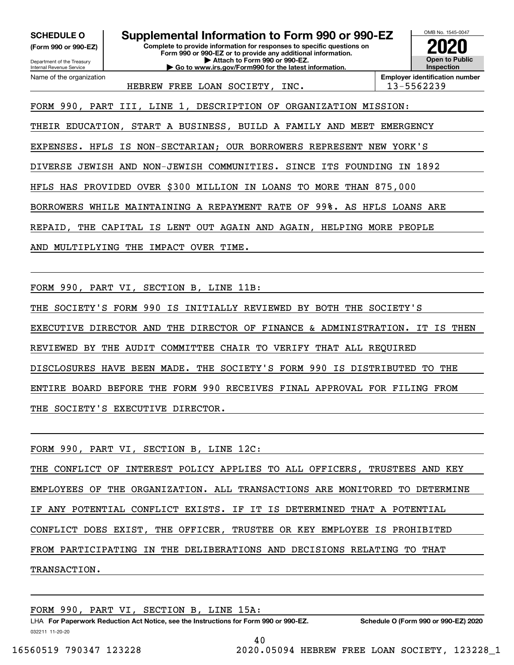**(Form 990 or 990-EZ)**

Department of the Treasury Internal Revenue Service Name of the organization

**Complete to provide information for responses to specific questions on Form 990 or 990-EZ or to provide any additional information. | Attach to Form 990 or 990-EZ. | Go to www.irs.gov/Form990 for the latest information. SCHEDULE O Supplemental Information to Form 990 or 990-EZ**



HEBREW FREE LOAN SOCIETY, INC. 13-5562239

FORM 990, PART III, LINE 1, DESCRIPTION OF ORGANIZATION MISSION:

THEIR EDUCATION, START A BUSINESS, BUILD A FAMILY AND MEET EMERGENCY

EXPENSES. HFLS IS NON-SECTARIAN; OUR BORROWERS REPRESENT NEW YORK'S

DIVERSE JEWISH AND NON-JEWISH COMMUNITIES. SINCE ITS FOUNDING IN 1892

HFLS HAS PROVIDED OVER \$300 MILLION IN LOANS TO MORE THAN 875,000

BORROWERS WHILE MAINTAINING A REPAYMENT RATE OF 99%. AS HFLS LOANS ARE

REPAID, THE CAPITAL IS LENT OUT AGAIN AND AGAIN, HELPING MORE PEOPLE

AND MULTIPLYING THE IMPACT OVER TIME.

FORM 990, PART VI, SECTION B, LINE 11B:

THE SOCIETY'S FORM 990 IS INITIALLY REVIEWED BY BOTH THE SOCIETY'S

EXECUTIVE DIRECTOR AND THE DIRECTOR OF FINANCE & ADMINISTRATION. IT IS THEN

REVIEWED BY THE AUDIT COMMITTEE CHAIR TO VERIFY THAT ALL REQUIRED

DISCLOSURES HAVE BEEN MADE. THE SOCIETY'S FORM 990 IS DISTRIBUTED TO THE

ENTIRE BOARD BEFORE THE FORM 990 RECEIVES FINAL APPROVAL FOR FILING FROM

THE SOCIETY'S EXECUTIVE DIRECTOR.

FORM 990, PART VI, SECTION B, LINE 12C:

THE CONFLICT OF INTEREST POLICY APPLIES TO ALL OFFICERS, TRUSTEES AND KEY EMPLOYEES OF THE ORGANIZATION. ALL TRANSACTIONS ARE MONITORED TO DETERMINE IF ANY POTENTIAL CONFLICT EXISTS. IF IT IS DETERMINED THAT A POTENTIAL CONFLICT DOES EXIST, THE OFFICER, TRUSTEE OR KEY EMPLOYEE IS PROHIBITED FROM PARTICIPATING IN THE DELIBERATIONS AND DECISIONS RELATING TO THAT TRANSACTION.

FORM 990, PART VI, SECTION B, LINE 15A:

032211 11-20-20 LHA For Paperwork Reduction Act Notice, see the Instructions for Form 990 or 990-EZ. Schedule O (Form 990 or 990-EZ) 2020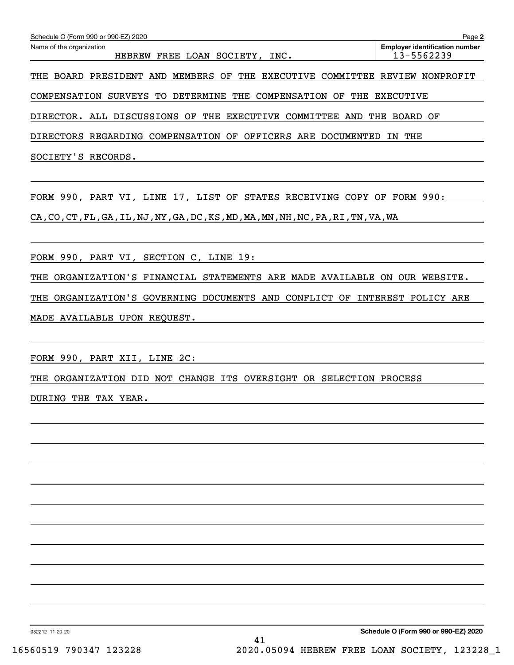| Schedule O (Form 990 or 990-EZ) 2020<br>Page 2                                                                    |  |  |  |  |  |  |  |  |  |
|-------------------------------------------------------------------------------------------------------------------|--|--|--|--|--|--|--|--|--|
| <b>Employer identification number</b><br>Name of the organization<br>13-5562239<br>HEBREW FREE LOAN SOCIETY, INC. |  |  |  |  |  |  |  |  |  |
| THE BOARD PRESIDENT AND MEMBERS OF THE EXECUTIVE COMMITTEE REVIEW NONPROFIT                                       |  |  |  |  |  |  |  |  |  |

COMPENSATION SURVEYS TO DETERMINE THE COMPENSATION OF THE EXECUTIVE

DIRECTOR. ALL DISCUSSIONS OF THE EXECUTIVE COMMITTEE AND THE BOARD OF

DIRECTORS REGARDING COMPENSATION OF OFFICERS ARE DOCUMENTED IN THE

SOCIETY'S RECORDS.

FORM 990, PART VI, LINE 17, LIST OF STATES RECEIVING COPY OF FORM 990:

CA,CO,CT,FL,GA,IL,NJ,NY,GA,DC,KS,MD,MA,MN,NH,NC,PA,RI,TN,VA,WA

FORM 990, PART VI, SECTION C, LINE 19:

THE ORGANIZATION'S FINANCIAL STATEMENTS ARE MADE AVAILABLE ON OUR WEBSITE.

THE ORGANIZATION'S GOVERNING DOCUMENTS AND CONFLICT OF INTEREST POLICY ARE

MADE AVAILABLE UPON REQUEST.

FORM 990, PART XII, LINE 2C:

THE ORGANIZATION DID NOT CHANGE ITS OVERSIGHT OR SELECTION PROCESS

DURING THE TAX YEAR.

032212 11-20-20